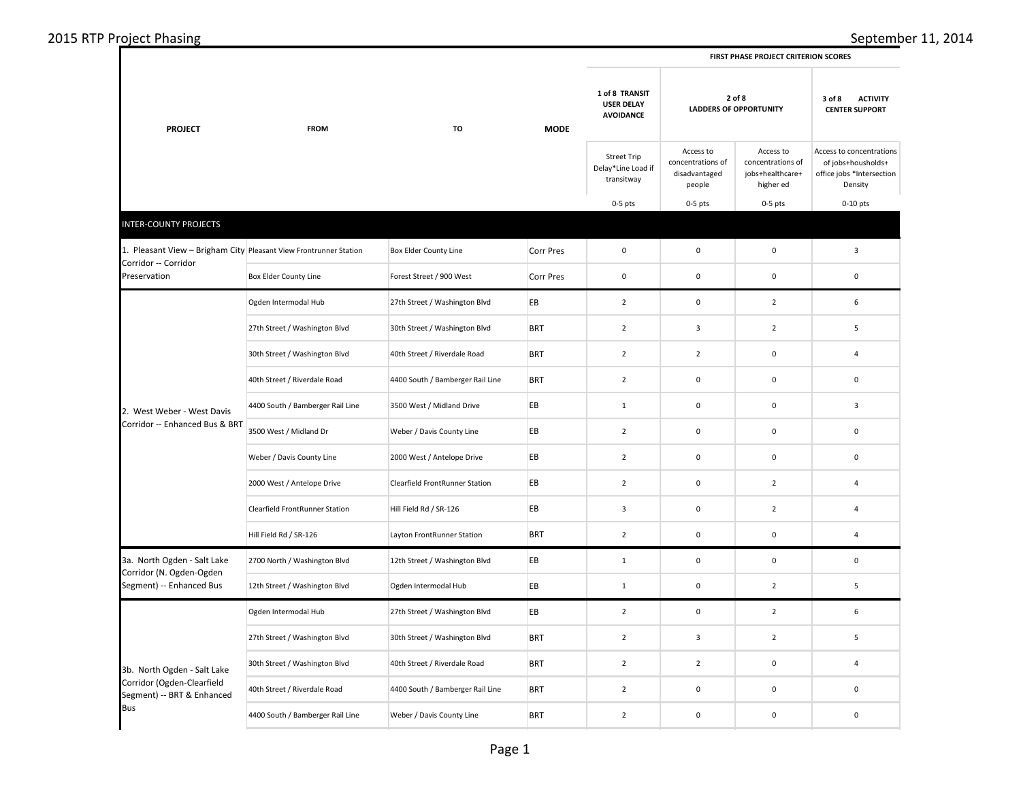|                                                                                           | <b>FROM</b>                      | TO                                    |             | FINST FRASE FROJECT CRITENION SCONES                    |                                                           |                                                                 |                                                                                        |
|-------------------------------------------------------------------------------------------|----------------------------------|---------------------------------------|-------------|---------------------------------------------------------|-----------------------------------------------------------|-----------------------------------------------------------------|----------------------------------------------------------------------------------------|
| <b>PROJECT</b>                                                                            |                                  |                                       | <b>MODE</b> | 1 of 8 TRANSIT<br><b>USER DELAY</b><br><b>AVOIDANCE</b> | 2 of 8<br><b>LADDERS OF OPPORTUNITY</b>                   |                                                                 | 3 of 8<br><b>ACTIVITY</b><br><b>CENTER SUPPORT</b>                                     |
|                                                                                           |                                  |                                       |             | <b>Street Trip</b><br>Delay*Line Load if<br>transitway  | Access to<br>concentrations of<br>disadvantaged<br>people | Access to<br>concentrations of<br>jobs+healthcare+<br>higher ed | Access to concentrations<br>of jobs+housholds+<br>office jobs *Intersection<br>Density |
|                                                                                           |                                  |                                       |             | $0-5$ pts                                               | $0-5$ pts                                                 | $0-5$ pts                                                       | $0-10$ pts                                                                             |
| <b>INTER-COUNTY PROJECTS</b>                                                              |                                  |                                       |             |                                                         |                                                           |                                                                 |                                                                                        |
| 1. Pleasant View - Brigham City Pleasant View Frontrunner Station<br>Corridor -- Corridor |                                  | Box Elder County Line                 | Corr Pres   | $\mathsf 0$                                             | $\mathbf 0$                                               | $\mathbf 0$                                                     | $\overline{3}$                                                                         |
| Preservation                                                                              | Box Elder County Line            | Forest Street / 900 West              | Corr Pres   | $\mathbf 0$                                             | $\mathbf 0$                                               | $\mathsf 0$                                                     | $\mathbf 0$                                                                            |
|                                                                                           | Ogden Intermodal Hub             | 27th Street / Washington Blvd         | EB          | $\overline{2}$                                          | $\mathbf 0$                                               | $\overline{2}$                                                  | 6                                                                                      |
|                                                                                           | 27th Street / Washington Blvd    | 30th Street / Washington Blvd         | <b>BRT</b>  | $\overline{2}$                                          | $\overline{\mathbf{3}}$                                   | $\overline{2}$                                                  | 5                                                                                      |
|                                                                                           | 30th Street / Washington Blvd    | 40th Street / Riverdale Road          | <b>BRT</b>  | $\overline{2}$                                          | $\mathbf 2$                                               | $\pmb{0}$                                                       | 4                                                                                      |
|                                                                                           | 40th Street / Riverdale Road     | 4400 South / Bamberger Rail Line      | <b>BRT</b>  | $\overline{2}$                                          | $\mathbf 0$                                               | $\pmb{0}$                                                       | 0                                                                                      |
| 2. West Weber - West Davis                                                                | 4400 South / Bamberger Rail Line | 3500 West / Midland Drive             | EB          | $\mathbf 1$                                             | $\mathbf 0$                                               | $\pmb{0}$                                                       | $\mathsf 3$                                                                            |
| Corridor -- Enhanced Bus & BRT                                                            | 3500 West / Midland Dr           | Weber / Davis County Line             | EB          | $\overline{2}$                                          | $\mathbf 0$                                               | $\mathsf 0$                                                     | 0                                                                                      |
|                                                                                           | Weber / Davis County Line        | 2000 West / Antelope Drive            | EB          | $\overline{2}$                                          | $\mathbf 0$                                               | $\mathbf 0$                                                     | 0                                                                                      |
|                                                                                           | 2000 West / Antelope Drive       | <b>Clearfield FrontRunner Station</b> | EB          | $\overline{2}$                                          | $\mathbf 0$                                               | $\overline{2}$                                                  | 4                                                                                      |
|                                                                                           | Clearfield FrontRunner Station   | Hill Field Rd / SR-126                | EВ          | $\mathbf{3}$                                            | $\mathbf 0$                                               | $\overline{2}$                                                  | 4                                                                                      |
|                                                                                           | Hill Field Rd / SR-126           | Layton FrontRunner Station            | <b>BRT</b>  | $\overline{2}$                                          | $\mathbf 0$                                               | $\mathbf 0$                                                     | $\overline{4}$                                                                         |
| 3a. North Ogden - Salt Lake<br>Corridor (N. Ogden-Ogden                                   | 2700 North / Washington Blvd     | 12th Street / Washington Blvd         | EB          | $\mathbf{1}$                                            | $\mathbf 0$                                               | $\mathsf 0$                                                     | $\mathbf 0$                                                                            |
| Segment) -- Enhanced Bus                                                                  | 12th Street / Washington Blvd    | Ogden Intermodal Hub                  | EB          | $\mathbf{1}$                                            | $\mathbf 0$                                               | $\overline{2}$                                                  | 5                                                                                      |
|                                                                                           | Ogden Intermodal Hub             | 27th Street / Washington Blvd         | EВ          | $\overline{2}$                                          | $\mathbf 0$                                               | $\overline{2}$                                                  | 6                                                                                      |
|                                                                                           | 27th Street / Washington Blvd    | 30th Street / Washington Blvd         | <b>BRT</b>  | $\overline{2}$                                          | $\overline{\mathbf{3}}$                                   | $\overline{2}$                                                  | 5                                                                                      |
| 3b. North Ogden - Salt Lake                                                               | 30th Street / Washington Blvd    | 40th Street / Riverdale Road          | <b>BRT</b>  | $\overline{2}$                                          | $\overline{2}$                                            | $\mathsf 0$                                                     | 4                                                                                      |
| Corridor (Ogden-Clearfield<br>Segment) -- BRT & Enhanced                                  | 40th Street / Riverdale Road     | 4400 South / Bamberger Rail Line      | <b>BRT</b>  | $\overline{2}$                                          | $\mathbf 0$                                               | $\pmb{0}$                                                       | 0                                                                                      |
| Bus                                                                                       | 4400 South / Bamberger Rail Line | Weber / Davis County Line             | <b>BRT</b>  | $\overline{2}$                                          | $\mathsf 0$                                               | $\mathsf 0$                                                     | 0                                                                                      |
|                                                                                           |                                  |                                       |             |                                                         |                                                           |                                                                 |                                                                                        |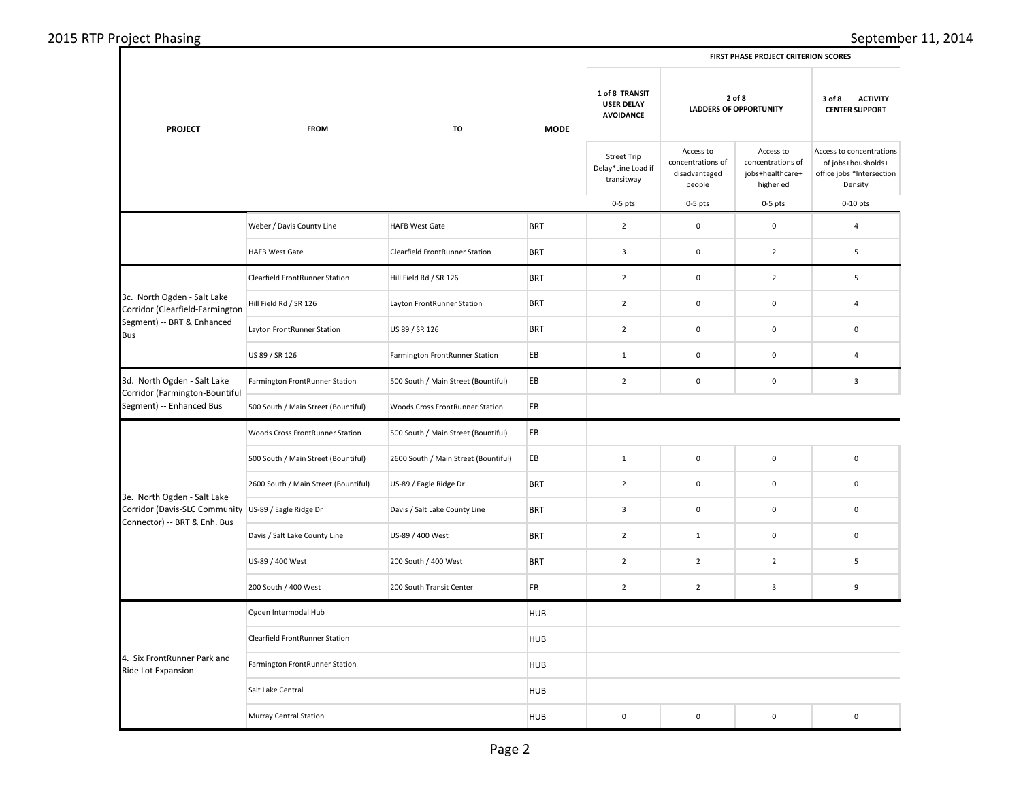## 2015 RTP Project Phasing September 11, 2014

|  | <b>FIRST PHASE PROJECT CRITERION SCORES</b> |
|--|---------------------------------------------|
|  |                                             |

| <b>PROJECT</b>                                                                                                      | <b>FROM</b><br>TO                     | <b>MODE</b>                          | 1 of 8 TRANSIT<br><b>USER DELAY</b><br><b>AVOIDANCE</b> | 2 of 8<br><b>LADDERS OF OPPORTUNITY</b>                |                                                           | <b>ACTIVITY</b><br>3 of 8<br><b>CENTER SUPPORT</b>              |                                                                                        |
|---------------------------------------------------------------------------------------------------------------------|---------------------------------------|--------------------------------------|---------------------------------------------------------|--------------------------------------------------------|-----------------------------------------------------------|-----------------------------------------------------------------|----------------------------------------------------------------------------------------|
|                                                                                                                     |                                       |                                      |                                                         | <b>Street Trip</b><br>Delay*Line Load if<br>transitway | Access to<br>concentrations of<br>disadvantaged<br>people | Access to<br>concentrations of<br>jobs+healthcare+<br>higher ed | Access to concentrations<br>of jobs+housholds+<br>office jobs *Intersection<br>Density |
|                                                                                                                     |                                       |                                      |                                                         | $0-5$ pts                                              | $0-5$ pts                                                 | $0-5$ pts                                                       | $0-10$ pts                                                                             |
|                                                                                                                     | Weber / Davis County Line             | <b>HAFB West Gate</b>                | <b>BRT</b>                                              | $\overline{2}$                                         | $\mathbf 0$                                               | $\mathbf 0$                                                     | $\overline{4}$                                                                         |
|                                                                                                                     | HAFB West Gate                        | Clearfield FrontRunner Station       | <b>BRT</b>                                              | $\overline{\mathbf{3}}$                                | $\pmb{0}$                                                 | $\mathbf 2$                                                     | 5                                                                                      |
|                                                                                                                     | Clearfield FrontRunner Station        | Hill Field Rd / SR 126               | <b>BRT</b>                                              | $\overline{2}$                                         | $\mathsf 0$                                               | $\overline{2}$                                                  | 5                                                                                      |
| 3c. North Ogden - Salt Lake<br>Corridor (Clearfield-Farmington                                                      | Hill Field Rd / SR 126                | Layton FrontRunner Station           | <b>BRT</b>                                              | $\overline{2}$                                         | $\mathbf 0$                                               | $\mathbf 0$                                                     | $\overline{4}$                                                                         |
| Segment) -- BRT & Enhanced<br><b>Bus</b>                                                                            | Layton FrontRunner Station            | US 89 / SR 126                       | <b>BRT</b>                                              | $\overline{2}$                                         | $\mathsf 0$                                               | $\pmb{0}$                                                       | $\mathbf 0$                                                                            |
|                                                                                                                     | US 89 / SR 126                        | Farmington FrontRunner Station       | EB                                                      | $\mathbf{1}$                                           | $\mathbf 0$                                               | $\pmb{0}$                                                       | $\overline{4}$                                                                         |
| 3d. North Ogden - Salt Lake<br>Corridor (Farmington-Bountiful                                                       | Farmington FrontRunner Station        | 500 South / Main Street (Bountiful)  | EB                                                      | $\overline{2}$                                         | $\pmb{0}$                                                 | $\pmb{0}$                                                       | $\overline{\mathbf{3}}$                                                                |
| Segment) -- Enhanced Bus                                                                                            | 500 South / Main Street (Bountiful)   | Woods Cross FrontRunner Station      | EB                                                      |                                                        |                                                           |                                                                 |                                                                                        |
|                                                                                                                     | Woods Cross FrontRunner Station       | 500 South / Main Street (Bountiful)  | EB                                                      |                                                        |                                                           |                                                                 |                                                                                        |
|                                                                                                                     | 500 South / Main Street (Bountiful)   | 2600 South / Main Street (Bountiful) | EB                                                      | $\mathbf 1$                                            | $\pmb{0}$                                                 | $\pmb{0}$                                                       | $\pmb{0}$                                                                              |
|                                                                                                                     | 2600 South / Main Street (Bountiful)  | US-89 / Eagle Ridge Dr               | <b>BRT</b>                                              | $\overline{2}$                                         | $\mathbf 0$                                               | $\mathsf 0$                                                     | $\mathbf 0$                                                                            |
| 3e. North Ogden - Salt Lake<br>Corridor (Davis-SLC Community US-89 / Eagle Ridge Dr<br>Connector) -- BRT & Enh. Bus |                                       | Davis / Salt Lake County Line        | <b>BRT</b>                                              | $\overline{\mathbf{3}}$                                | $\pmb{0}$                                                 | $\pmb{0}$                                                       | $\mathbf 0$                                                                            |
|                                                                                                                     | Davis / Salt Lake County Line         | US-89 / 400 West                     | <b>BRT</b>                                              | $\overline{2}$                                         | $\mathbf{1}$                                              | $\mathsf 0$                                                     | $\mathbf 0$                                                                            |
|                                                                                                                     | US-89 / 400 West                      | 200 South / 400 West                 | <b>BRT</b>                                              | $\overline{2}$                                         | $\mathbf 2$                                               | $\mathbf 2$                                                     | 5                                                                                      |
|                                                                                                                     | 200 South / 400 West                  | 200 South Transit Center             | EB                                                      | $\overline{2}$                                         | $\overline{2}$                                            | 3                                                               | 9                                                                                      |
|                                                                                                                     | Ogden Intermodal Hub                  |                                      | <b>HUB</b>                                              |                                                        |                                                           |                                                                 |                                                                                        |
|                                                                                                                     | <b>Clearfield FrontRunner Station</b> |                                      | <b>HUB</b>                                              |                                                        |                                                           |                                                                 |                                                                                        |
| 4. Six FrontRunner Park and<br>Ride Lot Expansion                                                                   | Farmington FrontRunner Station        |                                      | <b>HUB</b>                                              |                                                        |                                                           |                                                                 |                                                                                        |
|                                                                                                                     | Salt Lake Central                     |                                      | <b>HUB</b>                                              |                                                        |                                                           |                                                                 |                                                                                        |
|                                                                                                                     | Murray Central Station                |                                      | <b>HUB</b>                                              | $\mathbf 0$                                            | $\mathbf 0$                                               | $\mathsf 0$                                                     | $\mathbf 0$                                                                            |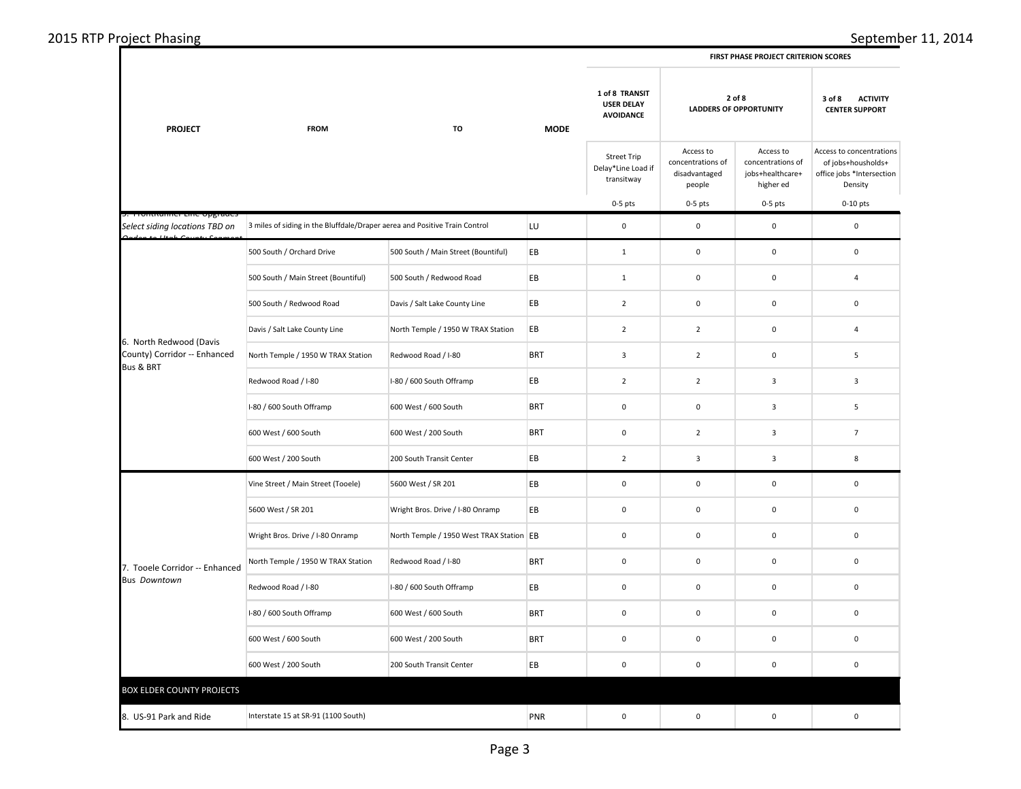| 2015 RTP Project Phasing |  |
|--------------------------|--|
|--------------------------|--|

| <b>PROJECT</b>                                          | <b>FROM</b><br>TO                                                          | <b>MODE</b>                              | 1 of 8 TRANSIT<br>2 of 8<br><b>USER DELAY</b><br><b>LADDERS OF OPPORTUNITY</b><br><b>AVOIDANCE</b> |                                                        |                                                           | 3 of 8<br><b>ACTIVITY</b><br><b>CENTER SUPPORT</b>              |                                                                                        |
|---------------------------------------------------------|----------------------------------------------------------------------------|------------------------------------------|----------------------------------------------------------------------------------------------------|--------------------------------------------------------|-----------------------------------------------------------|-----------------------------------------------------------------|----------------------------------------------------------------------------------------|
|                                                         |                                                                            |                                          |                                                                                                    | <b>Street Trip</b><br>Delay*Line Load if<br>transitway | Access to<br>concentrations of<br>disadvantaged<br>people | Access to<br>concentrations of<br>jobs+healthcare+<br>higher ed | Access to concentrations<br>of jobs+housholds+<br>office jobs *Intersection<br>Density |
| TURRATHICLETIC Opgrade                                  |                                                                            |                                          |                                                                                                    | $0-5$ pts                                              | $0-5$ pts                                                 | $0-5$ pts                                                       | $0-10$ pts                                                                             |
| Select siding locations TBD on                          | 3 miles of siding in the Bluffdale/Draper aerea and Positive Train Control |                                          | LU                                                                                                 | $\mathbf 0$                                            | $\mathsf 0$                                               | $\mathsf 0$                                                     | $\mathsf 0$                                                                            |
|                                                         | 500 South / Orchard Drive                                                  | 500 South / Main Street (Bountiful)      | EB                                                                                                 | $\mathbf{1}$                                           | $\mathsf 0$                                               | $\mathsf 0$                                                     | $\mathsf 0$                                                                            |
|                                                         | 500 South / Main Street (Bountiful)                                        | 500 South / Redwood Road                 | EB                                                                                                 | $\mathbf 1$                                            | $\mathsf 0$                                               | $\mathsf 0$                                                     | $\overline{4}$                                                                         |
|                                                         | 500 South / Redwood Road                                                   | Davis / Salt Lake County Line            | EB                                                                                                 | $\overline{2}$                                         | $\mathbf 0$                                               | 0                                                               | 0                                                                                      |
|                                                         | Davis / Salt Lake County Line                                              | North Temple / 1950 W TRAX Station       | EB                                                                                                 | $\overline{2}$                                         | $\overline{2}$                                            | $\mathbf 0$                                                     | 4                                                                                      |
| 6. North Redwood (Davis<br>County) Corridor -- Enhanced | North Temple / 1950 W TRAX Station                                         | Redwood Road / I-80                      | <b>BRT</b>                                                                                         | $\mathbf{3}$                                           | $\overline{2}$                                            | $\mathsf 0$                                                     | $\sqrt{5}$                                                                             |
| <b>Bus &amp; BRT</b>                                    | Redwood Road / I-80                                                        | I-80 / 600 South Offramp                 | EB                                                                                                 | $\overline{2}$                                         | $\overline{2}$                                            | $\mathbf{3}$                                                    | 3                                                                                      |
|                                                         | I-80 / 600 South Offramp                                                   | 600 West / 600 South                     | <b>BRT</b>                                                                                         | $\mathbf 0$                                            | $\mathbf 0$                                               | $\mathbf{3}$                                                    | $\sqrt{5}$                                                                             |
|                                                         | 600 West / 600 South                                                       | 600 West / 200 South                     | <b>BRT</b>                                                                                         | $\mathbf 0$                                            | $\overline{2}$                                            | $\mathbf{3}$                                                    | $\overline{7}$                                                                         |
|                                                         | 600 West / 200 South                                                       | 200 South Transit Center                 | EB                                                                                                 | $\overline{2}$                                         | 3                                                         | $\overline{\mathbf{3}}$                                         | 8                                                                                      |
|                                                         | Vine Street / Main Street (Tooele)                                         | 5600 West / SR 201                       | EB                                                                                                 | $\mathbf 0$                                            | $\mathbf 0$                                               | $\mathbf 0$                                                     | 0                                                                                      |
|                                                         | 5600 West / SR 201                                                         | Wright Bros. Drive / I-80 Onramp         | EB                                                                                                 | $\mathbf 0$                                            | $\mathbf 0$                                               | 0                                                               | $\mathsf 0$                                                                            |
|                                                         | Wright Bros. Drive / I-80 Onramp                                           | North Temple / 1950 West TRAX Station EB |                                                                                                    | $\mathbf 0$                                            | $\mathsf 0$                                               | $\mathsf{O}\xspace$                                             | $\pmb{0}$                                                                              |
| 7. Tooele Corridor -- Enhanced                          | North Temple / 1950 W TRAX Station                                         | Redwood Road / I-80                      | <b>BRT</b>                                                                                         | $\mathbf 0$                                            | $\pmb{0}$                                                 | $\mathbf 0$                                                     | $\mathbf 0$                                                                            |
| <b>Bus Downtown</b>                                     | Redwood Road / I-80                                                        | I-80 / 600 South Offramp                 | EB                                                                                                 | $\mathbf 0$                                            | $\mathbf 0$                                               | $\mathbf 0$                                                     | $\mathsf 0$                                                                            |
|                                                         | I-80 / 600 South Offramp                                                   | 600 West / 600 South                     | <b>BRT</b>                                                                                         | $\mathbf 0$                                            | $\mathbf 0$                                               | $\mathsf 0$                                                     | $\mathbf 0$                                                                            |
|                                                         | 600 West / 600 South                                                       | 600 West / 200 South                     | <b>BRT</b>                                                                                         | $\mathbf 0$                                            | $\pmb{0}$                                                 | $\mathsf 0$                                                     | $\mathbf 0$                                                                            |
|                                                         | 600 West / 200 South                                                       | 200 South Transit Center                 | EB                                                                                                 | $\mathbf 0$                                            | $\pmb{0}$                                                 | $\pmb{0}$                                                       | $\pmb{0}$                                                                              |
| <b>BOX ELDER COUNTY PROJECTS</b>                        |                                                                            |                                          |                                                                                                    |                                                        |                                                           |                                                                 |                                                                                        |
| 8. US-91 Park and Ride                                  | Interstate 15 at SR-91 (1100 South)                                        |                                          | PNR                                                                                                | $\mathbf 0$                                            | $\pmb{0}$                                                 | $\mathsf 0$                                                     | $\pmb{0}$                                                                              |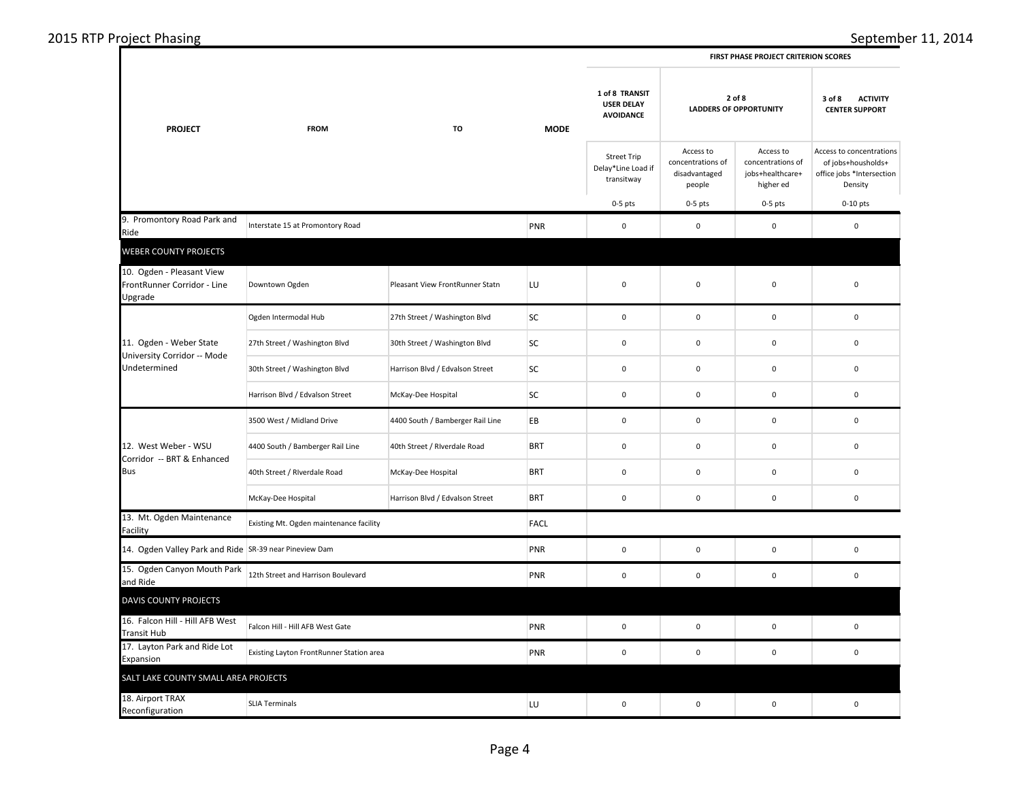| 2015 RTP Project Phasing |  |
|--------------------------|--|
|--------------------------|--|

**FIRST PHASE PROJECT CRITERION SCORES**

| <b>PROJECT</b>                                                      | <b>FROM</b>                              | <b>MODE</b><br>TO                | 1 of 8 TRANSIT<br><b>USER DELAY</b><br><b>AVOIDANCE</b> | 2 of 8<br><b>LADDERS OF OPPORTUNITY</b>                |                                                           | <b>ACTIVITY</b><br>3 of 8<br><b>CENTER SUPPORT</b>              |                                                                                        |
|---------------------------------------------------------------------|------------------------------------------|----------------------------------|---------------------------------------------------------|--------------------------------------------------------|-----------------------------------------------------------|-----------------------------------------------------------------|----------------------------------------------------------------------------------------|
|                                                                     |                                          |                                  |                                                         | <b>Street Trip</b><br>Delay*Line Load if<br>transitway | Access to<br>concentrations of<br>disadvantaged<br>people | Access to<br>concentrations of<br>jobs+healthcare+<br>higher ed | Access to concentrations<br>of jobs+housholds+<br>office jobs *Intersection<br>Density |
|                                                                     |                                          |                                  |                                                         | $0-5$ pts                                              | $0-5$ pts                                                 | $0-5$ pts                                                       | $0-10$ pts                                                                             |
| 9. Promontory Road Park and<br>Ride                                 | Interstate 15 at Promontory Road         |                                  | PNR                                                     | $\mathbf 0$                                            | $\mathbf 0$                                               | $\pmb{0}$                                                       | 0                                                                                      |
| <b>WEBER COUNTY PROJECTS</b>                                        |                                          |                                  |                                                         |                                                        |                                                           |                                                                 |                                                                                        |
| 10. Ogden - Pleasant View<br>FrontRunner Corridor - Line<br>Upgrade | Downtown Ogden                           | Pleasant View FrontRunner Statn  | LU                                                      | $\mathbf 0$                                            | $\mathbf 0$                                               | $\pmb{0}$                                                       | 0                                                                                      |
|                                                                     | Ogden Intermodal Hub                     | 27th Street / Washington Blvd    | SC                                                      | $\mathsf 0$                                            | $\mathbf 0$                                               | $\mathbf 0$                                                     | 0                                                                                      |
| 11. Ogden - Weber State                                             | 27th Street / Washington Blvd            | 30th Street / Washington Blvd    | SC                                                      | $\mathbf 0$                                            | $\mathbf 0$                                               | $\pmb{0}$                                                       | 0                                                                                      |
| University Corridor -- Mode<br>Undetermined                         | 30th Street / Washington Blvd            | Harrison Blvd / Edvalson Street  | SC                                                      | $\mathsf 0$                                            | $\mathbf 0$                                               | $\mathbf 0$                                                     | $\mathbf 0$                                                                            |
|                                                                     | Harrison Blvd / Edvalson Street          | McKay-Dee Hospital               | SC                                                      | $\mathbf 0$                                            | $\mathbf 0$                                               | $\pmb{0}$                                                       | $\mathbf 0$                                                                            |
|                                                                     | 3500 West / Midland Drive                | 4400 South / Bamberger Rail Line | EВ                                                      | $\mathbf 0$                                            | $\pmb{0}$                                                 | $\mathbf 0$                                                     | $\mathbf 0$                                                                            |
| 12. West Weber - WSU<br>Corridor -- BRT & Enhanced                  | 4400 South / Bamberger Rail Line         | 40th Street / Riverdale Road     | <b>BRT</b>                                              | $\mathbf 0$                                            | $\mathbf 0$                                               | $\pmb{0}$                                                       | $\mathbf 0$                                                                            |
| Bus                                                                 | 40th Street / Riverdale Road             | McKay-Dee Hospital               | <b>BRT</b>                                              | $\mathbf 0$                                            | $\mathbf 0$                                               | $\mathbf 0$                                                     | $\mathbf 0$                                                                            |
|                                                                     | McKay-Dee Hospital                       | Harrison Blvd / Edvalson Street  | <b>BRT</b>                                              | $\mathbf 0$                                            | $\mathbf 0$                                               | $\pmb{0}$                                                       | $\mathbf 0$                                                                            |
| 13. Mt. Ogden Maintenance<br>Facility                               | Existing Mt. Ogden maintenance facility  |                                  | <b>FACL</b>                                             |                                                        |                                                           |                                                                 |                                                                                        |
| 14. Ogden Valley Park and Ride SR-39 near Pineview Dam              |                                          |                                  | PNR                                                     | $\mathbf 0$                                            | $\mathbf 0$                                               | $\mathbf 0$                                                     | 0                                                                                      |
| 15. Ogden Canyon Mouth Park<br>and Ride                             | 12th Street and Harrison Boulevard       |                                  | PNR                                                     | $\mathbf 0$                                            | $\pmb{0}$                                                 | $\pmb{0}$                                                       | $\mathbf 0$                                                                            |
| <b>DAVIS COUNTY PROJECTS</b>                                        |                                          |                                  |                                                         |                                                        |                                                           |                                                                 |                                                                                        |
| 16. Falcon Hill - Hill AFB West<br><b>Transit Hub</b>               | Falcon Hill - Hill AFB West Gate         |                                  | PNR                                                     | $\mathbf 0$                                            | $\,0\,$                                                   | 0                                                               | $\mathbf 0$                                                                            |
| 17. Layton Park and Ride Lot<br>Expansion                           | Existing Layton FrontRunner Station area |                                  | PNR                                                     | $\mathbf 0$                                            | $\mathbf 0$                                               | $\pmb{0}$                                                       | 0                                                                                      |
| SALT LAKE COUNTY SMALL AREA PROJECTS                                |                                          |                                  |                                                         |                                                        |                                                           |                                                                 |                                                                                        |
| 18. Airport TRAX<br>Reconfiguration                                 | <b>SLIA Terminals</b>                    |                                  | LU                                                      | $\mathbf 0$                                            | $\mathbf 0$                                               | $\mathbf 0$                                                     | $\mathbf 0$                                                                            |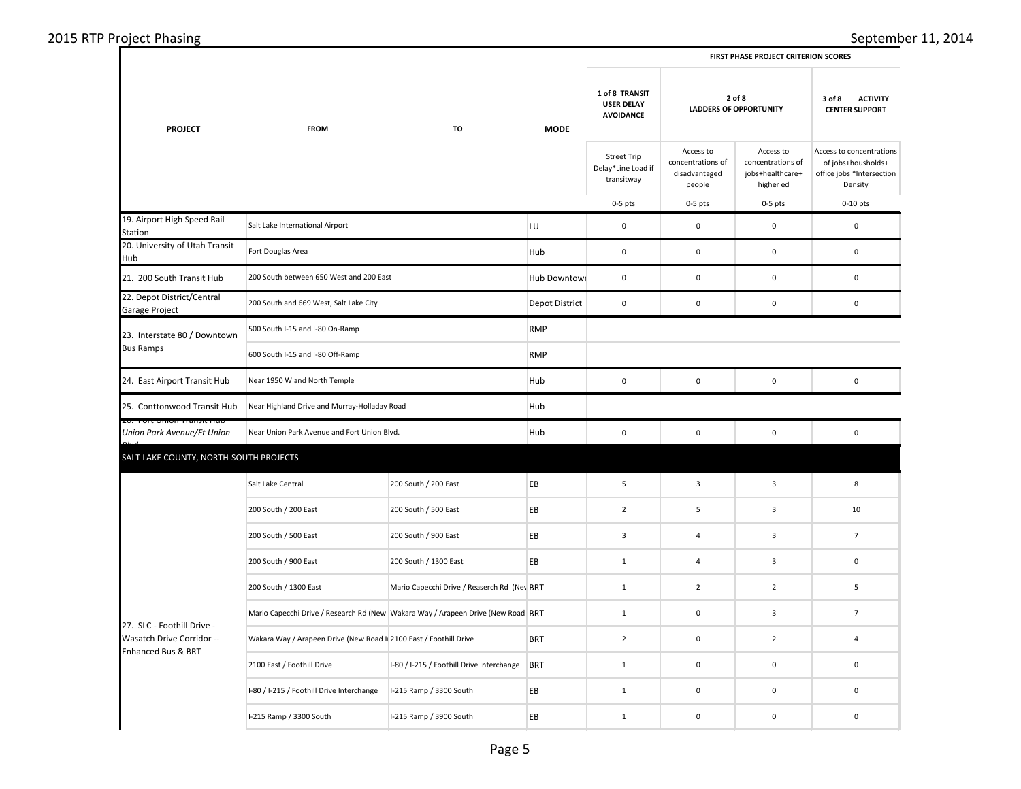## 2015 RTP Project Phasing September 11, 2014

|  | <b>FIRST PHASE PROJECT CRITERION SCORES</b> |  |
|--|---------------------------------------------|--|
|  |                                             |  |

|                                                         |                                                                                  |                                             | <b>MODE</b>    |                                                         |                                                           |                                                                 |                                                                                        |
|---------------------------------------------------------|----------------------------------------------------------------------------------|---------------------------------------------|----------------|---------------------------------------------------------|-----------------------------------------------------------|-----------------------------------------------------------------|----------------------------------------------------------------------------------------|
| <b>PROJECT</b>                                          | <b>FROM</b>                                                                      | TO                                          |                | 1 of 8 TRANSIT<br><b>USER DELAY</b><br><b>AVOIDANCE</b> | 2 of 8<br><b>LADDERS OF OPPORTUNITY</b>                   |                                                                 | <b>ACTIVITY</b><br>3 of 8<br><b>CENTER SUPPORT</b>                                     |
|                                                         |                                                                                  |                                             |                | <b>Street Trip</b><br>Delay*Line Load if<br>transitway  | Access to<br>concentrations of<br>disadvantaged<br>people | Access to<br>concentrations of<br>jobs+healthcare+<br>higher ed | Access to concentrations<br>of jobs+housholds+<br>office jobs *Intersection<br>Density |
|                                                         |                                                                                  |                                             |                | $0-5$ pts                                               | $0-5$ pts                                                 | $0-5$ pts                                                       | $0-10$ pts                                                                             |
| 19. Airport High Speed Rail<br>Station                  | Salt Lake International Airport                                                  |                                             | LU             | 0                                                       | $\pmb{0}$                                                 | 0                                                               | $\pmb{0}$                                                                              |
| 20. University of Utah Transit<br>Hub                   | Fort Douglas Area                                                                |                                             | Hub            | $\mathbf 0$                                             | $\mathsf 0$                                               | $\mathsf 0$                                                     | $\mathbf 0$                                                                            |
| 21. 200 South Transit Hub                               | 200 South between 650 West and 200 East                                          |                                             | Hub Downtowi   | $\mathsf 0$                                             | $\mathbf 0$                                               | $\mathsf 0$                                                     | $\pmb{0}$                                                                              |
| 22. Depot District/Central<br>Garage Project            | 200 South and 669 West, Salt Lake City                                           |                                             | Depot District | $\mathbf 0$                                             | 0                                                         | $\mathbf 0$                                                     | $\mathbf 0$                                                                            |
| 23. Interstate 80 / Downtown                            | 500 South I-15 and I-80 On-Ramp                                                  |                                             | <b>RMP</b>     |                                                         |                                                           |                                                                 |                                                                                        |
| <b>Bus Ramps</b>                                        | 600 South I-15 and I-80 Off-Ramp                                                 | <b>RMP</b>                                  |                |                                                         |                                                           |                                                                 |                                                                                        |
| 24. East Airport Transit Hub                            | Near 1950 W and North Temple                                                     |                                             | Hub            | $\mathbf 0$                                             | $\mathbf 0$                                               | $\mathsf 0$                                                     | $\pmb{0}$                                                                              |
| 25. Conttonwood Transit Hub                             | Near Highland Drive and Murray-Holladay Road                                     |                                             | Hub            |                                                         |                                                           |                                                                 |                                                                                        |
| Union Park Avenue/Ft Union                              | Near Union Park Avenue and Fort Union Blvd.                                      |                                             | Hub            | $\mathbf 0$                                             | $\pmb{0}$                                                 | $\pmb{0}$                                                       | $\pmb{0}$                                                                              |
| SALT LAKE COUNTY, NORTH-SOUTH PROJECTS                  |                                                                                  |                                             |                |                                                         |                                                           |                                                                 |                                                                                        |
|                                                         | Salt Lake Central                                                                | 200 South / 200 East                        | EB             | 5                                                       | $\mathbf{3}$                                              | $\mathbf{3}$                                                    | $\bf 8$                                                                                |
|                                                         | 200 South / 200 East                                                             | 200 South / 500 East                        | EB             | $\overline{2}$                                          | 5                                                         | $\overline{3}$                                                  | 10                                                                                     |
|                                                         | 200 South / 500 East                                                             | 200 South / 900 East                        | EB             | $\overline{\mathbf{3}}$                                 | $\overline{4}$                                            | $\mathbf{3}$                                                    | $\overline{7}$                                                                         |
|                                                         | 200 South / 900 East                                                             | 200 South / 1300 East                       | EВ             | $\mathbf{1}$                                            | 4                                                         | $\overline{\mathbf{3}}$                                         | $\pmb{0}$                                                                              |
|                                                         | 200 South / 1300 East                                                            | Mario Capecchi Drive / Reaserch Rd (Nev BRT |                | $\mathbf 1$                                             | $\overline{2}$                                            | $\overline{2}$                                                  | $\sqrt{5}$                                                                             |
|                                                         | Mario Capecchi Drive / Research Rd (New Wakara Way / Arapeen Drive (New Road BRT |                                             |                | $\mathbf{1}$                                            | $\pmb{0}$                                                 | $\overline{\mathbf{3}}$                                         | $\overline{7}$                                                                         |
| 27. SLC - Foothill Drive -<br>Wasatch Drive Corridor -- | Wakara Way / Arapeen Drive (New Road I 2100 East / Foothill Drive                |                                             | <b>BRT</b>     | $\overline{2}$                                          | $\pmb{0}$                                                 | $\overline{2}$                                                  | $\sqrt{4}$                                                                             |
| <b>Enhanced Bus &amp; BRT</b>                           | 2100 East / Foothill Drive                                                       | I-80 / I-215 / Foothill Drive Interchange   | <b>BRT</b>     | $\mathbf{1}$                                            | $\mathbf 0$                                               | $\mathsf 0$                                                     | $\mathbf 0$                                                                            |
|                                                         | I-80 / I-215 / Foothill Drive Interchange                                        | I-215 Ramp / 3300 South                     | EB             | $\mathbf 1$                                             | $\pmb{0}$                                                 | $\mathbf 0$                                                     | $\pmb{0}$                                                                              |
|                                                         | I-215 Ramp / 3300 South                                                          | I-215 Ramp / 3900 South                     | EВ             | $\mathbf{1}$                                            | $\mathbf 0$                                               | $\mathbf 0$                                                     | $\mathbf 0$                                                                            |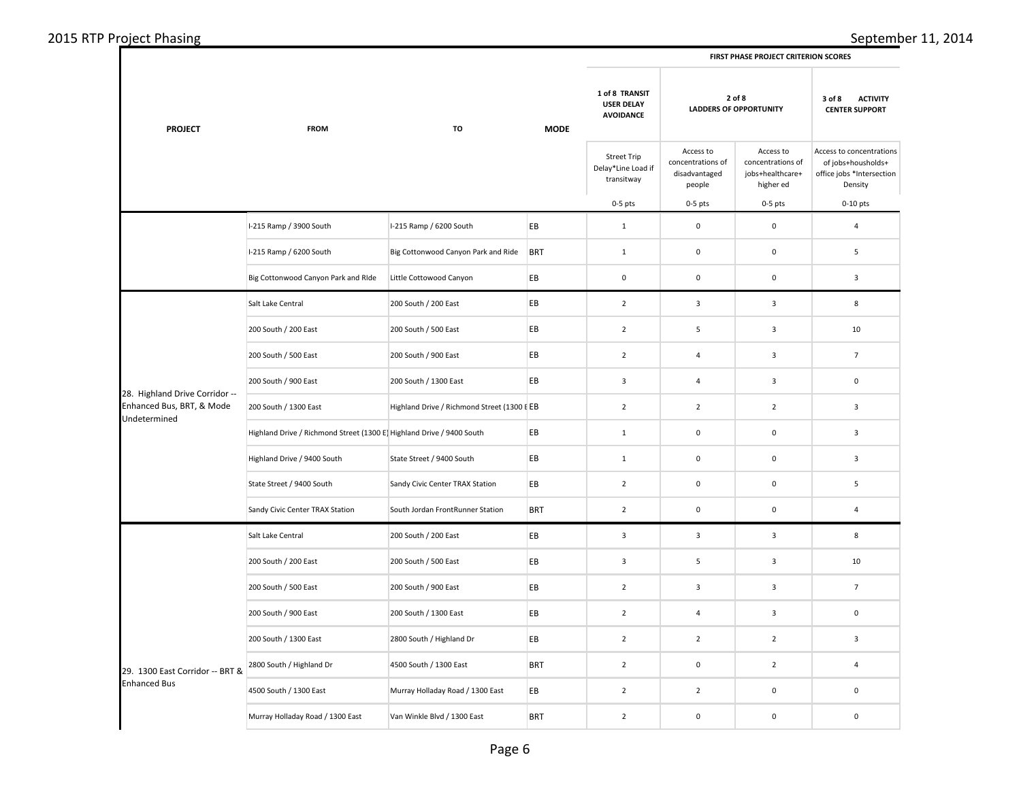| <b>PROJECT</b>                            | <b>FROM</b><br><b>TO</b>                                             |                                             | <b>MODE</b> | 1 of 8 TRANSIT<br><b>USER DELAY</b><br><b>AVOIDANCE</b> | 2 of 8<br><b>LADDERS OF OPPORTUNITY</b>                   |                                                                 | 3 of 8<br><b>ACTIVITY</b><br><b>CENTER SUPPORT</b>                                     |
|-------------------------------------------|----------------------------------------------------------------------|---------------------------------------------|-------------|---------------------------------------------------------|-----------------------------------------------------------|-----------------------------------------------------------------|----------------------------------------------------------------------------------------|
|                                           |                                                                      |                                             |             | <b>Street Trip</b><br>Delay*Line Load if<br>transitway  | Access to<br>concentrations of<br>disadvantaged<br>people | Access to<br>concentrations of<br>jobs+healthcare+<br>higher ed | Access to concentrations<br>of jobs+housholds+<br>office jobs *Intersection<br>Density |
|                                           |                                                                      |                                             |             | $0-5$ pts                                               | $0-5$ pts                                                 | $0-5$ pts                                                       | $0-10$ pts                                                                             |
|                                           | I-215 Ramp / 3900 South                                              | I-215 Ramp / 6200 South                     | EB          | $\mathbf{1}$                                            | $\mathbf 0$                                               | $\mathsf 0$                                                     | 4                                                                                      |
|                                           | I-215 Ramp / 6200 South                                              | Big Cottonwood Canyon Park and Ride         | <b>BRT</b>  | $\mathbf{1}$                                            | $\mathbf 0$                                               | $\mathsf 0$                                                     | 5                                                                                      |
|                                           | Big Cottonwood Canyon Park and RIde                                  | Little Cottowood Canyon                     | EB          | $\mathbf 0$                                             | $\mathbf 0$                                               | $\mathbf 0$                                                     | 3                                                                                      |
|                                           | Salt Lake Central                                                    | 200 South / 200 East                        | EB          | $\overline{2}$                                          | $\overline{3}$                                            | $\overline{\mathbf{3}}$                                         | 8                                                                                      |
|                                           | 200 South / 200 East                                                 | 200 South / 500 East                        | EB          | $\overline{2}$                                          | 5                                                         | $\mathbf{3}$                                                    | 10                                                                                     |
|                                           | 200 South / 500 East                                                 | 200 South / 900 East                        | EB          | $\overline{2}$                                          | $\overline{4}$                                            | $\overline{3}$                                                  | $\overline{7}$                                                                         |
| 28. Highland Drive Corridor --            | 200 South / 900 East                                                 | 200 South / 1300 East                       | EB          | $\mathbf{3}$                                            | 4                                                         | 3                                                               | 0                                                                                      |
| Enhanced Bus, BRT, & Mode<br>Undetermined | 200 South / 1300 East                                                | Highland Drive / Richmond Street (1300 I EB |             | $\overline{2}$                                          | $\overline{2}$                                            | $\overline{2}$                                                  | 3                                                                                      |
|                                           | Highland Drive / Richmond Street (1300 E Highland Drive / 9400 South |                                             | EB          | $\mathbf{1}$                                            | $\mathbf 0$                                               | 0                                                               | $\overline{\mathbf{3}}$                                                                |
|                                           | Highland Drive / 9400 South                                          | State Street / 9400 South                   | EB          | $\mathbf 1$                                             | $\mathbf 0$                                               | $\mathsf 0$                                                     | $\overline{\mathbf{3}}$                                                                |
|                                           | State Street / 9400 South                                            | Sandy Civic Center TRAX Station             | EB          | $\overline{2}$                                          | $\mathbf 0$                                               | $\mathbf 0$                                                     | $\overline{\phantom{a}}$                                                               |
|                                           | Sandy Civic Center TRAX Station                                      | South Jordan FrontRunner Station            | <b>BRT</b>  | $\overline{2}$                                          | $\mathbf 0$                                               | $\mathbf 0$                                                     | 4                                                                                      |
|                                           | Salt Lake Central                                                    | 200 South / 200 East                        | EB          | $\mathsf 3$                                             | $\overline{\mathbf{3}}$                                   | $\mathbf{3}$                                                    | 8                                                                                      |
|                                           | 200 South / 200 East                                                 | 200 South / 500 East                        | EB          | $\overline{3}$                                          | 5                                                         | $\overline{3}$                                                  | 10                                                                                     |
|                                           | 200 South / 500 East                                                 | 200 South / 900 East                        | EB          | $\overline{2}$                                          | $\overline{3}$                                            | $\overline{\mathbf{3}}$                                         | $\overline{7}$                                                                         |
|                                           | 200 South / 900 East                                                 | 200 South / 1300 East                       | EB          | $\overline{2}$                                          | $\overline{4}$                                            | $\overline{\mathbf{3}}$                                         | $\mathbf 0$                                                                            |
|                                           | 200 South / 1300 East                                                | 2800 South / Highland Dr                    | EB          | $\overline{2}$                                          | $\overline{2}$                                            | $\overline{2}$                                                  | 3                                                                                      |
| 29. 1300 East Corridor -- BRT &           | 2800 South / Highland Dr                                             | 4500 South / 1300 East                      | <b>BRT</b>  | $\overline{2}$                                          | $\mathbf 0$                                               | $\overline{2}$                                                  | 4                                                                                      |
| <b>Enhanced Bus</b>                       | 4500 South / 1300 East                                               | Murray Holladay Road / 1300 East            | EB          | $\overline{2}$                                          | $\overline{2}$                                            | $\mathbf 0$                                                     | $\mathbf 0$                                                                            |
|                                           | Murray Holladay Road / 1300 East                                     | Van Winkle Blvd / 1300 East                 | <b>BRT</b>  | $\mathbf 2$                                             | $\mathbf 0$                                               | $\mathsf 0$                                                     | $\mathbf 0$                                                                            |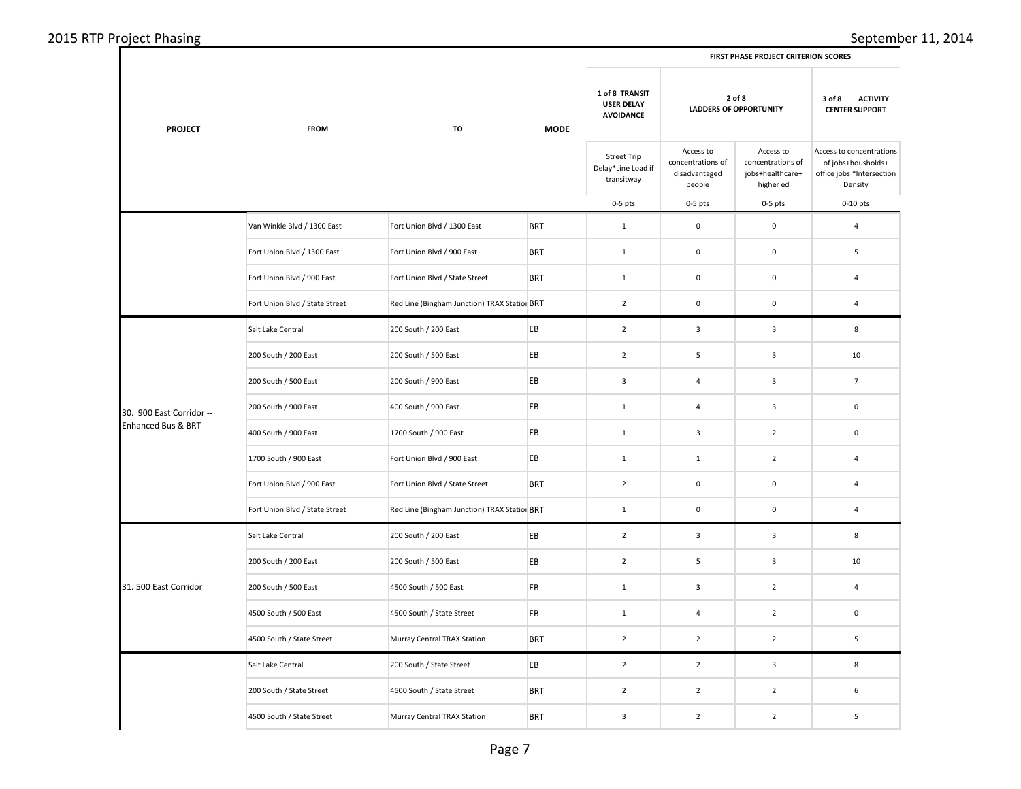| <b>PROJECT</b>           | <b>FROM</b><br><b>TO</b>       | <b>MODE</b>                                  | 1 of 8 TRANSIT<br><b>USER DELAY</b><br><b>AVOIDANCE</b> | 2 of 8<br><b>LADDERS OF OPPORTUNITY</b>                |                                                           | 3 of 8<br><b>ACTIVITY</b><br><b>CENTER SUPPORT</b>              |                                                                                        |
|--------------------------|--------------------------------|----------------------------------------------|---------------------------------------------------------|--------------------------------------------------------|-----------------------------------------------------------|-----------------------------------------------------------------|----------------------------------------------------------------------------------------|
|                          |                                |                                              |                                                         | <b>Street Trip</b><br>Delay*Line Load if<br>transitway | Access to<br>concentrations of<br>disadvantaged<br>people | Access to<br>concentrations of<br>jobs+healthcare+<br>higher ed | Access to concentrations<br>of jobs+housholds+<br>office jobs *Intersection<br>Density |
|                          |                                |                                              |                                                         | $0-5$ pts                                              | $0-5$ pts                                                 | $0-5$ pts                                                       | $0-10$ pts                                                                             |
|                          | Van Winkle Blvd / 1300 East    | Fort Union Blvd / 1300 East                  | <b>BRT</b>                                              | $\mathbf{1}$                                           | $\mathsf 0$                                               | $\mathsf 0$                                                     | $\overline{4}$                                                                         |
|                          | Fort Union Blvd / 1300 East    | Fort Union Blvd / 900 East                   | <b>BRT</b>                                              | $\mathbf{1}$                                           | $\mathsf 0$                                               | $\mathsf{O}\xspace$                                             | 5                                                                                      |
|                          | Fort Union Blvd / 900 East     | Fort Union Blvd / State Street               | <b>BRT</b>                                              | $\mathbf{1}$                                           | $\mathbf 0$                                               | $\mathsf 0$                                                     | $\overline{4}$                                                                         |
|                          | Fort Union Blvd / State Street | Red Line (Bingham Junction) TRAX Station BRT |                                                         | $\overline{2}$                                         | $\mathbf 0$                                               | $\mathsf{O}\xspace$                                             | $\sqrt{4}$                                                                             |
|                          | Salt Lake Central              | 200 South / 200 East                         | EB                                                      | $\overline{2}$                                         | $\overline{\mathbf{3}}$                                   | $\mathbf{3}$                                                    | 8                                                                                      |
|                          | 200 South / 200 East           | 200 South / 500 East                         | EB                                                      | $\overline{2}$                                         | 5                                                         | $\mathbf{3}$                                                    | 10                                                                                     |
|                          | 200 South / 500 East           | 200 South / 900 East                         | EB                                                      | $\overline{\mathbf{3}}$                                | $\overline{4}$                                            | $\mathbf{3}$                                                    | $7\overline{ }$                                                                        |
| 30. 900 East Corridor -- | 200 South / 900 East           | 400 South / 900 East                         | EB                                                      | $1\,$                                                  | $\overline{4}$                                            | $\mathbf{3}$                                                    | $\mathbf 0$                                                                            |
| Enhanced Bus & BRT       | 400 South / 900 East           | 1700 South / 900 East                        | EB                                                      | $1\,$                                                  | $\mathbf{3}$                                              | $\overline{2}$                                                  | $\mathbf 0$                                                                            |
|                          | 1700 South / 900 East          | Fort Union Blvd / 900 East                   | EB                                                      | $\,$ 1 $\,$                                            | $1\,$                                                     | $\overline{2}$                                                  | $\overline{4}$                                                                         |
|                          | Fort Union Blvd / 900 East     | Fort Union Blvd / State Street               | <b>BRT</b>                                              | $\overline{2}$                                         | $\mathbf 0$                                               | $\mathsf 0$                                                     | $\overline{4}$                                                                         |
|                          | Fort Union Blvd / State Street | Red Line (Bingham Junction) TRAX Station BRT |                                                         | $1\,$                                                  | $\mathbf 0$                                               | $\mathbf 0$                                                     | $\overline{4}$                                                                         |
|                          | Salt Lake Central              | 200 South / 200 East                         | EB                                                      | $\overline{2}$                                         | $\overline{3}$                                            | $\overline{3}$                                                  | 8                                                                                      |
|                          | 200 South / 200 East           | 200 South / 500 East                         | EB                                                      | $\overline{2}$                                         | 5                                                         | $\mathbf{3}$                                                    | 10                                                                                     |
| 31.500 East Corridor     | 200 South / 500 East           | 4500 South / 500 East                        | EB                                                      | $1\,$                                                  | $\overline{\mathbf{3}}$                                   | $\overline{2}$                                                  | $\overline{4}$                                                                         |
|                          | 4500 South / 500 East          | 4500 South / State Street                    | EB                                                      | $1\,$                                                  | $\overline{4}$                                            | $\overline{2}$                                                  | $\pmb{0}$                                                                              |
|                          | 4500 South / State Street      | Murray Central TRAX Station                  | <b>BRT</b>                                              | $\overline{2}$                                         | $\overline{2}$                                            | $\overline{2}$                                                  | 5                                                                                      |
|                          | Salt Lake Central              | 200 South / State Street                     | EB                                                      | $\overline{2}$                                         | $\overline{2}$                                            | $\mathbf{3}$                                                    | 8                                                                                      |
|                          | 200 South / State Street       | 4500 South / State Street                    | <b>BRT</b>                                              | $\overline{2}$                                         | $\overline{2}$                                            | $\overline{2}$                                                  | 6                                                                                      |
|                          | 4500 South / State Street      | Murray Central TRAX Station                  | <b>BRT</b>                                              | $\mathsf 3$                                            | $\overline{2}$                                            | $\overline{2}$                                                  | 5                                                                                      |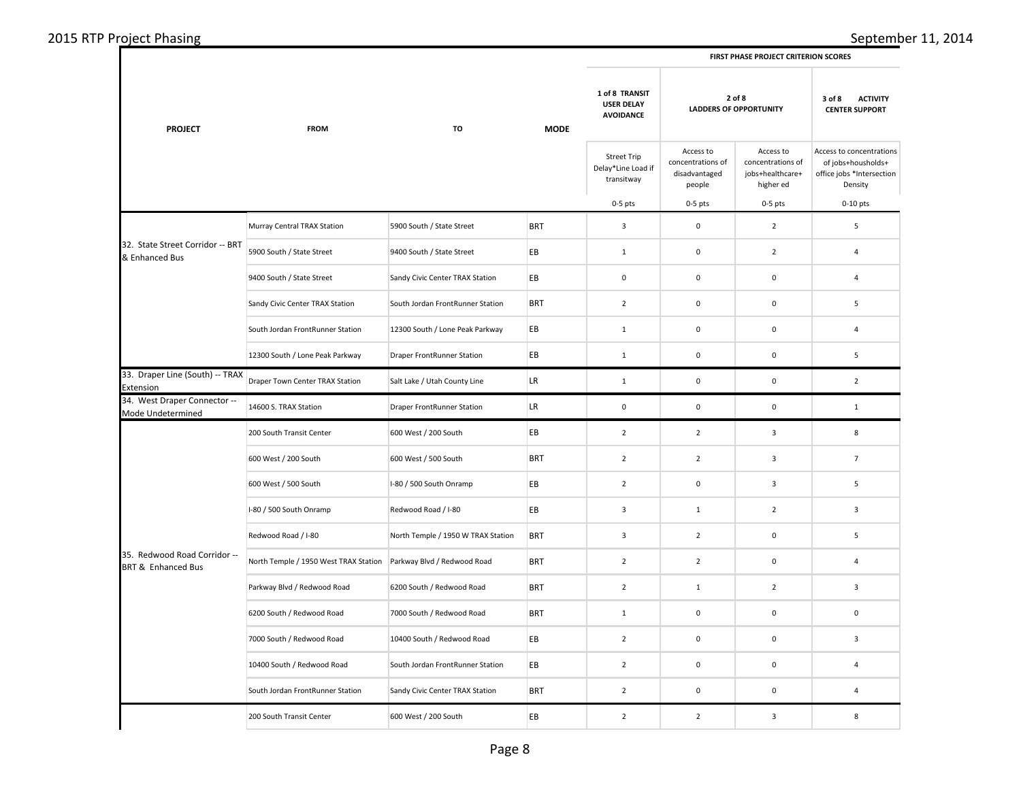## 2015 RTP Project Phasing September 11, 2014

|                                                    | <b>FROM</b>                           | TO                                 | <b>MODE</b> |                                                         |                                                           |                                                                 |                                                                                        |
|----------------------------------------------------|---------------------------------------|------------------------------------|-------------|---------------------------------------------------------|-----------------------------------------------------------|-----------------------------------------------------------------|----------------------------------------------------------------------------------------|
| <b>PROJECT</b>                                     |                                       |                                    |             | 1 of 8 TRANSIT<br><b>USER DELAY</b><br><b>AVOIDANCE</b> | 2 of 8<br><b>LADDERS OF OPPORTUNITY</b>                   |                                                                 | 3 of 8<br><b>ACTIVITY</b><br><b>CENTER SUPPORT</b>                                     |
|                                                    |                                       |                                    |             | <b>Street Trip</b><br>Delay*Line Load if<br>transitway  | Access to<br>concentrations of<br>disadvantaged<br>people | Access to<br>concentrations of<br>jobs+healthcare+<br>higher ed | Access to concentrations<br>of jobs+housholds+<br>office jobs *Intersection<br>Density |
|                                                    |                                       |                                    |             | $0-5$ pts                                               | $0-5$ pts                                                 | $0-5$ pts                                                       | $0-10$ pts                                                                             |
|                                                    | Murray Central TRAX Station           | 5900 South / State Street          | <b>BRT</b>  | 3                                                       | $\mathbf 0$                                               | $\overline{2}$                                                  | 5                                                                                      |
| 32. State Street Corridor -- BRT<br>& Enhanced Bus | 5900 South / State Street             | 9400 South / State Street          | EВ          | $\mathbf{1}$                                            | $\mathsf{O}\xspace$                                       | $\mathbf 2$                                                     | $\overline{a}$                                                                         |
|                                                    | 9400 South / State Street             | Sandy Civic Center TRAX Station    | EВ          | $\mathbf 0$                                             | $\mathbf 0$                                               | $\mathbf 0$                                                     | $\overline{4}$                                                                         |
|                                                    | Sandy Civic Center TRAX Station       | South Jordan FrontRunner Station   | <b>BRT</b>  | $\overline{2}$                                          | $\mathsf 0$                                               | $\mathbf 0$                                                     | 5                                                                                      |
|                                                    | South Jordan FrontRunner Station      | 12300 South / Lone Peak Parkway    | EВ          | $\mathbf 1$                                             | $\mathsf{O}\xspace$                                       | $\mathbf 0$                                                     | $\overline{a}$                                                                         |
|                                                    | 12300 South / Lone Peak Parkway       | <b>Draper FrontRunner Station</b>  | EB          | $\mathbf{1}$                                            | $\mathsf 0$                                               | $\mathbf 0$                                                     | 5                                                                                      |
| 33. Draper Line (South) -- TRAX<br>Extension       | Draper Town Center TRAX Station       | Salt Lake / Utah County Line       | LR.         | $\mathbf{1}$                                            | $\mathsf{O}\xspace$                                       | $\mathbf 0$                                                     | $\overline{2}$                                                                         |
| 34. West Draper Connector --<br>Mode Undetermined  | 14600 S. TRAX Station                 | <b>Draper FrontRunner Station</b>  | LR.         | $\mathbf 0$                                             | $\mathsf{O}\xspace$                                       | $\pmb{0}$                                                       | $1\,$                                                                                  |
|                                                    | 200 South Transit Center              | 600 West / 200 South               | EВ          | $\overline{2}$                                          | $\overline{2}$                                            | $\overline{\mathbf{3}}$                                         | 8                                                                                      |
|                                                    | 600 West / 200 South                  | 600 West / 500 South               | <b>BRT</b>  | $\overline{2}$                                          | $\overline{2}$                                            | $\overline{\mathbf{3}}$                                         | $\overline{7}$                                                                         |
|                                                    | 600 West / 500 South                  | I-80 / 500 South Onramp            | EВ          | $\mathbf 2$                                             | $\mathsf{O}\xspace$                                       | $\mathsf 3$                                                     | 5                                                                                      |
|                                                    | I-80 / 500 South Onramp               | Redwood Road / I-80                | EВ          | 3                                                       | $\mathbf{1}$                                              | $\overline{2}$                                                  | $\overline{3}$                                                                         |
|                                                    | Redwood Road / I-80                   | North Temple / 1950 W TRAX Station | <b>BRT</b>  | 3                                                       | $\overline{2}$                                            | $\mathbf 0$                                                     | 5                                                                                      |
| 35. Redwood Road Corridor --<br>BRT & Enhanced Bus | North Temple / 1950 West TRAX Station | Parkway Blvd / Redwood Road        | <b>BRT</b>  | $\overline{2}$                                          | $\overline{2}$                                            | $\pmb{0}$                                                       | $\overline{a}$                                                                         |
|                                                    | Parkway Blvd / Redwood Road           | 6200 South / Redwood Road          | <b>BRT</b>  | $\overline{2}$                                          | $\mathbf{1}$                                              | $\overline{2}$                                                  | 3                                                                                      |
|                                                    | 6200 South / Redwood Road             | 7000 South / Redwood Road          | <b>BRT</b>  | $\mathbf{1}$                                            | $\mathsf 0$                                               | $\pmb{0}$                                                       | $\mathbf 0$                                                                            |
|                                                    | 7000 South / Redwood Road             | 10400 South / Redwood Road         | EВ          | $\overline{2}$                                          | $\mathsf 0$                                               | $\mathbf 0$                                                     | $\overline{3}$                                                                         |
|                                                    | 10400 South / Redwood Road            | South Jordan FrontRunner Station   | EВ          | $\overline{2}$                                          | $\mathsf 0$                                               | $\mathbf 0$                                                     | $\overline{4}$                                                                         |
|                                                    | South Jordan FrontRunner Station      | Sandy Civic Center TRAX Station    | <b>BRT</b>  | $\overline{2}$                                          | $\mathsf 0$                                               | $\mathbf 0$                                                     | $\overline{4}$                                                                         |
|                                                    | 200 South Transit Center              | 600 West / 200 South               | EB          | $\mathbf 2$                                             | $\overline{2}$                                            | $\mathsf 3$                                                     | $\bf 8$                                                                                |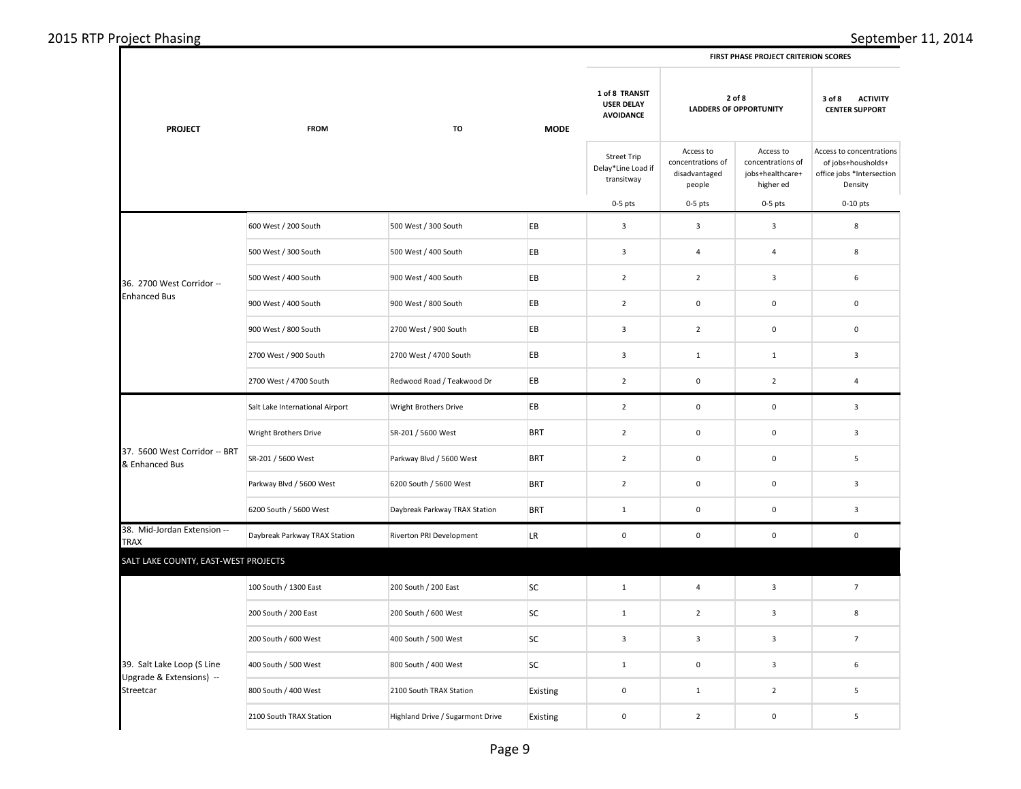| 2015 RTP Project Phasing |  |  |
|--------------------------|--|--|
|--------------------------|--|--|

 $\Gamma$ 

|  | <b>FIRST PHASE PROJECT CRITERION SCORES</b> |  |
|--|---------------------------------------------|--|
|  |                                             |  |

| <b>PROJECT</b>                                  | <b>FROM</b>                     | TO                               | <b>MODE</b> | 1 of 8 TRANSIT<br><b>USER DELAY</b><br><b>AVOIDANCE</b> | 2 of 8<br><b>LADDERS OF OPPORTUNITY</b>                   |                                                                 | 3 of 8<br><b>ACTIVITY</b><br><b>CENTER SUPPORT</b>                                     |  |
|-------------------------------------------------|---------------------------------|----------------------------------|-------------|---------------------------------------------------------|-----------------------------------------------------------|-----------------------------------------------------------------|----------------------------------------------------------------------------------------|--|
|                                                 |                                 |                                  |             | <b>Street Trip</b><br>Delay*Line Load if<br>transitway  | Access to<br>concentrations of<br>disadvantaged<br>people | Access to<br>concentrations of<br>jobs+healthcare+<br>higher ed | Access to concentrations<br>of jobs+housholds+<br>office jobs *Intersection<br>Density |  |
|                                                 |                                 |                                  |             | $0-5$ pts                                               | $0-5$ pts                                                 | $0-5$ pts                                                       | $0-10$ pts                                                                             |  |
|                                                 | 600 West / 200 South            | 500 West / 300 South             | EB          | $\mathsf 3$                                             | $\overline{\mathbf{3}}$                                   | $\overline{\mathbf{3}}$                                         | 8                                                                                      |  |
|                                                 | 500 West / 300 South            | 500 West / 400 South             | EB          | 3                                                       | 4                                                         | $\overline{a}$                                                  | 8                                                                                      |  |
| 36. 2700 West Corridor --                       | 500 West / 400 South            | 900 West / 400 South             | EB          | $\overline{2}$                                          | $\overline{2}$                                            | $\overline{\mathbf{3}}$                                         | $\boldsymbol{6}$                                                                       |  |
| <b>Enhanced Bus</b>                             | 900 West / 400 South            | 900 West / 800 South             | EB          | $\overline{2}$                                          | $\mathbf 0$                                               | 0                                                               | 0                                                                                      |  |
|                                                 | 900 West / 800 South            | 2700 West / 900 South            | EB          | $\overline{3}$                                          | $\overline{2}$                                            | $\mathsf 0$                                                     | $\pmb{0}$                                                                              |  |
|                                                 | 2700 West / 900 South           | 2700 West / 4700 South           | EB          | $\overline{\mathbf{3}}$                                 | $\mathbf{1}$                                              | $\mathbf{1}$                                                    | 3                                                                                      |  |
|                                                 | 2700 West / 4700 South          | Redwood Road / Teakwood Dr       | EB          | $\overline{2}$                                          | $\mathbf 0$                                               | $\overline{2}$                                                  | 4                                                                                      |  |
|                                                 | Salt Lake International Airport | Wright Brothers Drive            | EB          | $\overline{2}$                                          | $\pmb{0}$                                                 | $\pmb{0}$                                                       | 3                                                                                      |  |
|                                                 | Wright Brothers Drive           | SR-201 / 5600 West               | <b>BRT</b>  | $\overline{2}$                                          | $\mathbf 0$                                               | $\mathsf 0$                                                     | 3                                                                                      |  |
| 37. 5600 West Corridor -- BRT<br>& Enhanced Bus | SR-201 / 5600 West              | Parkway Blvd / 5600 West         | <b>BRT</b>  | $\overline{2}$                                          | $\pmb{0}$                                                 | $\mathbf 0$                                                     | 5                                                                                      |  |
|                                                 | Parkway Blvd / 5600 West        | 6200 South / 5600 West           | <b>BRT</b>  | $\overline{2}$                                          | $\mathbf 0$                                               | $\pmb{0}$                                                       | 3                                                                                      |  |
|                                                 | 6200 South / 5600 West          | Daybreak Parkway TRAX Station    | <b>BRT</b>  | $\mathbf{1}$                                            | $\pmb{0}$                                                 | $\mathsf 0$                                                     | 3                                                                                      |  |
| 38. Mid-Jordan Extension --<br><b>TRAX</b>      | Daybreak Parkway TRAX Station   | Riverton PRI Development         | <b>LR</b>   | $\mathbf 0$                                             | $\pmb{0}$                                                 | $\mathsf 0$                                                     | $\pmb{0}$                                                                              |  |
| SALT LAKE COUNTY, EAST-WEST PROJECTS            |                                 |                                  |             |                                                         |                                                           |                                                                 |                                                                                        |  |
|                                                 | 100 South / 1300 East           | 200 South / 200 East             | <b>SC</b>   | $\mathbf{1}$                                            | $\overline{4}$                                            | $\overline{\mathbf{3}}$                                         | $\overline{7}$                                                                         |  |
|                                                 | 200 South / 200 East            | 200 South / 600 West             | SC          | $\mathbf{1}$                                            | $\mathbf 2$                                               | $\overline{\mathbf{3}}$                                         | 8                                                                                      |  |
|                                                 | 200 South / 600 West            | 400 South / 500 West             | <b>SC</b>   | 3                                                       | 3                                                         | $\overline{3}$                                                  | $\overline{7}$                                                                         |  |
| 39. Salt Lake Loop (S Line                      | 400 South / 500 West            | 800 South / 400 West             | SC          | 1                                                       | $\pmb{0}$                                                 | $\overline{\mathbf{3}}$                                         | 6                                                                                      |  |
| Upgrade & Extensions) --<br>Streetcar           | 800 South / 400 West            | 2100 South TRAX Station          | Existing    | $\pmb{0}$                                               | $\mathbf 1$                                               | $\overline{2}$                                                  | 5                                                                                      |  |
|                                                 | 2100 South TRAX Station         | Highland Drive / Sugarmont Drive | Existing    | $\mathbf 0$                                             | $\overline{2}$                                            | $\pmb{0}$                                                       | 5                                                                                      |  |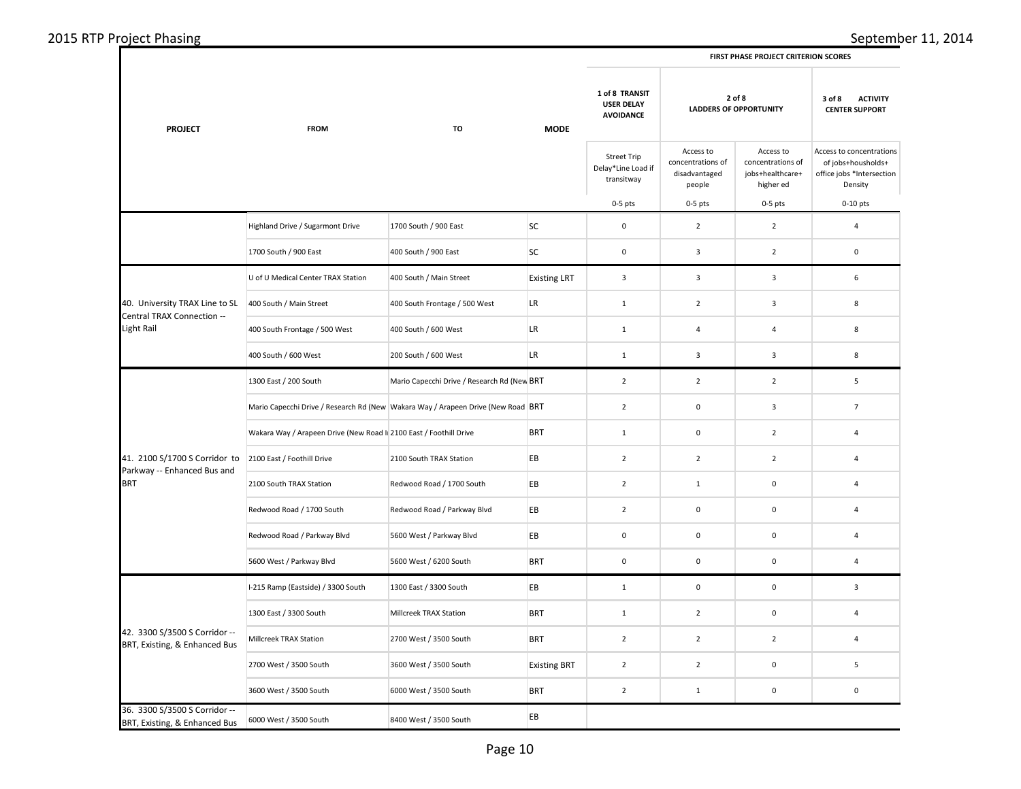| <b>PROJECT</b>                                                 | <b>FROM</b><br>TO                                                                    |                                             | <b>MODE</b>         | 1 of 8 TRANSIT<br><b>USER DELAY</b><br><b>AVOIDANCE</b> | 2 of 8<br><b>LADDERS OF OPPORTUNITY</b>                   |                                                                 | 3 of 8<br><b>ACTIVITY</b><br><b>CENTER SUPPORT</b>                                     |  |
|----------------------------------------------------------------|--------------------------------------------------------------------------------------|---------------------------------------------|---------------------|---------------------------------------------------------|-----------------------------------------------------------|-----------------------------------------------------------------|----------------------------------------------------------------------------------------|--|
|                                                                |                                                                                      |                                             |                     | <b>Street Trip</b><br>Delay*Line Load if<br>transitway  | Access to<br>concentrations of<br>disadvantaged<br>people | Access to<br>concentrations of<br>jobs+healthcare+<br>higher ed | Access to concentrations<br>of jobs+housholds+<br>office jobs *Intersection<br>Density |  |
|                                                                |                                                                                      |                                             |                     | $0-5$ pts                                               | $0-5$ pts                                                 | $0-5$ pts                                                       | $0-10$ pts                                                                             |  |
|                                                                | Highland Drive / Sugarmont Drive                                                     | 1700 South / 900 East                       | SC                  | $\mathbf 0$                                             | $\overline{2}$                                            | $\overline{2}$                                                  | $\overline{4}$                                                                         |  |
|                                                                | 1700 South / 900 East                                                                | 400 South / 900 East                        | <b>SC</b>           | $\mathbf 0$                                             | 3                                                         | $\overline{2}$                                                  | $\mathbf 0$                                                                            |  |
|                                                                | U of U Medical Center TRAX Station                                                   | 400 South / Main Street                     | <b>Existing LRT</b> | $\overline{\mathbf{3}}$                                 | 3                                                         | $\mathbf{3}$                                                    | 6                                                                                      |  |
| 40. University TRAX Line to SL<br>Central TRAX Connection --   | 400 South / Main Street                                                              | 400 South Frontage / 500 West               | <b>LR</b>           | $\mathbf{1}$                                            | $\overline{2}$                                            | $\overline{\mathbf{3}}$                                         | 8                                                                                      |  |
| Light Rail                                                     | 400 South Frontage / 500 West                                                        | 400 South / 600 West                        | LR                  | $\mathbf 1$                                             | $\sqrt{4}$                                                | 4                                                               | $\bf 8$                                                                                |  |
|                                                                | 400 South / 600 West                                                                 | 200 South / 600 West                        | <b>LR</b>           | $\mathbf{1}$                                            | 3                                                         | $\mathbf{3}$                                                    | 8                                                                                      |  |
|                                                                | 1300 East / 200 South                                                                | Mario Capecchi Drive / Research Rd (New BRT |                     | $\overline{2}$                                          | $\overline{2}$                                            | $\overline{2}$                                                  | 5                                                                                      |  |
|                                                                | Mario Capecchi Drive / Research Rd (New   Wakara Way / Arapeen Drive (New Road   BRT |                                             |                     | $\overline{2}$                                          | $\mathbf 0$                                               | $\mathbf{3}$                                                    | $\overline{7}$                                                                         |  |
|                                                                | Wakara Way / Arapeen Drive (New Road I 2100 East / Foothill Drive                    |                                             | <b>BRT</b>          | $\mathbf{1}$                                            | $\mathbf 0$                                               | $\overline{2}$                                                  | $\overline{4}$                                                                         |  |
| 41. 2100 S/1700 S Corridor to<br>Parkway -- Enhanced Bus and   | 2100 East / Foothill Drive                                                           | 2100 South TRAX Station                     | EB                  | $\overline{2}$                                          | $\mathbf 2$                                               | $\overline{2}$                                                  | $\overline{4}$                                                                         |  |
| <b>BRT</b>                                                     | 2100 South TRAX Station                                                              | Redwood Road / 1700 South                   | EB                  | $\overline{2}$                                          | $\mathbf{1}$                                              | $\mathbf 0$                                                     | $\overline{4}$                                                                         |  |
|                                                                | Redwood Road / 1700 South                                                            | Redwood Road / Parkway Blvd                 | EB                  | $\overline{2}$                                          | $\mathbf 0$                                               | $\mathbf 0$                                                     | $\overline{4}$                                                                         |  |
|                                                                | Redwood Road / Parkway Blvd                                                          | 5600 West / Parkway Blvd                    | EB                  | $\mathbf 0$                                             | $\mathbf 0$                                               | 0                                                               | 4                                                                                      |  |
|                                                                | 5600 West / Parkway Blvd                                                             | 5600 West / 6200 South                      | <b>BRT</b>          | $\mathbf 0$                                             | $\pmb{0}$                                                 | $\mathbf 0$                                                     | $\overline{4}$                                                                         |  |
|                                                                | I-215 Ramp (Eastside) / 3300 South                                                   | 1300 East / 3300 South                      | EB                  | $\mathbf{1}$                                            | $\mathbf 0$                                               | $\mathbf 0$                                                     | 3                                                                                      |  |
|                                                                | 1300 East / 3300 South                                                               | Millcreek TRAX Station                      | <b>BRT</b>          | $\mathbf{1}$                                            | $\overline{2}$                                            | $\mathsf{O}\xspace$                                             | $\overline{4}$                                                                         |  |
| 42. 3300 S/3500 S Corridor --<br>BRT, Existing, & Enhanced Bus | Millcreek TRAX Station                                                               | 2700 West / 3500 South                      | <b>BRT</b>          | $\overline{2}$                                          | $\overline{2}$                                            | $\overline{2}$                                                  | $\overline{4}$                                                                         |  |
|                                                                | 2700 West / 3500 South                                                               | 3600 West / 3500 South                      | <b>Existing BRT</b> | $\overline{2}$                                          | $\overline{2}$                                            | 0                                                               | 5                                                                                      |  |
|                                                                | 3600 West / 3500 South                                                               | 6000 West / 3500 South                      | <b>BRT</b>          | $\overline{2}$                                          | $\mathbf 1$                                               | $\mathsf 0$                                                     | $\mathbf 0$                                                                            |  |
| 36. 3300 S/3500 S Corridor --<br>BRT, Existing, & Enhanced Bus | 6000 West / 3500 South                                                               | 8400 West / 3500 South                      | EB                  |                                                         |                                                           |                                                                 |                                                                                        |  |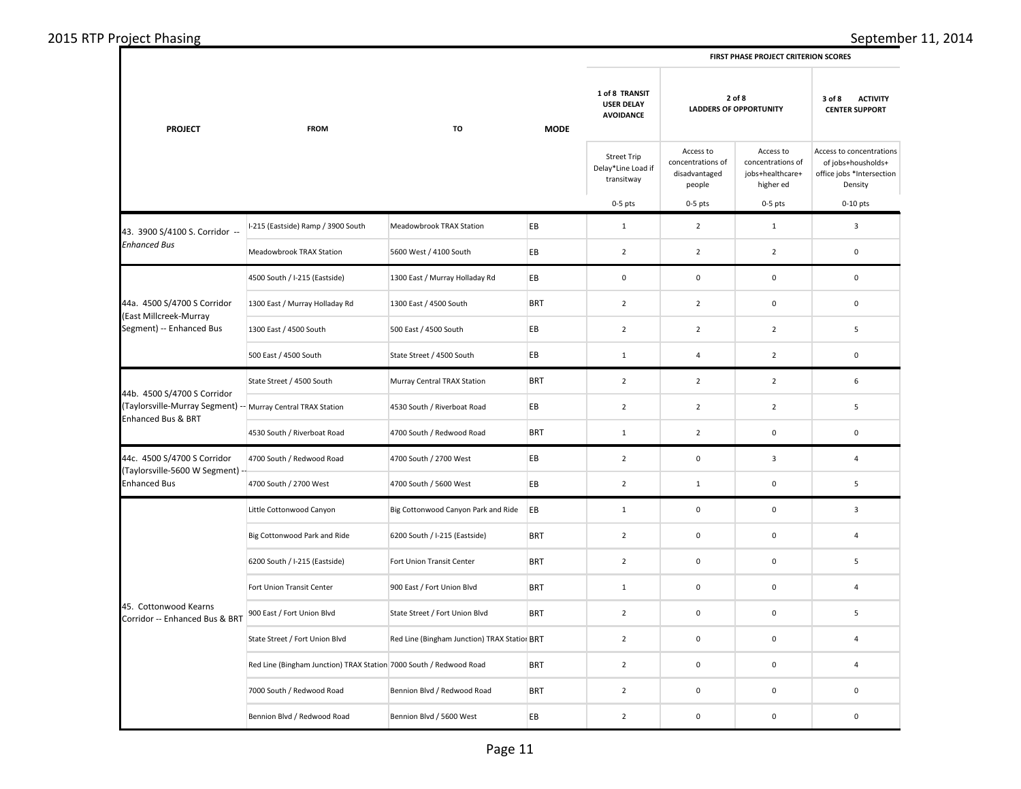| 2015 RTP Project Phasing |  |  |  |
|--------------------------|--|--|--|
|--------------------------|--|--|--|

|                                                                                    |                                                                    |                                              |             | FIRST PHASE PROJECT CRITERION SCORES                    |                                                           |                                                                 |                                                                                        |  |
|------------------------------------------------------------------------------------|--------------------------------------------------------------------|----------------------------------------------|-------------|---------------------------------------------------------|-----------------------------------------------------------|-----------------------------------------------------------------|----------------------------------------------------------------------------------------|--|
| <b>PROJECT</b>                                                                     | <b>FROM</b>                                                        | TO                                           | <b>MODE</b> | 1 of 8 TRANSIT<br><b>USER DELAY</b><br><b>AVOIDANCE</b> | 2 of 8<br><b>LADDERS OF OPPORTUNITY</b>                   |                                                                 | 3 of 8<br><b>ACTIVITY</b><br><b>CENTER SUPPORT</b>                                     |  |
|                                                                                    |                                                                    |                                              |             | <b>Street Trip</b><br>Delay*Line Load if<br>transitway  | Access to<br>concentrations of<br>disadvantaged<br>people | Access to<br>concentrations of<br>jobs+healthcare+<br>higher ed | Access to concentrations<br>of jobs+housholds+<br>office jobs *Intersection<br>Density |  |
|                                                                                    |                                                                    |                                              |             | $0-5$ pts                                               | $0-5$ pts                                                 | $0-5$ pts                                                       | $0-10$ pts                                                                             |  |
| 43. 3900 S/4100 S. Corridor --                                                     | I-215 (Eastside) Ramp / 3900 South                                 | Meadowbrook TRAX Station                     | EB          | $\mathbf{1}$                                            | $\overline{2}$                                            | $\mathbf 1$                                                     | $\mathbf{3}$                                                                           |  |
| <b>Enhanced Bus</b>                                                                | Meadowbrook TRAX Station                                           | 5600 West / 4100 South                       | EB          | $\mathbf 2$                                             | $\overline{2}$                                            | $\mathbf 2$                                                     | $\mathbf 0$                                                                            |  |
|                                                                                    | 4500 South / I-215 (Eastside)                                      | 1300 East / Murray Holladay Rd               | EВ          | $\pmb{0}$                                               | $\mathbf 0$                                               | $\pmb{0}$                                                       | 0                                                                                      |  |
| 44a. 4500 S/4700 S Corridor<br>(East Millcreek-Murray                              | 1300 East / Murray Holladay Rd                                     | 1300 East / 4500 South                       | <b>BRT</b>  | $\overline{2}$                                          | $\overline{2}$                                            | $\pmb{0}$                                                       | $\mathbf 0$                                                                            |  |
| Segment) -- Enhanced Bus                                                           | 1300 East / 4500 South                                             | 500 East / 4500 South                        | EB          | $\mathbf 2$                                             | $\overline{2}$                                            | $\mathbf 2$                                                     | 5                                                                                      |  |
|                                                                                    | 500 East / 4500 South                                              | State Street / 4500 South                    | EB          | $\mathbf 1$                                             | $\overline{4}$                                            | $\overline{2}$                                                  | $\mathbf 0$                                                                            |  |
| 44b. 4500 S/4700 S Corridor                                                        | State Street / 4500 South                                          | Murray Central TRAX Station                  | <b>BRT</b>  | $\overline{2}$                                          | $\overline{2}$                                            | $\overline{2}$                                                  | 6                                                                                      |  |
| (Taylorsville-Murray Segment) -- Murray Central TRAX Station<br>Enhanced Bus & BRT |                                                                    | 4530 South / Riverboat Road                  | EВ          | $\overline{2}$                                          | $\overline{2}$                                            | $\overline{2}$                                                  | 5                                                                                      |  |
|                                                                                    | 4530 South / Riverboat Road                                        | 4700 South / Redwood Road                    | <b>BRT</b>  | $\mathbf 1$                                             | $\overline{2}$                                            | $\pmb{0}$                                                       | $\mathbf 0$                                                                            |  |
| 44c. 4500 S/4700 S Corridor<br>(Taylorsville-5600 W Segment)                       | 4700 South / Redwood Road                                          | 4700 South / 2700 West                       | EВ          | $\overline{2}$                                          | $\mathbf 0$                                               | 3                                                               | $\overline{4}$                                                                         |  |
| <b>Enhanced Bus</b>                                                                | 4700 South / 2700 West                                             | 4700 South / 5600 West                       | EB          | $\overline{2}$                                          | $\mathbf{1}$                                              | $\pmb{0}$                                                       | 5                                                                                      |  |
|                                                                                    | Little Cottonwood Canyon                                           | Big Cottonwood Canyon Park and Ride          | EB          | $\mathbf{1}$                                            | $\mathsf 0$                                               | $\pmb{0}$                                                       | $\overline{3}$                                                                         |  |
|                                                                                    | Big Cottonwood Park and Ride                                       | 6200 South / I-215 (Eastside)                | <b>BRT</b>  | $\overline{2}$                                          | $\mathbf 0$                                               | $\pmb{0}$                                                       | 4                                                                                      |  |
|                                                                                    | 6200 South / I-215 (Eastside)                                      | Fort Union Transit Center                    | <b>BRT</b>  | $\overline{2}$                                          | $\mathsf 0$                                               | $\mathbf 0$                                                     | 5                                                                                      |  |
|                                                                                    | Fort Union Transit Center                                          | 900 East / Fort Union Blvd                   | <b>BRT</b>  | $\mathbf 1$                                             | $\mathbf 0$                                               | $\pmb{0}$                                                       | $\overline{4}$                                                                         |  |
| 45. Cottonwood Kearns<br>Corridor -- Enhanced Bus & BRT                            | 900 East / Fort Union Blvd                                         | State Street / Fort Union Blvd               | <b>BRT</b>  | $\overline{2}$                                          | $\mathsf 0$                                               | $\pmb{0}$                                                       | 5                                                                                      |  |
|                                                                                    | State Street / Fort Union Blvd                                     | Red Line (Bingham Junction) TRAX Station BRT |             | $\overline{2}$                                          | $\mathbf 0$                                               | $\mathbf 0$                                                     | $\overline{4}$                                                                         |  |
|                                                                                    | Red Line (Bingham Junction) TRAX Station 7000 South / Redwood Road |                                              | <b>BRT</b>  | $\overline{2}$                                          | $\mathsf 0$                                               | $\mathbf 0$                                                     | $\overline{4}$                                                                         |  |
|                                                                                    | 7000 South / Redwood Road                                          | Bennion Blvd / Redwood Road                  | <b>BRT</b>  | $\overline{2}$                                          | $\mathbf 0$                                               | $\pmb{0}$                                                       | $\mathbf 0$                                                                            |  |
|                                                                                    | Bennion Blvd / Redwood Road                                        | Bennion Blvd / 5600 West                     | EВ          | $\overline{2}$                                          | $\mathbf 0$                                               | $\mathbf 0$                                                     | 0                                                                                      |  |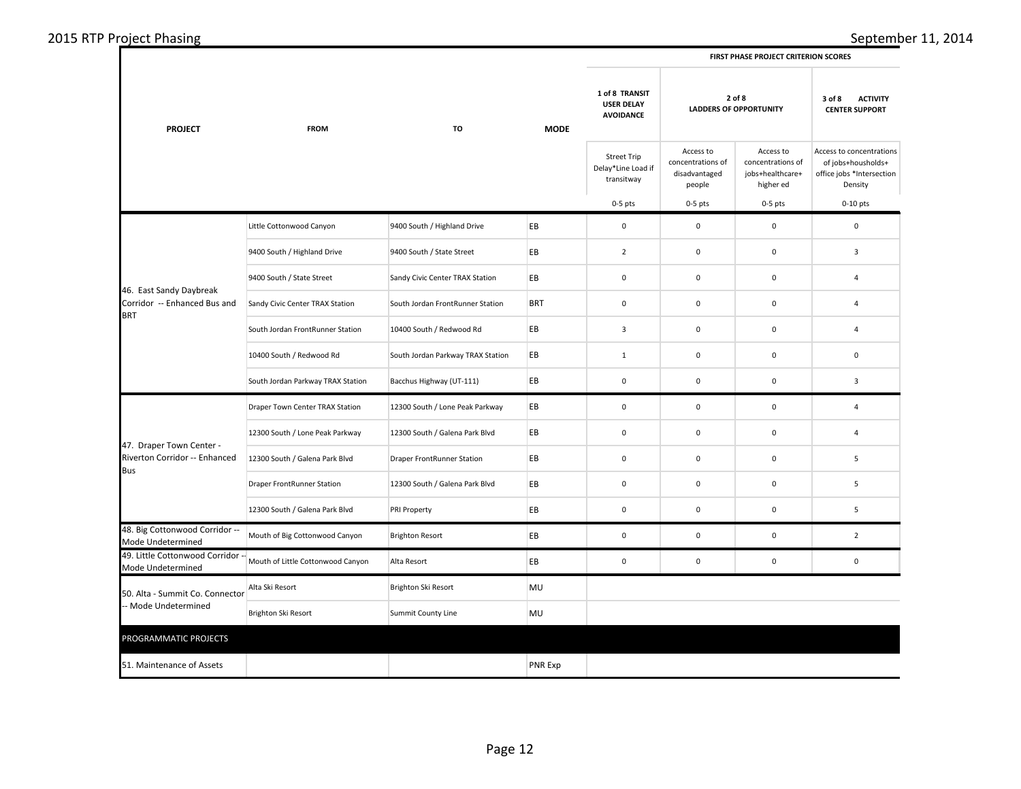| 2015 RTP Project Phasing |  |
|--------------------------|--|
|--------------------------|--|

|  | <b>FIRST PHASE PROJECT CRITERION SCORES</b> |
|--|---------------------------------------------|
|  |                                             |

| <b>PROJECT</b>                                                                                                                                                                           | <b>FROM</b>                       | TO                                | <b>MODE</b>    | 1 of 8 TRANSIT<br><b>USER DELAY</b><br><b>AVOIDANCE</b> |                                                           | 2 of 8<br><b>LADDERS OF OPPORTUNITY</b>                         |                                                                                        |
|------------------------------------------------------------------------------------------------------------------------------------------------------------------------------------------|-----------------------------------|-----------------------------------|----------------|---------------------------------------------------------|-----------------------------------------------------------|-----------------------------------------------------------------|----------------------------------------------------------------------------------------|
|                                                                                                                                                                                          |                                   |                                   |                | <b>Street Trip</b><br>Delay*Line Load if<br>transitway  | Access to<br>concentrations of<br>disadvantaged<br>people | Access to<br>concentrations of<br>jobs+healthcare+<br>higher ed | Access to concentrations<br>of jobs+housholds+<br>office jobs *Intersection<br>Density |
|                                                                                                                                                                                          |                                   |                                   |                | $0-5$ pts                                               | $0-5$ pts                                                 | $0-5$ pts                                                       | $0-10$ pts                                                                             |
|                                                                                                                                                                                          | Little Cottonwood Canyon          | 9400 South / Highland Drive       | EB             | $\pmb{0}$                                               | $\mathbf 0$                                               | $\mathbf 0$                                                     | $\mathbf 0$                                                                            |
|                                                                                                                                                                                          | 9400 South / Highland Drive       | 9400 South / State Street         | EB             | $\overline{2}$                                          | $\mathbf 0$                                               | $\mathbf 0$                                                     | 3                                                                                      |
|                                                                                                                                                                                          | 9400 South / State Street         | Sandy Civic Center TRAX Station   | EB             | 0                                                       | 0                                                         | 0                                                               | 4                                                                                      |
| Corridor -- Enhanced Bus and                                                                                                                                                             | Sandy Civic Center TRAX Station   | South Jordan FrontRunner Station  | <b>BRT</b>     | $\mathbf 0$                                             | $\mathbf 0$                                               | $\mathbf 0$                                                     | $\overline{4}$                                                                         |
|                                                                                                                                                                                          | South Jordan FrontRunner Station  | 10400 South / Redwood Rd          | EB             | $\overline{\mathbf{3}}$                                 | $\mathbf 0$                                               | $\pmb{0}$                                                       | 4                                                                                      |
|                                                                                                                                                                                          | 10400 South / Redwood Rd          | South Jordan Parkway TRAX Station | EB             | $\mathbf{1}$                                            | 0                                                         | $\mathsf 0$                                                     | $\mathsf 0$                                                                            |
|                                                                                                                                                                                          | South Jordan Parkway TRAX Station | Bacchus Highway (UT-111)          | EB             | $\mathbf 0$                                             | $\mathbf 0$                                               | $\mathbf 0$                                                     | $\overline{\mathbf{3}}$                                                                |
|                                                                                                                                                                                          | Draper Town Center TRAX Station   | 12300 South / Lone Peak Parkway   | EB             | $\mathbf 0$                                             | $\mathbf 0$                                               | $\mathbf 0$                                                     | $\overline{4}$                                                                         |
|                                                                                                                                                                                          | 12300 South / Lone Peak Parkway   | 12300 South / Galena Park Blvd    | EB             | $\pmb{0}$                                               | $\pmb{0}$                                                 | $\mathbf 0$                                                     | $\overline{4}$                                                                         |
| Riverton Corridor -- Enhanced                                                                                                                                                            | 12300 South / Galena Park Blvd    | Draper FrontRunner Station        | EB             | $\mathbf 0$                                             | $\mathbf 0$                                               | $\mathsf 0$                                                     | 5                                                                                      |
|                                                                                                                                                                                          | Draper FrontRunner Station        | 12300 South / Galena Park Blvd    | EB             | $\pmb{0}$                                               | 0                                                         | 0                                                               | 5                                                                                      |
|                                                                                                                                                                                          | 12300 South / Galena Park Blvd    | PRI Property                      | EB             | $\mathbf 0$                                             | $\mathbf 0$                                               | $\mathbf 0$                                                     | 5                                                                                      |
| 48. Big Cottonwood Corridor --<br>Mode Undetermined                                                                                                                                      | Mouth of Big Cottonwood Canyon    | <b>Brighton Resort</b>            | EB             | 0                                                       | 0                                                         | 0                                                               | $\overline{2}$                                                                         |
| 49. Little Cottonwood Corridor --<br>Mode Undetermined                                                                                                                                   | Mouth of Little Cottonwood Canyon | Alta Resort                       | EB             | $\mathbf 0$                                             | 0                                                         | $\mathsf{O}\xspace$                                             | $\mathsf 0$                                                                            |
| 46. East Sandy Daybreak<br><b>BRT</b><br>47. Draper Town Center -<br>Bus<br>50. Alta - Summit Co. Connector<br>- Mode Undetermined<br>PROGRAMMATIC PROJECTS<br>51. Maintenance of Assets | Alta Ski Resort                   | Brighton Ski Resort               | MU             |                                                         |                                                           |                                                                 |                                                                                        |
|                                                                                                                                                                                          | Brighton Ski Resort               | <b>Summit County Line</b>         | MU             |                                                         |                                                           |                                                                 |                                                                                        |
|                                                                                                                                                                                          |                                   |                                   |                |                                                         |                                                           |                                                                 |                                                                                        |
|                                                                                                                                                                                          |                                   |                                   | <b>PNR Exp</b> |                                                         |                                                           |                                                                 |                                                                                        |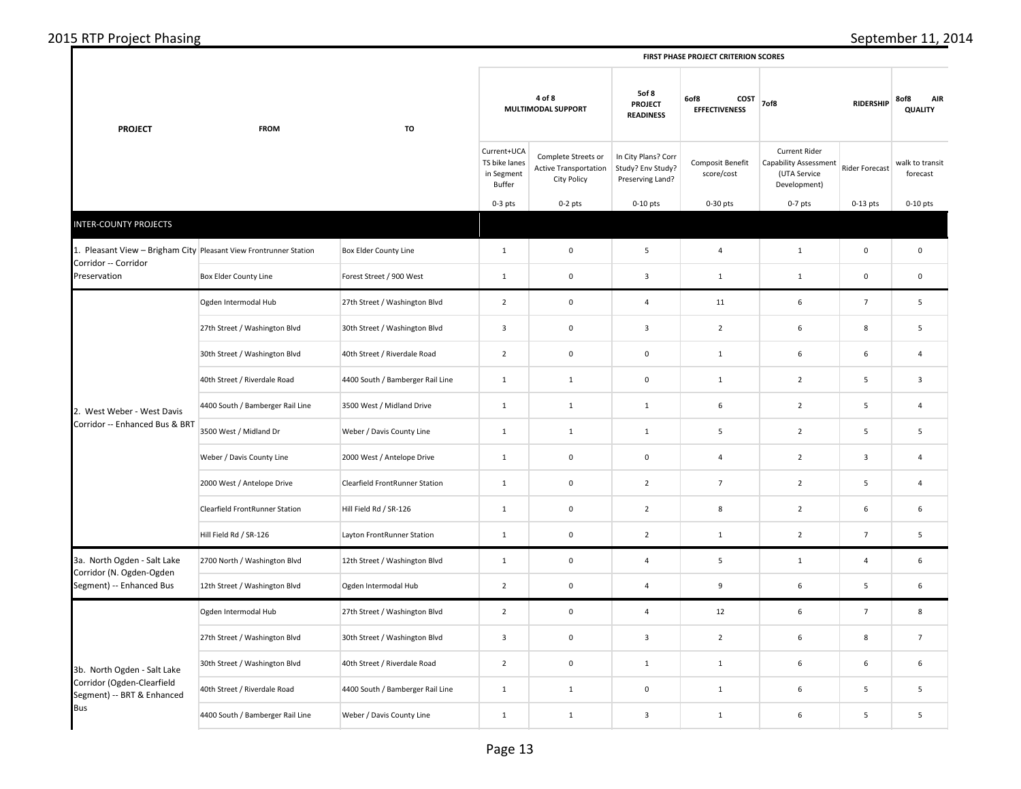|  |  | 2015 RTP Project Phasing |  |
|--|--|--------------------------|--|
|--|--|--------------------------|--|

 $\mathbf I$ 

| <b>PROJECT</b>                                                                            | <b>FROM</b>                           | TO                               |                                                      | 4 of 8<br>MULTIMODAL SUPPORT                                       | 5of 8<br><b>PROJECT</b><br><b>READINESS</b>                  | 6of8<br>COST<br><b>EFFECTIVENESS</b> | 7of8                                                                                 | <b>RIDERSHIP</b>    | 8of8<br>AIR<br><b>QUALITY</b> |
|-------------------------------------------------------------------------------------------|---------------------------------------|----------------------------------|------------------------------------------------------|--------------------------------------------------------------------|--------------------------------------------------------------|--------------------------------------|--------------------------------------------------------------------------------------|---------------------|-------------------------------|
|                                                                                           |                                       |                                  | Current+UCA<br>TS bike lanes<br>in Segment<br>Buffer | Complete Streets or<br><b>Active Transportation</b><br>City Policy | In City Plans? Corr<br>Study? Env Study?<br>Preserving Land? | Composit Benefit<br>score/cost       | <b>Current Rider</b><br><b>Capability Assessment</b><br>(UTA Service<br>Development) | Rider Forecast      | walk to transit<br>forecast   |
|                                                                                           |                                       |                                  | $0-3$ pts                                            | $0-2$ pts                                                          | $0-10$ pts                                                   | $0-30$ pts                           | $0-7$ pts                                                                            | $0-13$ pts          | $0-10$ pts                    |
| <b>INTER-COUNTY PROJECTS</b>                                                              |                                       |                                  |                                                      |                                                                    |                                                              |                                      |                                                                                      |                     |                               |
| 1. Pleasant View - Brigham City Pleasant View Frontrunner Station<br>Corridor -- Corridor |                                       | <b>Box Elder County Line</b>     | $\mathbf{1}$                                         | $\mathbf 0$                                                        | 5                                                            | $\overline{a}$                       | $\mathbf 1$                                                                          | $\mathsf{O}\xspace$ | $\mathbf 0$                   |
| Preservation                                                                              | Box Elder County Line                 | Forest Street / 900 West         | $\mathbf{1}$                                         | $\mathbf 0$                                                        | $\overline{\mathbf{3}}$                                      | $\mathbf{1}$                         | $\mathbf{1}$                                                                         | $\mathsf{O}\xspace$ | $\mathbf 0$                   |
|                                                                                           | Ogden Intermodal Hub                  | 27th Street / Washington Blvd    | $\overline{2}$                                       | $\mathbf 0$                                                        | $\overline{4}$                                               | 11                                   | 6                                                                                    | $\overline{7}$      | 5                             |
|                                                                                           | 27th Street / Washington Blvd         | 30th Street / Washington Blvd    | $\overline{\mathbf{3}}$                              | $\mathbf 0$                                                        | $\overline{\mathbf{3}}$                                      | $\overline{2}$                       | 6                                                                                    | 8                   | 5                             |
|                                                                                           | 30th Street / Washington Blvd         | 40th Street / Riverdale Road     | $\overline{2}$                                       | $\mathbf 0$                                                        | $\mathsf 0$                                                  | $\mathbf{1}$                         | 6                                                                                    | 6                   | $\overline{4}$                |
|                                                                                           | 40th Street / Riverdale Road          | 4400 South / Bamberger Rail Line | $\mathbf{1}$                                         | $\mathbf{1}$                                                       | $\pmb{0}$                                                    | $\mathbf{1}$                         | $\overline{2}$                                                                       | 5                   | 3                             |
| 2. West Weber - West Davis                                                                | 4400 South / Bamberger Rail Line      | 3500 West / Midland Drive        | $\mathbf{1}$                                         | $\mathbf{1}$                                                       | $\mathbf{1}$                                                 | $\,$ 6 $\,$                          | $\overline{2}$                                                                       | 5                   | $\overline{4}$                |
| Corridor -- Enhanced Bus & BRT                                                            | 3500 West / Midland Dr                | Weber / Davis County Line        | $\mathbf{1}$                                         | $\mathbf{1}$                                                       | $\mathbf{1}$                                                 | 5                                    | $\overline{2}$                                                                       | 5                   | 5                             |
|                                                                                           | Weber / Davis County Line             | 2000 West / Antelope Drive       | $\mathbf{1}$                                         | $\mathbf 0$                                                        | $\mathsf 0$                                                  | $\overline{4}$                       | $\overline{2}$                                                                       | $\overline{3}$      | 4                             |
|                                                                                           | 2000 West / Antelope Drive            | Clearfield FrontRunner Station   | $\mathbf 1$                                          | $\mathbf 0$                                                        | $\overline{2}$                                               | $\overline{7}$                       | $\overline{2}$                                                                       | 5                   | 4                             |
|                                                                                           | <b>Clearfield FrontRunner Station</b> | Hill Field Rd / SR-126           | $\mathbf{1}$                                         | $\mathsf 0$                                                        | $\overline{2}$                                               | 8                                    | $\overline{2}$                                                                       | 6                   | 6                             |
|                                                                                           | Hill Field Rd / SR-126                | Layton FrontRunner Station       | $\mathbf 1$                                          | $\mathbf 0$                                                        | $\overline{2}$                                               | $\mathbf{1}$                         | $\overline{2}$                                                                       | $\overline{7}$      | 5                             |
| 3a. North Ogden - Salt Lake<br>Corridor (N. Ogden-Ogden                                   | 2700 North / Washington Blvd          | 12th Street / Washington Blvd    | $\mathbf{1}$                                         | $\mathbf 0$                                                        | $\overline{4}$                                               | $\mathbf{5}$                         | $\mathbf{1}$                                                                         | $\overline{4}$      | 6                             |
| Segment) -- Enhanced Bus                                                                  | 12th Street / Washington Blvd         | Ogden Intermodal Hub             | $\overline{2}$                                       | $\mathbf 0$                                                        | $\overline{4}$                                               | $\boldsymbol{9}$                     | 6                                                                                    | 5                   | 6                             |
|                                                                                           | Ogden Intermodal Hub                  | 27th Street / Washington Blvd    | $\overline{2}$                                       | $\mathbf 0$                                                        | $\overline{4}$                                               | 12                                   | 6                                                                                    | $\overline{7}$      | 8                             |
|                                                                                           | 27th Street / Washington Blvd         | 30th Street / Washington Blvd    | $\mathbf{3}$                                         | $\mathbf 0$                                                        | $\overline{\mathbf{3}}$                                      | $\overline{2}$                       | 6                                                                                    | 8                   | $\overline{7}$                |
| 3b. North Ogden - Salt Lake                                                               | 30th Street / Washington Blvd         | 40th Street / Riverdale Road     | $\overline{2}$                                       | $\mathbf 0$                                                        | $\mathbf{1}$                                                 | $\mathbf{1}$                         | 6                                                                                    | 6                   | 6                             |
| Corridor (Ogden-Clearfield<br>Segment) -- BRT & Enhanced                                  | 40th Street / Riverdale Road          | 4400 South / Bamberger Rail Line | $\mathbf{1}$                                         | $\mathbf{1}$                                                       | $\mathsf 0$                                                  | $\mathbf{1}$                         | 6                                                                                    | $\sf 5$             | 5                             |
| <b>Bus</b>                                                                                | 4400 South / Bamberger Rail Line      | Weber / Davis County Line        | $\mathbf{1}$                                         | $\mathbf{1}$                                                       | $\overline{\mathbf{3}}$                                      | $\mathbf{1}$                         | 6                                                                                    | 5                   | 5                             |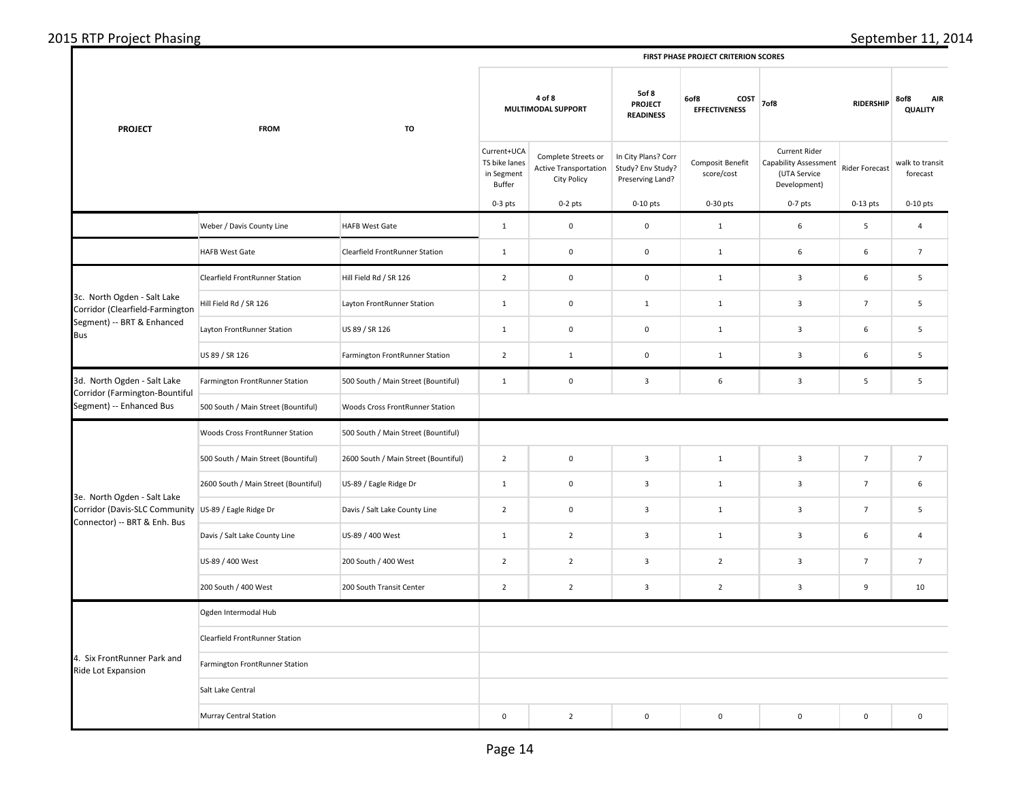| <b>PROJECT</b>                                                                                                      | <b>FROM</b>                          | TO                                   |                                                      | 4 of 8<br>MULTIMODAL SUPPORT                                              |                                                              | 6of8<br>COST<br><b>EFFECTIVENESS</b> | <b>RIDERSHIP</b><br>7of8                                                      |                | <b>AIR</b><br>8of8<br><b>QUALITY</b> |  |
|---------------------------------------------------------------------------------------------------------------------|--------------------------------------|--------------------------------------|------------------------------------------------------|---------------------------------------------------------------------------|--------------------------------------------------------------|--------------------------------------|-------------------------------------------------------------------------------|----------------|--------------------------------------|--|
|                                                                                                                     |                                      |                                      | Current+UCA<br>TS bike lanes<br>in Segment<br>Buffer | Complete Streets or<br><b>Active Transportation</b><br><b>City Policy</b> | In City Plans? Corr<br>Study? Env Study?<br>Preserving Land? | Composit Benefit<br>score/cost       | Current Rider<br><b>Capability Assessment</b><br>(UTA Service<br>Development) | Rider Forecast | walk to transit<br>forecast          |  |
|                                                                                                                     |                                      |                                      | $0-3$ pts                                            | $0-2$ pts                                                                 | $0-10$ pts                                                   | $0-30$ pts                           | $0-7$ pts                                                                     | $0-13$ pts     | $0-10$ pts                           |  |
|                                                                                                                     | Weber / Davis County Line            | <b>HAFB West Gate</b>                | $1\,$                                                | $\mathbf 0$                                                               | $\mathbf 0$                                                  | $\mathbf 1$                          | 6                                                                             | 5              | $\overline{4}$                       |  |
|                                                                                                                     | <b>HAFB West Gate</b>                | Clearfield FrontRunner Station       | $\mathbf{1}$                                         | $\pmb{0}$                                                                 | $\mathbf 0$                                                  | $\mathbf 1$                          | 6                                                                             | 6              | $\overline{7}$                       |  |
|                                                                                                                     | Clearfield FrontRunner Station       | Hill Field Rd / SR 126               | $\overline{2}$                                       | $\mathbf 0$                                                               | $\mathsf 0$                                                  | $\mathbf 1$                          | $\overline{\mathbf{3}}$                                                       | 6              | 5                                    |  |
| 3c. North Ogden - Salt Lake<br>Corridor (Clearfield-Farmington                                                      | Hill Field Rd / SR 126               | Layton FrontRunner Station           | $\mathbf{1}$                                         | $\mathbf 0$                                                               | $\mathbf{1}$                                                 | $\mathbf{1}$                         | $\overline{\mathbf{3}}$                                                       | $\overline{7}$ | 5                                    |  |
| Segment) -- BRT & Enhanced<br><b>Bus</b>                                                                            | Layton FrontRunner Station           | US 89 / SR 126                       | $\mathbf{1}$                                         | $\mathbf 0$                                                               | $\mathsf{O}\xspace$                                          | $\mathbf{1}$                         | $\overline{\mathbf{3}}$                                                       | 6              | 5                                    |  |
|                                                                                                                     | US 89 / SR 126                       | Farmington FrontRunner Station       | $\overline{2}$                                       | $\mathbf{1}$                                                              | $\mathsf 0$                                                  | $\mathbf 1$                          | $\overline{\mathbf{3}}$                                                       | 6              | 5                                    |  |
| 3d. North Ogden - Salt Lake<br>Corridor (Farmington-Bountiful<br>Segment) -- Enhanced Bus                           | Farmington FrontRunner Station       | 500 South / Main Street (Bountiful)  | $\mathbf{1}$                                         | $\mathsf 0$                                                               | $\overline{\mathbf{3}}$                                      | $\,$ 6 $\,$                          | $\overline{3}$                                                                | 5              | 5                                    |  |
|                                                                                                                     | 500 South / Main Street (Bountiful)  | Woods Cross FrontRunner Station      |                                                      |                                                                           |                                                              |                                      |                                                                               |                |                                      |  |
|                                                                                                                     | Woods Cross FrontRunner Station      | 500 South / Main Street (Bountiful)  |                                                      |                                                                           |                                                              |                                      |                                                                               |                |                                      |  |
|                                                                                                                     | 500 South / Main Street (Bountiful)  | 2600 South / Main Street (Bountiful) | $\overline{2}$                                       | $\mathsf 0$                                                               | $\overline{\mathbf{3}}$                                      | $\mathbf 1$                          | $\overline{\mathbf{3}}$                                                       | $\overline{7}$ | $\overline{7}$                       |  |
|                                                                                                                     | 2600 South / Main Street (Bountiful) | US-89 / Eagle Ridge Dr               | $\mathbf{1}$                                         | $\mathbf 0$                                                               | $\mathbf{3}$                                                 | $\mathbf{1}$                         | $\overline{\mathbf{3}}$                                                       | $\overline{7}$ | 6                                    |  |
| 3e. North Ogden - Salt Lake<br>Corridor (Davis-SLC Community US-89 / Eagle Ridge Dr<br>Connector) -- BRT & Enh. Bus |                                      | Davis / Salt Lake County Line        | $\overline{2}$                                       | $\pmb{0}$                                                                 | $\overline{\mathbf{3}}$                                      | $\mathbf{1}$                         | $\overline{\mathbf{3}}$                                                       | $\overline{7}$ | 5                                    |  |
|                                                                                                                     | Davis / Salt Lake County Line        | US-89 / 400 West                     | $\mathbf{1}$                                         | $\overline{2}$                                                            | $\mathbf{3}$                                                 | $\mathbf{1}$                         | $\overline{\mathbf{3}}$                                                       | 6              | 4                                    |  |
|                                                                                                                     | US-89 / 400 West                     | 200 South / 400 West                 | $\overline{2}$                                       | $\overline{2}$                                                            | $\overline{\mathbf{3}}$                                      | $\overline{2}$                       | $\overline{\mathbf{3}}$                                                       | $\overline{7}$ | $\overline{7}$                       |  |
|                                                                                                                     | 200 South / 400 West                 | 200 South Transit Center             | $\overline{2}$                                       | $\overline{2}$                                                            | $\mathbf{3}$                                                 | $\overline{2}$                       | $\overline{\mathbf{3}}$                                                       | 9              | 10                                   |  |
|                                                                                                                     | Ogden Intermodal Hub                 |                                      |                                                      |                                                                           |                                                              |                                      |                                                                               |                |                                      |  |
|                                                                                                                     | Clearfield FrontRunner Station       |                                      |                                                      |                                                                           |                                                              |                                      |                                                                               |                |                                      |  |
| 4. Six FrontRunner Park and<br>Ride Lot Expansion                                                                   | Farmington FrontRunner Station       |                                      |                                                      |                                                                           |                                                              |                                      |                                                                               |                |                                      |  |
|                                                                                                                     | Salt Lake Central                    |                                      |                                                      |                                                                           |                                                              |                                      |                                                                               |                |                                      |  |
|                                                                                                                     | <b>Murray Central Station</b>        |                                      | $\mathbf 0$                                          | $\overline{2}$                                                            | $\mathsf 0$                                                  | $\mathbf 0$                          | $\mathsf 0$                                                                   | $\mathsf 0$    | $\mathsf 0$                          |  |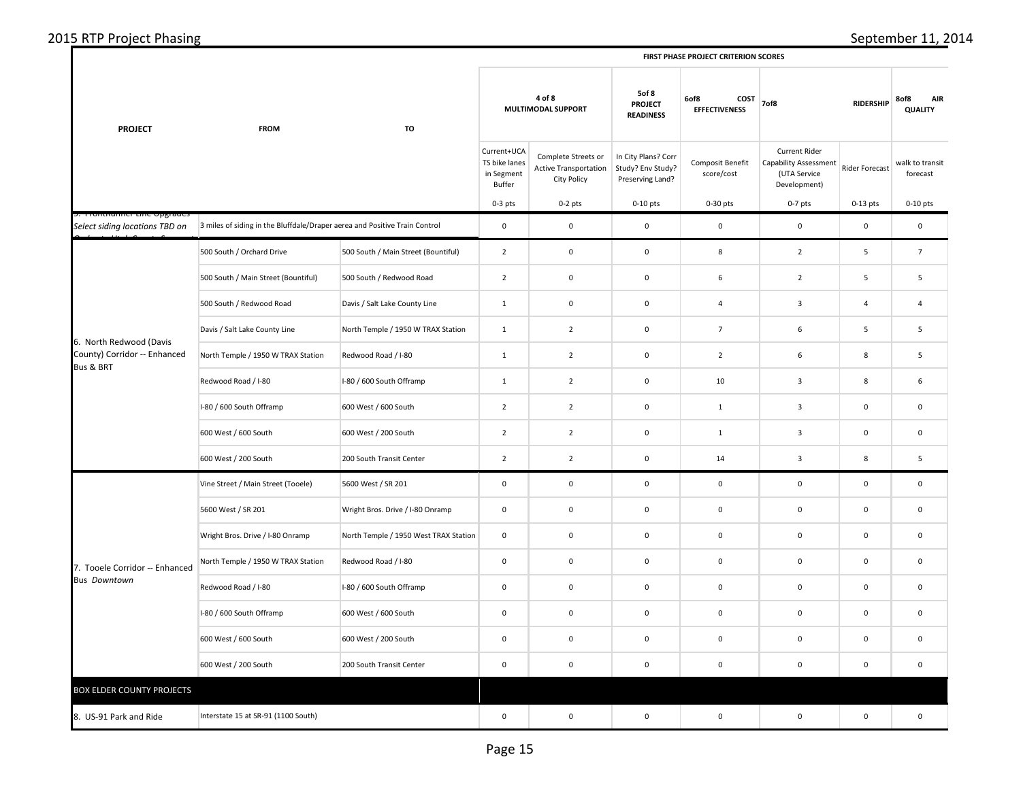| 2015 RTP Project Phasing |  |
|--------------------------|--|
|--------------------------|--|

|                                                                      |                                                                            |                                       | FIRST PHASE PROJECT CRITERION SCORES                 |                                                                    |                                                              |                                      |                                                                                      |                |                               |  |
|----------------------------------------------------------------------|----------------------------------------------------------------------------|---------------------------------------|------------------------------------------------------|--------------------------------------------------------------------|--------------------------------------------------------------|--------------------------------------|--------------------------------------------------------------------------------------|----------------|-------------------------------|--|
| <b>PROJECT</b>                                                       | <b>FROM</b>                                                                | TO                                    |                                                      | 4 of 8<br>MULTIMODAL SUPPORT                                       |                                                              | 6of8<br>COST<br><b>EFFECTIVENESS</b> | 7of8<br><b>RIDERSHIP</b>                                                             |                | AIR<br>8of8<br><b>QUALITY</b> |  |
|                                                                      |                                                                            |                                       | Current+UCA<br>TS bike lanes<br>in Segment<br>Buffer | Complete Streets or<br>Active Transportation<br><b>City Policy</b> | In City Plans? Corr<br>Study? Env Study?<br>Preserving Land? | Composit Benefit<br>score/cost       | <b>Current Rider</b><br><b>Capability Assessment</b><br>(UTA Service<br>Development) | Rider Forecast | walk to transit<br>forecast   |  |
|                                                                      |                                                                            |                                       | $0-3$ pts                                            | $0-2$ pts                                                          | $0-10$ pts                                                   | $0-30$ pts                           | $0-7$ pts                                                                            | $0-13$ pts     | $0-10$ pts                    |  |
| rommummer zine opgraae:<br>Select siding locations TBD on            | 3 miles of siding in the Bluffdale/Draper aerea and Positive Train Control |                                       | $\mathbf 0$                                          | $\mathbf 0$                                                        | $\mathsf 0$                                                  | $\mathbf 0$                          | $\mathbf 0$                                                                          | $\mathbf 0$    | $\mathbf 0$                   |  |
|                                                                      | 500 South / Orchard Drive                                                  | 500 South / Main Street (Bountiful)   | $\overline{2}$                                       | $\mathbf 0$                                                        | $\mathbf 0$                                                  | $\bf 8$                              | $\overline{2}$                                                                       | 5              | $\overline{7}$                |  |
|                                                                      | 500 South / Main Street (Bountiful)                                        | 500 South / Redwood Road              | $\overline{2}$                                       | $\mathbf 0$                                                        | $\mathsf{O}\xspace$                                          | $\,$ 6 $\,$                          | $\overline{2}$                                                                       | 5              | 5                             |  |
|                                                                      | 500 South / Redwood Road                                                   | Davis / Salt Lake County Line         | $\mathbf{1}$                                         | $\mathbf 0$                                                        | $\mathsf 0$                                                  | $\overline{4}$                       | $\overline{3}$                                                                       | $\overline{4}$ | 4                             |  |
| 6. North Redwood (Davis<br>County) Corridor -- Enhanced<br>Bus & BRT | Davis / Salt Lake County Line                                              | North Temple / 1950 W TRAX Station    | $\mathbf{1}$                                         | $\overline{2}$                                                     | $\mathbf 0$                                                  | $\overline{7}$                       | 6                                                                                    | 5              | 5                             |  |
|                                                                      | North Temple / 1950 W TRAX Station                                         | Redwood Road / I-80                   | $\mathbf 1$                                          | $\overline{2}$                                                     | $\mathbf 0$                                                  | $\overline{2}$                       | 6                                                                                    | 8              | 5                             |  |
|                                                                      | Redwood Road / I-80                                                        | I-80 / 600 South Offramp              | $\mathbf{1}$                                         | $\overline{2}$                                                     | $\mathbf 0$                                                  | 10                                   | $\mathbf{3}$                                                                         | 8              | 6                             |  |
|                                                                      | I-80 / 600 South Offramp                                                   | 600 West / 600 South                  | $\overline{2}$                                       | $\overline{2}$                                                     | $\mathbf 0$                                                  | $\mathbf{1}$                         | $\mathbf{3}$                                                                         | $\mathbf 0$    | $\mathbf 0$                   |  |
|                                                                      | 600 West / 600 South                                                       | 600 West / 200 South                  | $\overline{2}$                                       | $\overline{2}$                                                     | $\mathbf 0$                                                  | $\mathbf 1$                          | $\mathbf{3}$                                                                         | $\pmb{0}$      | $\mathbf 0$                   |  |
|                                                                      | 600 West / 200 South                                                       | 200 South Transit Center              | $\overline{2}$                                       | $\overline{2}$                                                     | $\mathbf 0$                                                  | 14                                   | $\overline{\mathbf{3}}$                                                              | $\bf 8$        | $\sf 5$                       |  |
|                                                                      | Vine Street / Main Street (Tooele)                                         | 5600 West / SR 201                    | $\mathbf 0$                                          | $\mathbf 0$                                                        | $\mathbf 0$                                                  | $\mathbf 0$                          | $\mathbf 0$                                                                          | $\mathbf 0$    | $\mathbf 0$                   |  |
|                                                                      | 5600 West / SR 201                                                         | Wright Bros. Drive / I-80 Onramp      | $\mathbf 0$                                          | $\mathbf 0$                                                        | $\mathsf{O}\xspace$                                          | $\mathbf 0$                          | $\mathbf 0$                                                                          | $\mathbf 0$    | $\mathbf 0$                   |  |
|                                                                      | Wright Bros. Drive / I-80 Onramp                                           | North Temple / 1950 West TRAX Station | $\mathsf 0$                                          | $\mathbf 0$                                                        | $\mathbf 0$                                                  | $\mathbf 0$                          | $\mathbf 0$                                                                          | $\mathsf 0$    | $\mathbf 0$                   |  |
| 7. Tooele Corridor -- Enhanced                                       | North Temple / 1950 W TRAX Station                                         | Redwood Road / I-80                   | $\mathbf 0$                                          | $\mathbf 0$                                                        | $\mathbf 0$                                                  | $\mathbf 0$                          | $\mathbf 0$                                                                          | 0              | $\,0\,$                       |  |
| <b>Bus Downtown</b>                                                  | Redwood Road / I-80                                                        | I-80 / 600 South Offramp              | $\mathbf 0$                                          | $\mathbf 0$                                                        | $\mathbf 0$                                                  | $\mathbf 0$                          | $\mathbf 0$                                                                          | $\mathsf 0$    | $\mathbf 0$                   |  |
|                                                                      | I-80 / 600 South Offramp                                                   | 600 West / 600 South                  | $\mathsf 0$                                          | $\mathbf 0$                                                        | $\mathsf 0$                                                  | $\mathbf 0$                          | $\mathbf 0$                                                                          | $\mathbf 0$    | $\mathbf 0$                   |  |
|                                                                      | 600 West / 600 South                                                       | 600 West / 200 South                  | $\mathbf 0$                                          | $\mathbf 0$                                                        | $\mathbf 0$                                                  | $\mathbf 0$                          | $\mathbf 0$                                                                          | $\mathbf 0$    | $\mathbf 0$                   |  |
|                                                                      | 600 West / 200 South                                                       | 200 South Transit Center              | $\mathbf 0$                                          | $\mathbf 0$                                                        | $\mathbf 0$                                                  | $\pmb{0}$                            | $\mathbf 0$                                                                          | $\pmb{0}$      | $\pmb{0}$                     |  |
| <b>BOX ELDER COUNTY PROJECTS</b>                                     |                                                                            |                                       |                                                      |                                                                    |                                                              |                                      |                                                                                      |                |                               |  |
| 8. US-91 Park and Ride                                               | Interstate 15 at SR-91 (1100 South)                                        |                                       | $\mathbf 0$                                          | $\mathbf 0$                                                        | $\mathsf 0$                                                  | $\mathbf 0$                          | $\mathsf 0$                                                                          | $\mathbf 0$    | $\mathbf 0$                   |  |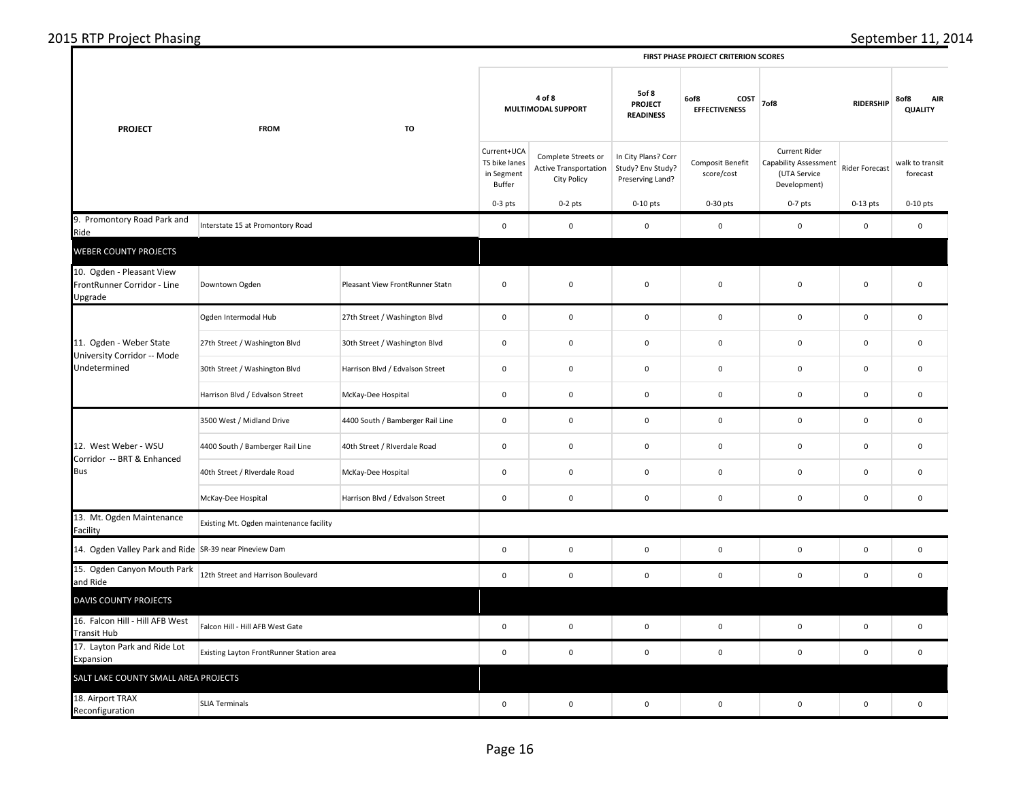| 2015   | - 302                                                                    |
|--------|--------------------------------------------------------------------------|
| nasıng | emner                                                                    |
| . OIPE | -91                                                                      |
|        | <b>ITERION SCORE:</b><br>.00015c<br><b>FIRST</b><br>20.1187<br>- PRUJEL. |

|                                                                        |                                          |                                  | FIRST PHASE PROJECT CRITERION SCORES                 |                                                             |                                                              |                                                                                     |                                                                        |                          |                             |  |  |
|------------------------------------------------------------------------|------------------------------------------|----------------------------------|------------------------------------------------------|-------------------------------------------------------------|--------------------------------------------------------------|-------------------------------------------------------------------------------------|------------------------------------------------------------------------|--------------------------|-----------------------------|--|--|
| <b>PROJECT</b>                                                         | <b>FROM</b>                              | TO                               |                                                      | 4 of 8<br>MULTIMODAL SUPPORT                                |                                                              | 5of 8<br>6of8<br>COST<br><b>PROJECT</b><br><b>EFFECTIVENESS</b><br><b>READINESS</b> |                                                                        | <b>RIDERSHIP</b><br>7of8 |                             |  |  |
|                                                                        |                                          |                                  | Current+UCA<br>TS bike lanes<br>in Segment<br>Buffer | Complete Streets or<br>Active Transportation<br>City Policy | In City Plans? Corr<br>Study? Env Study?<br>Preserving Land? | Composit Benefit<br>score/cost                                                      | Current Rider<br>Capability Assessment<br>(UTA Service<br>Development) | Rider Forecast           | walk to transit<br>forecast |  |  |
|                                                                        |                                          |                                  | $0-3$ pts                                            | $0-2$ pts                                                   | $0-10$ pts                                                   | 0-30 pts                                                                            | $0-7$ pts                                                              | $0-13$ pts               | $0-10$ pts                  |  |  |
| 9. Promontory Road Park and<br>Ride                                    | Interstate 15 at Promontory Road         |                                  | $\mathbf 0$                                          | $\mathbf 0$                                                 | $\mathbf 0$                                                  | $\mathbf 0$                                                                         | $\mathsf 0$                                                            | $\mathbf 0$              | $\mathbf 0$                 |  |  |
| <b>WEBER COUNTY PROJECTS</b>                                           |                                          |                                  |                                                      |                                                             |                                                              |                                                                                     |                                                                        |                          |                             |  |  |
| 10. Ogden - Pleasant View<br>FrontRunner Corridor - Line<br>Upgrade    | Downtown Ogden                           | Pleasant View FrontRunner Statn  | $\mathbf 0$                                          | $\mathbf 0$                                                 | $\mathbf 0$                                                  | $\mathbf 0$                                                                         | $\mathbf 0$                                                            | $\pmb{0}$                | $\mathbf 0$                 |  |  |
|                                                                        | Ogden Intermodal Hub                     | 27th Street / Washington Blvd    | $\mathbf 0$                                          | $\mathbf 0$                                                 | $\mathsf 0$                                                  | $\mathbf 0$                                                                         | $\mathsf{O}\xspace$                                                    | $\mathsf 0$              | $\mathbf 0$                 |  |  |
| 11. Ogden - Weber State<br>University Corridor -- Mode<br>Undetermined | 27th Street / Washington Blvd            | 30th Street / Washington Blvd    | $\mathbf 0$                                          | 0                                                           | $\mathbf 0$                                                  | 0                                                                                   | $\mathbf 0$                                                            | 0                        | $\mathbf 0$                 |  |  |
|                                                                        | 30th Street / Washington Blvd            | Harrison Blvd / Edvalson Street  | $\mathbf 0$                                          | $\mathbf 0$                                                 | $\mathbf 0$                                                  | $\mathbf 0$                                                                         | $\mathsf 0$                                                            | $\mathbf 0$              | $\mathbf 0$                 |  |  |
|                                                                        | Harrison Blvd / Edvalson Street          | McKay-Dee Hospital               | $\mathbf 0$                                          | $\mathbf 0$                                                 | $\mathbf 0$                                                  | $\mathbf 0$                                                                         | $\mathsf 0$                                                            | $\mathsf 0$              | $\mathbf 0$                 |  |  |
|                                                                        | 3500 West / Midland Drive                | 4400 South / Bamberger Rail Line | $\mathbf 0$                                          | $\mathbf 0$                                                 | $\mathbf 0$                                                  | $\mathbf 0$                                                                         | $\mathbf 0$                                                            | $\mathbf 0$              | $\mathbf 0$                 |  |  |
| 12. West Weber - WSU                                                   | 4400 South / Bamberger Rail Line         | 40th Street / Riverdale Road     | $\mathbf 0$                                          | $\mathbf 0$                                                 | $\mathbf 0$                                                  | $\mathbf 0$                                                                         | $\mathsf 0$                                                            | $\mathsf 0$              | $\mathbf 0$                 |  |  |
| Corridor -- BRT & Enhanced<br><b>Bus</b>                               | 40th Street / Riverdale Road             | McKay-Dee Hospital               | $\mathbf 0$                                          | $\mathbf 0$                                                 | $\mathbf 0$                                                  | $\mathbf 0$                                                                         | $\mathbf 0$                                                            | $\mathbf 0$              | $\mathbf 0$                 |  |  |
|                                                                        | McKay-Dee Hospital                       | Harrison Blvd / Edvalson Street  | $\mathbf 0$                                          | $\mathbf 0$                                                 | $\mathbf 0$                                                  | $\mathbf 0$                                                                         | $\mathbf 0$                                                            | $\pmb{0}$                | $\mathbf 0$                 |  |  |
| 13. Mt. Ogden Maintenance<br>Facility                                  | Existing Mt. Ogden maintenance facility  |                                  |                                                      |                                                             |                                                              |                                                                                     |                                                                        |                          |                             |  |  |
| 14. Ogden Valley Park and Ride SR-39 near Pineview Dam                 |                                          |                                  | $\mathbf 0$                                          | $\mathbf 0$                                                 | $\mathbf 0$                                                  | $\mathbf 0$                                                                         | $\mathbf 0$                                                            | $\pmb{0}$                | $\mathbf 0$                 |  |  |
| 15. Ogden Canyon Mouth Park<br>and Ride                                | 12th Street and Harrison Boulevard       |                                  | $\mathbf 0$                                          | $\mathbf 0$                                                 | $\mathsf 0$                                                  | $\mathbf 0$                                                                         | $\mathbf 0$                                                            | $\mathsf 0$              | $\mathbf 0$                 |  |  |
| DAVIS COUNTY PROJECTS                                                  |                                          |                                  |                                                      |                                                             |                                                              |                                                                                     |                                                                        |                          |                             |  |  |
| 16. Falcon Hill - Hill AFB West<br><b>Transit Hub</b>                  | Falcon Hill - Hill AFB West Gate         |                                  | $\mathbf 0$                                          | $\mathbf 0$                                                 | $\mathbf 0$                                                  | $\mathbf 0$                                                                         | $\mathbf 0$                                                            | $\mathbf 0$              | $\mathbf 0$                 |  |  |
| 17. Layton Park and Ride Lot<br>Expansion                              | Existing Layton FrontRunner Station area |                                  | $\mathbf 0$                                          | $\mathbf 0$                                                 | $\mathbf 0$                                                  | $\mathbf 0$                                                                         | $\mathsf 0$                                                            | $\mathbf 0$              | $\mathbf 0$                 |  |  |
| SALT LAKE COUNTY SMALL AREA PROJECTS                                   |                                          |                                  |                                                      |                                                             |                                                              |                                                                                     |                                                                        |                          |                             |  |  |
| 18. Airport TRAX<br>Reconfiguration                                    | <b>SLIA Terminals</b>                    |                                  | $\mathbf 0$                                          | $\mathbf 0$                                                 | $\mathsf 0$                                                  | $\mathbf 0$                                                                         | $\mathbf 0$                                                            | $\pmb{0}$                | $\mathbf 0$                 |  |  |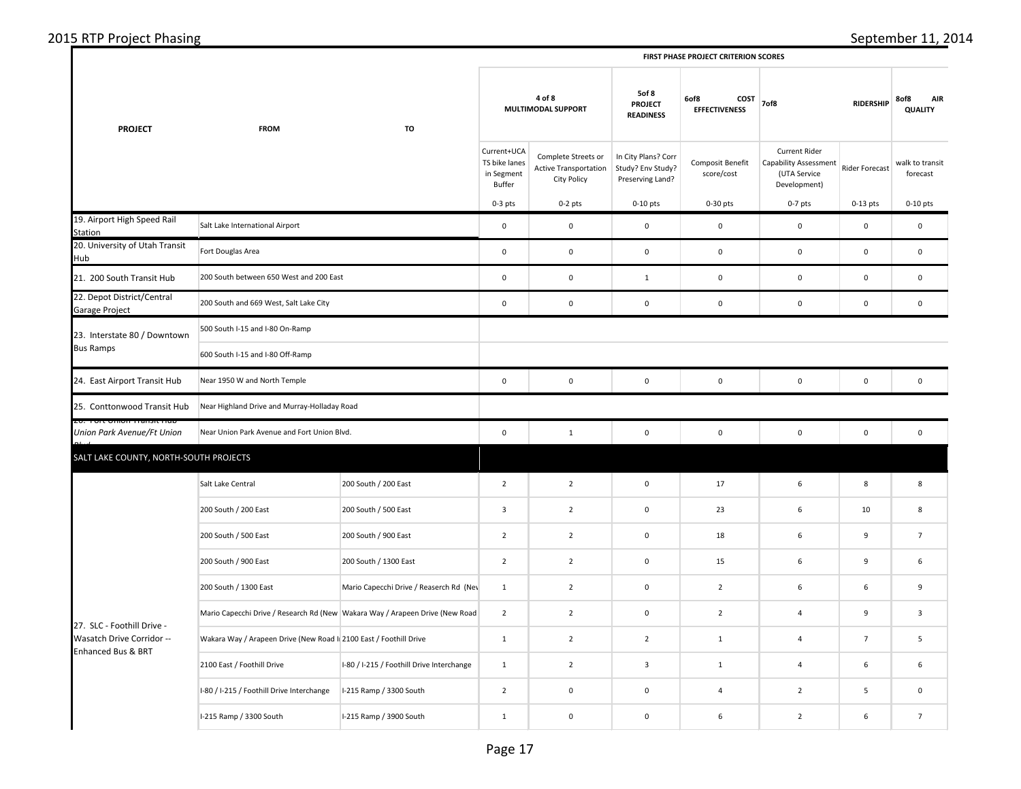| <b>PROJECT</b>                                                                | <b>FROM</b>                                                                  | TO                                          | 4 of 8<br>MULTIMODAL SUPPORT                         |                                                                           | 5of 8<br><b>PROJECT</b><br><b>READINESS</b>                  | 6of8<br>COST<br><b>EFFECTIVENESS</b> | 7of8                                                                                 | <b>RIDERSHIP</b> | 8of8<br><b>AIR</b><br><b>QUALITY</b> |
|-------------------------------------------------------------------------------|------------------------------------------------------------------------------|---------------------------------------------|------------------------------------------------------|---------------------------------------------------------------------------|--------------------------------------------------------------|--------------------------------------|--------------------------------------------------------------------------------------|------------------|--------------------------------------|
|                                                                               |                                                                              |                                             | Current+UCA<br>TS bike lanes<br>in Segment<br>Buffer | Complete Streets or<br><b>Active Transportation</b><br><b>City Policy</b> | In City Plans? Corr<br>Study? Env Study?<br>Preserving Land? | Composit Benefit<br>score/cost       | <b>Current Rider</b><br><b>Capability Assessment</b><br>(UTA Service<br>Development) | Rider Forecast   | walk to transit<br>forecast          |
|                                                                               |                                                                              |                                             | $0-3$ pts                                            | $0-2$ pts                                                                 | $0-10$ pts                                                   | $0-30$ pts                           | $0-7$ pts                                                                            | $0-13$ pts       | $0-10$ pts                           |
| 19. Airport High Speed Rail<br><b>Station</b>                                 | Salt Lake International Airport                                              |                                             | $\mathsf 0$                                          | $\pmb{0}$                                                                 | $\mathsf 0$                                                  | $\mathbf 0$                          | $\mathbf 0$                                                                          | $\pmb{0}$        | $\mathbf 0$                          |
| 20. University of Utah Transit<br>Hub                                         | Fort Douglas Area                                                            |                                             | $\mathbf 0$                                          | $\mathbf 0$                                                               | $\mathsf 0$                                                  | $\mathbf 0$                          | $\mathsf 0$                                                                          | $\mathsf 0$      | $\pmb{0}$                            |
| 21. 200 South Transit Hub                                                     | 200 South between 650 West and 200 East                                      |                                             | $\mathsf 0$                                          | $\pmb{0}$                                                                 | $\mathbf{1}$                                                 | $\mathbf 0$                          | $\mathbf 0$                                                                          | $\mathsf 0$      | $\mathbf 0$                          |
| 22. Depot District/Central<br>Garage Project                                  | 200 South and 669 West, Salt Lake City                                       |                                             | $\mathsf 0$                                          | $\mathsf 0$                                                               | $\mathsf 0$                                                  | $\mathbf 0$                          | $\mathsf 0$                                                                          | $\mathsf 0$      | $\mathsf 0$                          |
| 23. Interstate 80 / Downtown                                                  | 500 South I-15 and I-80 On-Ramp                                              |                                             |                                                      |                                                                           |                                                              |                                      |                                                                                      |                  |                                      |
| <b>Bus Ramps</b>                                                              | 600 South I-15 and I-80 Off-Ramp                                             |                                             |                                                      |                                                                           |                                                              |                                      |                                                                                      |                  |                                      |
| 24. East Airport Transit Hub                                                  | Near 1950 W and North Temple                                                 |                                             |                                                      | $\mathbf 0$                                                               | $\mathsf 0$                                                  | $\mathbf 0$                          | $\mathsf 0$                                                                          | $\mathsf 0$      | $\mathbf 0$                          |
| 25. Conttonwood Transit Hub                                                   | Near Highland Drive and Murray-Holladay Road                                 |                                             |                                                      |                                                                           |                                                              |                                      |                                                                                      |                  |                                      |
| Union Park Avenue/Ft Union                                                    |                                                                              | Near Union Park Avenue and Fort Union Blvd. |                                                      | $\mathbf{1}$                                                              | $\mathbf 0$                                                  | $\pmb{0}$                            | $\mathbf 0$                                                                          | $\mathsf 0$      | $\mathbf 0$                          |
| SALT LAKE COUNTY, NORTH-SOUTH PROJECTS                                        |                                                                              |                                             |                                                      |                                                                           |                                                              |                                      |                                                                                      |                  |                                      |
|                                                                               | Salt Lake Central                                                            | 200 South / 200 East                        | $\overline{2}$                                       | $\overline{2}$                                                            | $\mathbf 0$                                                  | 17                                   | 6                                                                                    | 8                | 8                                    |
|                                                                               | 200 South / 200 East                                                         | 200 South / 500 East                        | $\mathbf{3}$                                         | $\overline{2}$                                                            | $\mathsf 0$                                                  | 23                                   | 6                                                                                    | 10               | 8                                    |
|                                                                               | 200 South / 500 East                                                         | 200 South / 900 East                        | $\overline{2}$                                       | $\overline{2}$                                                            | $\mathbf 0$                                                  | 18                                   | 6                                                                                    | 9                | $7\overline{ }$                      |
|                                                                               | 200 South / 900 East                                                         | 200 South / 1300 East                       | $\overline{2}$                                       | $\overline{2}$                                                            | $\mathsf 0$                                                  | 15                                   | $\,6\,$                                                                              | 9                | 6                                    |
|                                                                               | 200 South / 1300 East                                                        | Mario Capecchi Drive / Reaserch Rd (Nev     | $1\,$                                                | $\overline{2}$                                                            | $\mathbf 0$                                                  | $\overline{2}$                       | $\,6\,$                                                                              | 6                | 9                                    |
|                                                                               | Mario Capecchi Drive / Research Rd (New Wakara Way / Arapeen Drive (New Road |                                             | $\overline{2}$                                       | $\overline{2}$                                                            | $\mathsf 0$                                                  | $\overline{2}$                       | $\overline{4}$                                                                       | 9                | $\mathsf 3$                          |
| 27. SLC - Foothill Drive -<br>Wasatch Drive Corridor --<br>Enhanced Bus & BRT | Wakara Way / Arapeen Drive (New Road I 2100 East / Foothill Drive            |                                             | $\mathbf{1}$                                         | $\overline{2}$                                                            | $\overline{2}$                                               | $\mathbf 1$                          | $\overline{a}$                                                                       | $\overline{7}$   | 5                                    |
|                                                                               | 2100 East / Foothill Drive                                                   | I-80 / I-215 / Foothill Drive Interchange   | $\mathbf 1$                                          | $\overline{2}$                                                            | $\overline{\mathbf{3}}$                                      | $\mathbf 1$                          | $\sqrt{4}$                                                                           | 6                | 6                                    |
|                                                                               | I-80 / I-215 / Foothill Drive Interchange                                    | I-215 Ramp / 3300 South                     | $\overline{2}$                                       | $\pmb{0}$                                                                 | $\mathbf 0$                                                  | $\sqrt{4}$                           | $\overline{2}$                                                                       | 5                | $\mathbf 0$                          |
|                                                                               | I-215 Ramp / 3300 South                                                      | I-215 Ramp / 3900 South                     | $\mathbf{1}$                                         | $\mathsf 0$                                                               | $\mathbf 0$                                                  | $\boldsymbol{6}$                     | $\overline{2}$                                                                       | 6                | $\overline{7}$                       |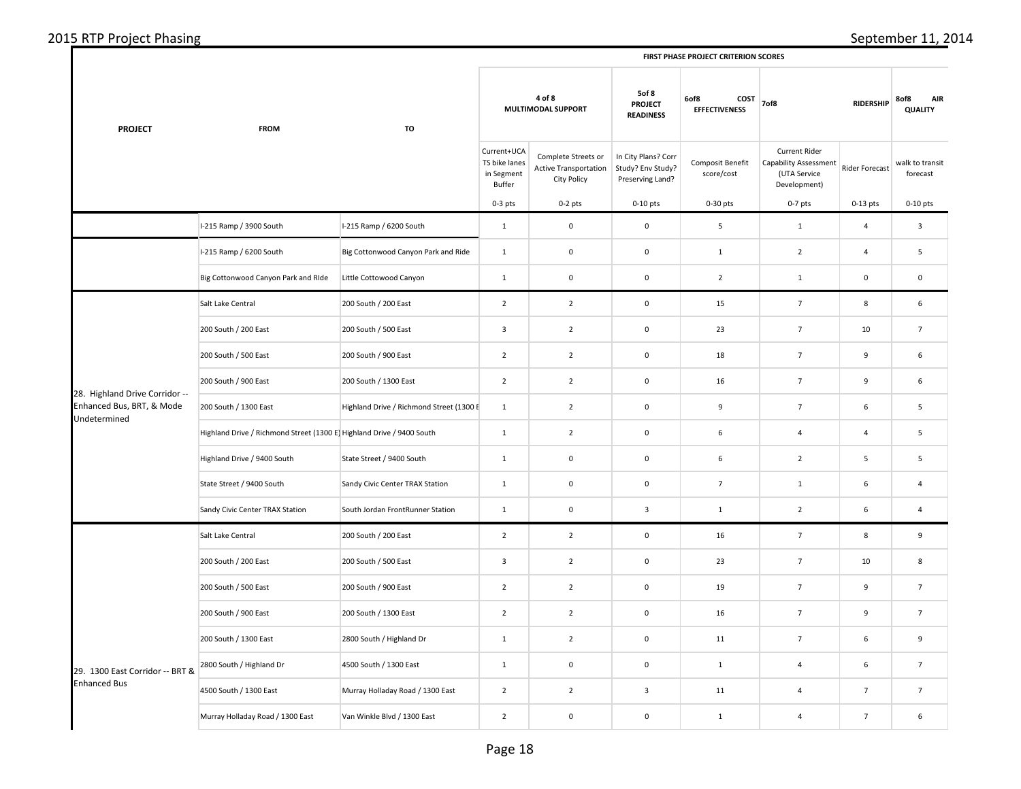| <b>PROJECT</b>                            | <b>FROM</b>                                                          | TO                                       | 4 of 8<br>MULTIMODAL SUPPORT                         |                                                             | 5of 8<br><b>PROJECT</b><br><b>READINESS</b>                  | 6of8<br>COST<br><b>EFFECTIVENESS</b> | 7of8                                                                          | <b>RIDERSHIP</b> | 8of8<br><b>AIR</b><br><b>QUALITY</b> |
|-------------------------------------------|----------------------------------------------------------------------|------------------------------------------|------------------------------------------------------|-------------------------------------------------------------|--------------------------------------------------------------|--------------------------------------|-------------------------------------------------------------------------------|------------------|--------------------------------------|
|                                           |                                                                      |                                          | Current+UCA<br>TS bike lanes<br>in Segment<br>Buffer | Complete Streets or<br>Active Transportation<br>City Policy | In City Plans? Corr<br>Study? Env Study?<br>Preserving Land? | Composit Benefit<br>score/cost       | Current Rider<br><b>Capability Assessment</b><br>(UTA Service<br>Development) | Rider Forecast   | walk to transit<br>forecast          |
|                                           |                                                                      |                                          | $0-3$ pts                                            | $0-2$ pts                                                   | $0-10$ pts                                                   | 0-30 pts                             | $0-7$ pts                                                                     | $0-13$ pts       | $0-10$ pts                           |
|                                           | I-215 Ramp / 3900 South                                              | I-215 Ramp / 6200 South                  | $\mathbf{1}$                                         | $\mathbf 0$                                                 | $\mathsf{O}\xspace$                                          | $\mathsf S$                          | $\,$ 1 $\,$                                                                   | $\overline{4}$   | $\overline{3}$                       |
|                                           | I-215 Ramp / 6200 South                                              | Big Cottonwood Canyon Park and Ride      | $\mathbf{1}$                                         | $\mathbf 0$                                                 | $\mathsf 0$                                                  | $\mathbf{1}$                         | $\overline{2}$                                                                | $\overline{4}$   | 5                                    |
|                                           | Big Cottonwood Canyon Park and RIde                                  | Little Cottowood Canyon                  | $\mathbf{1}$                                         | $\mathbf 0$                                                 | $\mathsf 0$                                                  | $\overline{2}$                       | $\mathbf{1}$                                                                  | $\mathsf 0$      | $\mathsf 0$                          |
|                                           | Salt Lake Central                                                    | 200 South / 200 East                     | $\overline{2}$                                       | $\overline{2}$                                              | $\mathbf 0$                                                  | 15                                   | $\overline{7}$                                                                | 8                | 6                                    |
|                                           | 200 South / 200 East                                                 | 200 South / 500 East                     | $\overline{3}$                                       | $\overline{2}$                                              | $\mathsf 0$                                                  | 23                                   | $\overline{7}$                                                                | 10               | $\overline{7}$                       |
|                                           | 200 South / 500 East                                                 | 200 South / 900 East                     | $\overline{2}$                                       | $\overline{2}$                                              | $\mathsf{O}\xspace$                                          | 18                                   | $\overline{7}$                                                                | 9                | 6                                    |
| 28. Highland Drive Corridor --            | 200 South / 900 East                                                 | 200 South / 1300 East                    | $\overline{2}$                                       | $\overline{2}$                                              | $\mathbf 0$                                                  | 16                                   | $\overline{7}$                                                                | 9                | 6                                    |
| Enhanced Bus, BRT, & Mode<br>Undetermined | 200 South / 1300 East                                                | Highland Drive / Richmond Street (1300 F | $1\,$                                                | $\overline{2}$                                              | $\pmb{0}$                                                    | 9                                    | $\overline{7}$                                                                | 6                | 5                                    |
|                                           | Highland Drive / Richmond Street (1300 E Highland Drive / 9400 South |                                          | $\mathbf{1}$                                         | $\overline{2}$                                              | $\mathbf 0$                                                  | 6                                    | 4                                                                             | $\overline{4}$   | 5                                    |
|                                           | Highland Drive / 9400 South                                          | State Street / 9400 South                | $\mathbf{1}$                                         | $\mathbf 0$                                                 | $\mathbf 0$                                                  | 6                                    | $\overline{2}$                                                                | 5                | 5                                    |
|                                           | State Street / 9400 South                                            | Sandy Civic Center TRAX Station          | $\mathbf{1}$                                         | $\mathbf{0}$                                                | $\mathbf 0$                                                  | $\overline{7}$                       | $\mathbf{1}$                                                                  | 6                | $\overline{4}$                       |
|                                           | Sandy Civic Center TRAX Station                                      | South Jordan FrontRunner Station         | $\mathbf{1}$                                         | $\mathbf 0$                                                 | $\overline{\mathbf{3}}$                                      | $\mathbf 1$                          | $\overline{2}$                                                                | 6                | $\overline{4}$                       |
|                                           | Salt Lake Central                                                    | 200 South / 200 East                     | $\overline{2}$                                       | $\overline{2}$                                              | $\mathsf{O}\xspace$                                          | 16                                   | $\overline{7}$                                                                | 8                | 9                                    |
|                                           | 200 South / 200 East                                                 | 200 South / 500 East                     | $\overline{\mathbf{3}}$                              | $\overline{2}$                                              | $\pmb{0}$                                                    | 23                                   | $\overline{7}$                                                                | 10               | 8                                    |
|                                           | 200 South / 500 East                                                 | 200 South / 900 East                     | $\overline{2}$                                       | $\overline{2}$                                              | $\mathbf 0$                                                  | 19                                   | $\overline{7}$                                                                | 9                | $\overline{7}$                       |
|                                           | 200 South / 900 East                                                 | 200 South / 1300 East                    | $\overline{2}$                                       | $\overline{2}$                                              | $\mathbf 0$                                                  | 16                                   | $\overline{7}$                                                                | 9                | $\overline{7}$                       |
|                                           | 200 South / 1300 East                                                | 2800 South / Highland Dr                 | $\mathbf{1}$                                         | $\overline{2}$                                              | $\pmb{0}$                                                    | 11                                   | $\overline{7}$                                                                | 6                | 9                                    |
| 29. 1300 East Corridor -- BRT &           | 2800 South / Highland Dr                                             | 4500 South / 1300 East                   | $\mathbf{1}$                                         | $\mathbf 0$                                                 | $\pmb{0}$                                                    | $\mathbf{1}$                         | $\overline{4}$                                                                | 6                | $\overline{7}$                       |
| <b>Enhanced Bus</b>                       | 4500 South / 1300 East                                               | Murray Holladay Road / 1300 East         | $\overline{2}$                                       | $\overline{2}$                                              | $\mathsf 3$                                                  | 11                                   | $\overline{4}$                                                                | $\overline{7}$   | $\overline{7}$                       |
|                                           | Murray Holladay Road / 1300 East                                     | Van Winkle Blvd / 1300 East              | $\overline{2}$                                       | $\mathbf 0$                                                 | $\pmb{0}$                                                    | $\mathbf 1$                          | $\overline{4}$                                                                | $\overline{7}$   | 6                                    |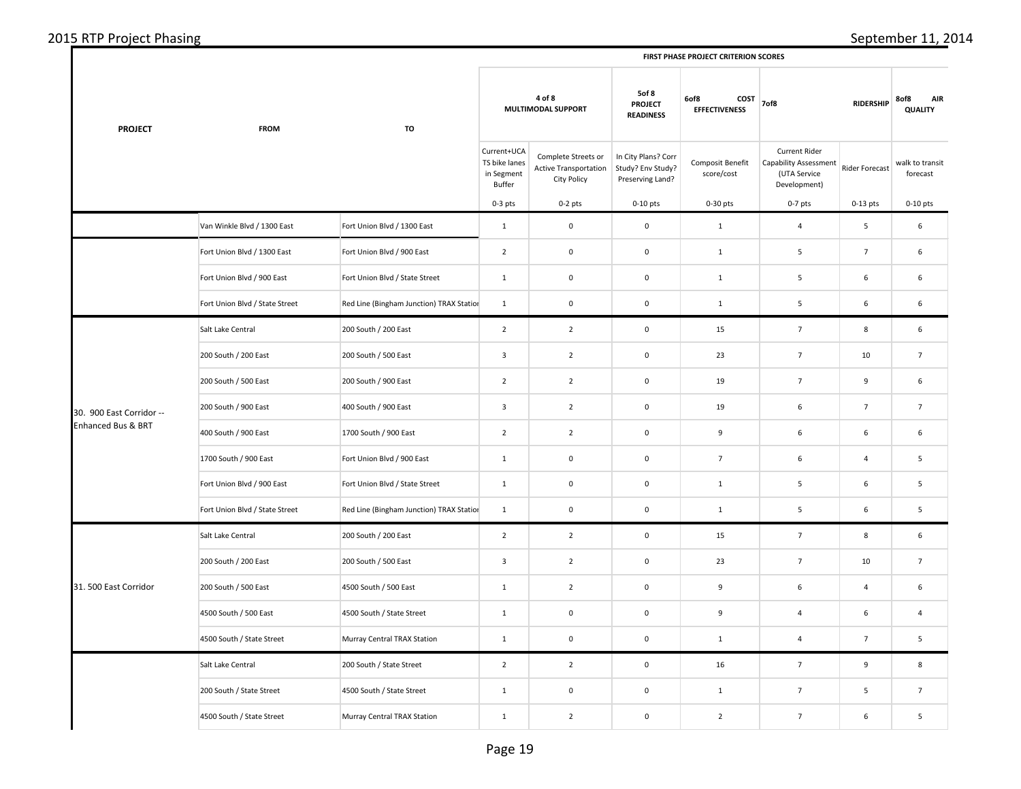| <b>PROJECT</b>           | <b>FROM</b>                    | TO                                       | 4 of 8<br>MULTIMODAL SUPPORT                         |                                                                           | 5of 8<br><b>PROJECT</b><br><b>READINESS</b>                  | 6of8<br>COST<br><b>EFFECTIVENESS</b> | 7of8                                                                                 | <b>RIDERSHIP</b> | 8of8<br><b>AIR</b><br><b>QUALITY</b> |
|--------------------------|--------------------------------|------------------------------------------|------------------------------------------------------|---------------------------------------------------------------------------|--------------------------------------------------------------|--------------------------------------|--------------------------------------------------------------------------------------|------------------|--------------------------------------|
|                          |                                |                                          | Current+UCA<br>TS bike lanes<br>in Segment<br>Buffer | Complete Streets or<br><b>Active Transportation</b><br><b>City Policy</b> | In City Plans? Corr<br>Study? Env Study?<br>Preserving Land? | Composit Benefit<br>score/cost       | <b>Current Rider</b><br><b>Capability Assessment</b><br>(UTA Service<br>Development) | Rider Forecast   | walk to transit<br>forecast          |
|                          |                                |                                          | $0-3$ pts                                            | $0-2$ pts                                                                 | $0-10$ pts                                                   | 0-30 pts                             | $0-7$ pts                                                                            | $0-13$ pts       | $0-10$ pts                           |
|                          | Van Winkle Blvd / 1300 East    | Fort Union Blvd / 1300 East              | $1\,$                                                | $\mathbf 0$                                                               | $\mathsf 0$                                                  | $\,$ 1 $\,$                          | $\overline{4}$                                                                       | 5                | 6                                    |
|                          | Fort Union Blvd / 1300 East    | Fort Union Blvd / 900 East               | $\overline{2}$                                       | $\pmb{0}$                                                                 | $\mathbf 0$                                                  | $\mathbf 1$                          | 5                                                                                    | $\overline{7}$   | 6                                    |
|                          | Fort Union Blvd / 900 East     | Fort Union Blvd / State Street           | $\mathbf{1}$                                         | $\mathbf 0$                                                               | $\mathsf 0$                                                  | $\mathbf 1$                          | $\overline{\mathbf{5}}$                                                              | 6                | 6                                    |
|                          | Fort Union Blvd / State Street | Red Line (Bingham Junction) TRAX Station | $\mathbf 1$                                          | $\mathbf 0$                                                               | $\mathbf 0$                                                  | $1\,$                                | 5                                                                                    | 6                | 6                                    |
|                          | Salt Lake Central              | 200 South / 200 East                     | $\overline{2}$                                       | $\overline{2}$                                                            | $\mathsf 0$                                                  | 15                                   | $\overline{7}$                                                                       | 8                | 6                                    |
|                          | 200 South / 200 East           | 200 South / 500 East                     | $\mathbf{3}$                                         | $\overline{2}$                                                            | $\mathsf 0$                                                  | 23                                   | $\overline{7}$                                                                       | 10               | $\overline{7}$                       |
| 30. 900 East Corridor -- | 200 South / 500 East           | 200 South / 900 East                     | $\overline{2}$                                       | $\overline{2}$                                                            | $\mathbf 0$                                                  | 19                                   | $\overline{7}$                                                                       | 9                | 6                                    |
|                          | 200 South / 900 East           | 400 South / 900 East                     | $\mathbf{3}$                                         | $\overline{2}$                                                            | $\mathsf 0$                                                  | 19                                   | 6                                                                                    | $\overline{7}$   | $\overline{7}$                       |
| Enhanced Bus & BRT       | 400 South / 900 East           | 1700 South / 900 East                    | $\overline{2}$                                       | $\overline{2}$                                                            | $\mathbf 0$                                                  | 9                                    | 6                                                                                    | 6                | 6                                    |
|                          | 1700 South / 900 East          | Fort Union Blvd / 900 East               | $\mathbf{1}$                                         | $\mathbf 0$                                                               | $\mathsf 0$                                                  | $\overline{7}$                       | 6                                                                                    | $\overline{4}$   | 5                                    |
|                          | Fort Union Blvd / 900 East     | Fort Union Blvd / State Street           | $\mathbf{1}$                                         | $\pmb{0}$                                                                 | $\mathbf 0$                                                  | $\mathbf{1}$                         | 5                                                                                    | 6                | 5                                    |
|                          | Fort Union Blvd / State Street | Red Line (Bingham Junction) TRAX Station | $\mathbf 1$                                          | $\pmb{0}$                                                                 | $\mathbf 0$                                                  | $\mathbf 1$                          | 5                                                                                    | 6                | 5                                    |
|                          | Salt Lake Central              | 200 South / 200 East                     | $\overline{2}$                                       | $\overline{2}$                                                            | $\mathsf 0$                                                  | 15                                   | $\overline{7}$                                                                       | 8                | 6                                    |
|                          | 200 South / 200 East           | 200 South / 500 East                     | 3                                                    | $\overline{2}$                                                            | $\mathsf 0$                                                  | 23                                   | $\overline{7}$                                                                       | 10               | $\overline{7}$                       |
| 31.500 East Corridor     | 200 South / 500 East           | 4500 South / 500 East                    | $\mathbf{1}$                                         | $\overline{2}$                                                            | $\mathsf 0$                                                  | 9                                    | 6                                                                                    | $\overline{4}$   | 6                                    |
|                          | 4500 South / 500 East          | 4500 South / State Street                | $\mathbf{1}$                                         | $\mathbf 0$                                                               | $\mathbf 0$                                                  | 9                                    | 4                                                                                    | 6                | $\overline{4}$                       |
|                          | 4500 South / State Street      | Murray Central TRAX Station              | $1\,$                                                | $\mathbf 0$                                                               | $\mathsf 0$                                                  | $1\,$                                | $\overline{4}$                                                                       | $\overline{7}$   | 5                                    |
|                          | Salt Lake Central              | 200 South / State Street                 | $\overline{2}$                                       | $\overline{2}$                                                            | $\mathsf 0$                                                  | 16                                   | $\overline{7}$                                                                       | 9                | 8                                    |
|                          | 200 South / State Street       | 4500 South / State Street                | $\mathbf 1$                                          | $\mathbf 0$                                                               | $\mathsf 0$                                                  | $\mathbf 1$                          | $\overline{7}$                                                                       | 5                | $\overline{7}$                       |
|                          | 4500 South / State Street      | Murray Central TRAX Station              | $\mathbf 1$                                          | $\overline{2}$                                                            | $\mathsf 0$                                                  | $\mathbf 2$                          | $\overline{7}$                                                                       | 6                | ${\mathsf 5}$                        |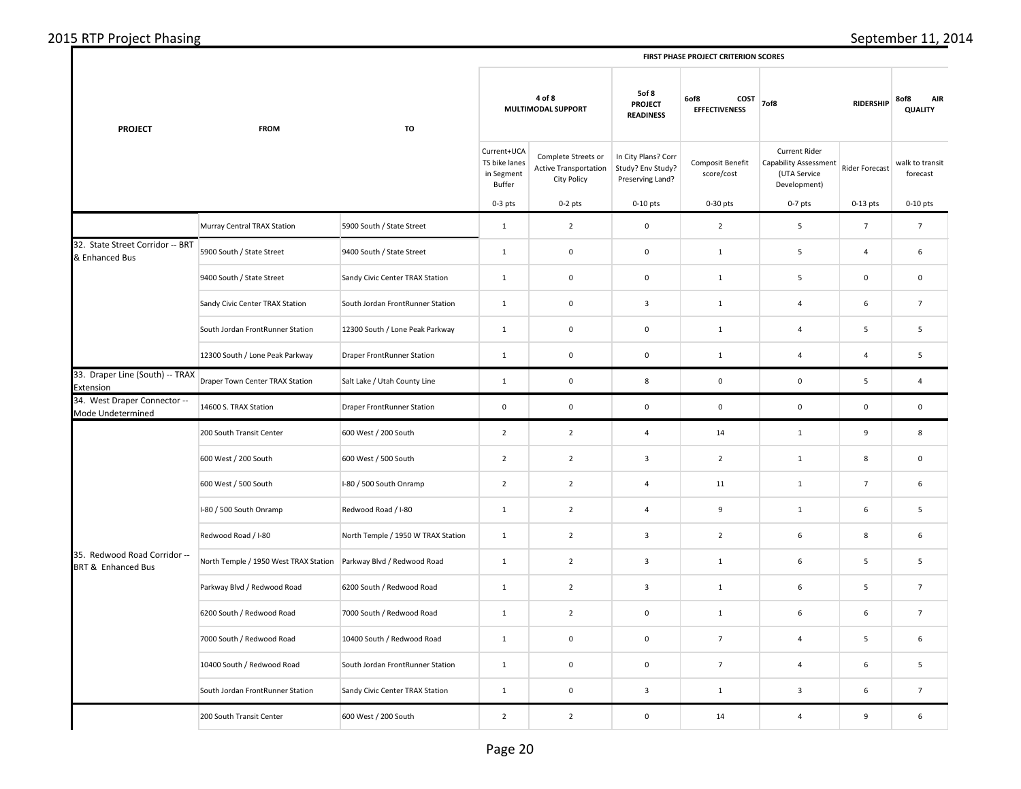| 2015 RTP | $\mathbf{a}$                                |
|----------|---------------------------------------------|
| Phasing  | september i                                 |
| Project  | -95                                         |
|          | <b>FIRST PHASE PROJECT CRITERION SCORES</b> |

|                                                               |                                       |                                    | FIRST PHASE PROJECT CRITERION SCORES                 |                                                                    |                                                              |                                                                                     |                                                                               |                          |                             |  |  |  |
|---------------------------------------------------------------|---------------------------------------|------------------------------------|------------------------------------------------------|--------------------------------------------------------------------|--------------------------------------------------------------|-------------------------------------------------------------------------------------|-------------------------------------------------------------------------------|--------------------------|-----------------------------|--|--|--|
| <b>PROJECT</b>                                                | <b>FROM</b>                           | TO                                 |                                                      | 4 of 8<br>MULTIMODAL SUPPORT                                       |                                                              | 5of 8<br>6of8<br>COST<br><b>PROJECT</b><br><b>EFFECTIVENESS</b><br><b>READINESS</b> |                                                                               | 7of8<br><b>RIDERSHIP</b> |                             |  |  |  |
|                                                               |                                       |                                    | Current+UCA<br>TS bike lanes<br>in Segment<br>Buffer | Complete Streets or<br><b>Active Transportation</b><br>City Policy | In City Plans? Corr<br>Study? Env Study?<br>Preserving Land? | Composit Benefit<br>score/cost                                                      | <b>Current Rider</b><br>Capability Assessment<br>(UTA Service<br>Development) | <b>Rider Forecast</b>    | walk to transit<br>forecast |  |  |  |
|                                                               |                                       |                                    | $0-3$ pts                                            | $0-2$ pts                                                          | $0-10$ pts                                                   | 0-30 pts                                                                            | $0-7$ pts                                                                     | $0-13$ pts               | $0-10$ pts                  |  |  |  |
|                                                               | Murray Central TRAX Station           | 5900 South / State Street          | 1                                                    | $\overline{2}$                                                     | $\mathsf 0$                                                  | $\overline{2}$                                                                      | 5                                                                             | $\overline{7}$           | $7\overline{ }$             |  |  |  |
| 32. State Street Corridor -- BRT<br>& Enhanced Bus            | 5900 South / State Street             | 9400 South / State Street          | $\mathbf{1}$                                         | $\mathsf 0$                                                        | $\mathsf 0$                                                  | $\mathbf{1}$                                                                        | $\overline{5}$                                                                | $\overline{4}$           | 6                           |  |  |  |
|                                                               | 9400 South / State Street             | Sandy Civic Center TRAX Station    | $\mathbf{1}$                                         | $\mathbf 0$                                                        | $\mathsf 0$                                                  | $\mathbf{1}$                                                                        | 5                                                                             | 0                        | $\mathbf 0$                 |  |  |  |
|                                                               | Sandy Civic Center TRAX Station       | South Jordan FrontRunner Station   | $\mathbf{1}$                                         | $\mathbf 0$                                                        | $\overline{3}$                                               | $\mathbf{1}$                                                                        | $\overline{4}$                                                                | 6                        | $\overline{7}$              |  |  |  |
|                                                               | South Jordan FrontRunner Station      | 12300 South / Lone Peak Parkway    | $\mathbf 1$                                          | $\mathbf 0$                                                        | $\mathsf 0$                                                  | $\mathbf{1}$                                                                        | $\overline{a}$                                                                | $\overline{\mathbf{5}}$  | 5                           |  |  |  |
|                                                               | 12300 South / Lone Peak Parkway       | Draper FrontRunner Station         | $\mathbf{1}$                                         | $\mathsf 0$                                                        | $\mathsf 0$                                                  | $\mathbf{1}$                                                                        | $\overline{a}$                                                                | $\overline{4}$           | 5                           |  |  |  |
| 33. Draper Line (South) -- TRAX<br>Extension                  | Draper Town Center TRAX Station       | Salt Lake / Utah County Line       | $\mathbf 1$                                          | $\mathsf 0$                                                        | 8                                                            | 0                                                                                   | $\mathsf 0$                                                                   | 5                        | $\overline{4}$              |  |  |  |
| 34. West Draper Connector --<br>Mode Undetermined             | 14600 S. TRAX Station                 | Draper FrontRunner Station         | $\mathbf 0$                                          | $\mathbf 0$                                                        | $\mathbf 0$                                                  | $\mathsf 0$                                                                         | $\mathbf 0$                                                                   | $\mathbf 0$              | $\mathbf 0$                 |  |  |  |
|                                                               | 200 South Transit Center              | 600 West / 200 South               | $\overline{2}$                                       | $\overline{2}$                                                     | $\overline{4}$                                               | 14                                                                                  | $\mathbf 1$                                                                   | 9                        | 8                           |  |  |  |
|                                                               | 600 West / 200 South                  | 600 West / 500 South               | $\overline{2}$                                       | $\overline{2}$                                                     | $\overline{\mathbf{3}}$                                      | $\overline{2}$                                                                      | $\mathbf 1$                                                                   | 8                        | $\mathbf 0$                 |  |  |  |
|                                                               | 600 West / 500 South                  | I-80 / 500 South Onramp            | $\overline{2}$                                       | $\overline{2}$                                                     | $\overline{4}$                                               | $11\,$                                                                              | $\mathbf{1}$                                                                  | $7\overline{ }$          | 6                           |  |  |  |
|                                                               | I-80 / 500 South Onramp               | Redwood Road / I-80                | $\mathbf{1}$                                         | $\overline{2}$                                                     | $\overline{4}$                                               | 9                                                                                   | $\mathbf{1}$                                                                  | 6                        | 5                           |  |  |  |
|                                                               | Redwood Road / I-80                   | North Temple / 1950 W TRAX Station | $\mathbf{1}$                                         | $\overline{2}$                                                     | $\overline{\mathbf{3}}$                                      | $\overline{2}$                                                                      | 6                                                                             | 8                        | 6                           |  |  |  |
| 35. Redwood Road Corridor --<br><b>BRT &amp; Enhanced Bus</b> | North Temple / 1950 West TRAX Station | Parkway Blvd / Redwood Road        | $\mathbf{1}$                                         | $\overline{2}$                                                     | $\overline{\mathbf{3}}$                                      | $\mathbf{1}$                                                                        | 6                                                                             | $\overline{\mathbf{5}}$  | 5                           |  |  |  |
|                                                               | Parkway Blvd / Redwood Road           | 6200 South / Redwood Road          | $\mathbf{1}$                                         | $\overline{2}$                                                     | $\overline{3}$                                               | $\mathbf{1}$                                                                        | 6                                                                             | 5                        | $7\overline{ }$             |  |  |  |
|                                                               | 6200 South / Redwood Road             | 7000 South / Redwood Road          | $\mathbf{1}$                                         | $\overline{2}$                                                     | $\mathsf 0$                                                  | $\mathbf{1}$                                                                        | 6                                                                             | 6                        | $\overline{7}$              |  |  |  |
|                                                               | 7000 South / Redwood Road             | 10400 South / Redwood Road         | $\mathbf 1$                                          | $\mathsf{O}\xspace$                                                | $\mathsf 0$                                                  | $\overline{7}$                                                                      | $\overline{4}$                                                                | $5\phantom{.0}$          | 6                           |  |  |  |
|                                                               | 10400 South / Redwood Road            | South Jordan FrontRunner Station   | $\mathbf{1}$                                         | $\mathsf{O}\xspace$                                                | $\mathsf 0$                                                  | $\overline{7}$                                                                      | $\overline{a}$                                                                | 6                        | 5                           |  |  |  |
|                                                               | South Jordan FrontRunner Station      | Sandy Civic Center TRAX Station    | $\mathbf 1$                                          | $\mathsf{O}\xspace$                                                | $\overline{\mathbf{3}}$                                      | $\mathbf{1}$                                                                        | $\overline{\mathbf{3}}$                                                       | 6                        | $\overline{7}$              |  |  |  |
|                                                               | 200 South Transit Center              | 600 West / 200 South               | $\mathbf 2$                                          | $\overline{2}$                                                     | $\mathsf{O}\xspace$                                          | 14                                                                                  | $\overline{4}$                                                                | 9                        | 6                           |  |  |  |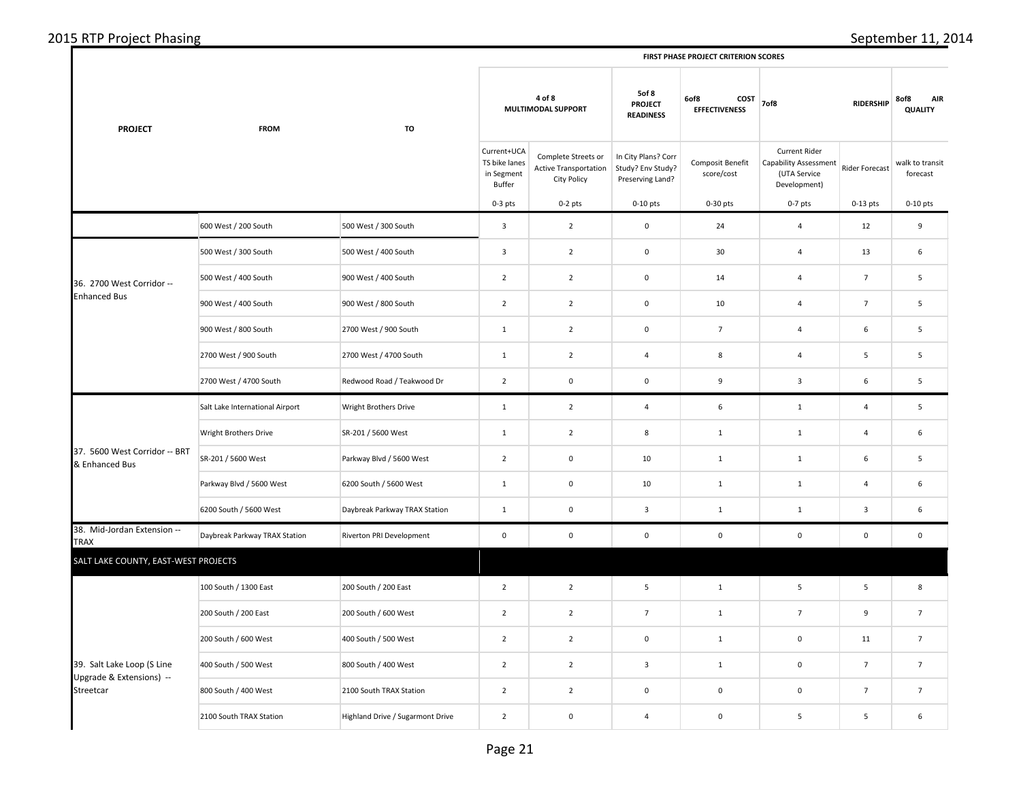| <b>PROJECT</b>                                  | <b>FROM</b>                     | TO                               | 4 of 8<br>MULTIMODAL SUPPORT                         |                                                             | 5of 8<br><b>PROJECT</b><br><b>READINESS</b>                  | 6of8<br>COST<br><b>EFFECTIVENESS</b> | 7of8                                                                          | <b>RIDERSHIP</b>        | 8of8<br><b>AIR</b><br><b>QUALITY</b> |
|-------------------------------------------------|---------------------------------|----------------------------------|------------------------------------------------------|-------------------------------------------------------------|--------------------------------------------------------------|--------------------------------------|-------------------------------------------------------------------------------|-------------------------|--------------------------------------|
|                                                 |                                 |                                  | Current+UCA<br>TS bike lanes<br>in Segment<br>Buffer | Complete Streets or<br>Active Transportation<br>City Policy | In City Plans? Corr<br>Study? Env Study?<br>Preserving Land? | Composit Benefit<br>score/cost       | Current Rider<br><b>Capability Assessment</b><br>(UTA Service<br>Development) | Rider Forecast          | walk to transit<br>forecast          |
|                                                 |                                 |                                  | $0-3$ pts                                            | $0-2$ pts                                                   | $0-10$ pts                                                   | $0-30$ pts                           | $0-7$ pts                                                                     | $0-13$ pts              | $0-10$ pts                           |
|                                                 | 600 West / 200 South            | 500 West / 300 South             | $\overline{3}$                                       | $\overline{2}$                                              | $\mathsf 0$                                                  | 24                                   | 4                                                                             | 12                      | 9                                    |
|                                                 | 500 West / 300 South            | 500 West / 400 South             | $\mathbf{3}$                                         | $\overline{2}$                                              | $\mathsf{O}\xspace$                                          | 30                                   | 4                                                                             | 13                      | 6                                    |
| 36. 2700 West Corridor --                       | 500 West / 400 South            | 900 West / 400 South             | $\overline{2}$                                       | $\overline{2}$                                              | $\mathsf 0$                                                  | 14                                   | 4                                                                             | $\overline{7}$          | 5                                    |
| <b>Enhanced Bus</b>                             | 900 West / 400 South            | 900 West / 800 South             | $\overline{2}$                                       | $\overline{2}$                                              | $\mathsf 0$                                                  | 10                                   | 4                                                                             | $\overline{7}$          | 5                                    |
|                                                 | 900 West / 800 South            | 2700 West / 900 South            | $\mathbf 1$                                          | $\overline{2}$                                              | $\mathsf{O}\xspace$                                          | $\overline{7}$                       | $\overline{\mathbf{4}}$                                                       | $\,$ 6                  | 5                                    |
|                                                 | 2700 West / 900 South           | 2700 West / 4700 South           | $\mathbf{1}$                                         | $\overline{2}$                                              | $\overline{4}$                                               | 8                                    | 4                                                                             | 5                       | 5                                    |
|                                                 | 2700 West / 4700 South          | Redwood Road / Teakwood Dr       | $\overline{2}$                                       | $\mathbf 0$                                                 | $\mathsf{O}\xspace$                                          | 9                                    | $\mathbf{3}$                                                                  | $\,6\,$                 | 5                                    |
|                                                 | Salt Lake International Airport | Wright Brothers Drive            | $1\,$                                                | $\overline{2}$                                              | $\overline{4}$                                               | 6                                    | $1\,$                                                                         | $\sqrt{4}$              | 5                                    |
|                                                 | Wright Brothers Drive           | SR-201 / 5600 West               | $\mathbf{1}$                                         | $\overline{2}$                                              | 8                                                            | $\mathbf{1}$                         | $\mathbf{1}$                                                                  | $\overline{4}$          | 6                                    |
| 37. 5600 West Corridor -- BRT<br>& Enhanced Bus | SR-201 / 5600 West              | Parkway Blvd / 5600 West         | $\overline{2}$                                       | $\mathbf 0$                                                 | 10                                                           | $\mathbf 1$                          | $\mathbf 1$                                                                   | $\,$ 6                  | 5                                    |
|                                                 | Parkway Blvd / 5600 West        | 6200 South / 5600 West           | $\mathbf{1}$                                         | $\mathbf 0$                                                 | 10                                                           | $\mathbf{1}$                         | $\mathbf{1}$                                                                  | $\overline{4}$          | 6                                    |
|                                                 | 6200 South / 5600 West          | Daybreak Parkway TRAX Station    | $1\,$                                                | $\mathbf 0$                                                 | $\overline{\mathbf{3}}$                                      | $\mathbf 1$                          | $\mathbf 1$                                                                   | $\overline{\mathbf{3}}$ | 6                                    |
| 38. Mid-Jordan Extension --<br><b>TRAX</b>      | Daybreak Parkway TRAX Station   | Riverton PRI Development         | $\mathsf 0$                                          | $\mathsf 0$                                                 | $\mathsf 0$                                                  | $\mathbf 0$                          | $\mathbf 0$                                                                   | $\mathbf 0$             | $\mathbf 0$                          |
| SALT LAKE COUNTY, EAST-WEST PROJECTS            |                                 |                                  |                                                      |                                                             |                                                              |                                      |                                                                               |                         |                                      |
|                                                 | 100 South / 1300 East           | 200 South / 200 East             | $\overline{2}$                                       | $\overline{2}$                                              | $\overline{\mathbf{5}}$                                      | $\mathbf 1$                          | 5                                                                             | $\sqrt{5}$              | 8                                    |
|                                                 | 200 South / 200 East            | 200 South / 600 West             | $\overline{2}$                                       | $\overline{2}$                                              | $7\overline{ }$                                              | $\mathbf{1}$                         | $\overline{7}$                                                                | 9                       | $7\overline{ }$                      |
|                                                 | 200 South / 600 West            | 400 South / 500 West             | $\overline{2}$                                       | $\overline{2}$                                              | $\mathsf 0$                                                  | $\mathbf 1$                          | $\mathsf 0$                                                                   | 11                      | $7\overline{ }$                      |
| 39. Salt Lake Loop (S Line                      | 400 South / 500 West            | 800 South / 400 West             | $\overline{2}$                                       | $\overline{2}$                                              | $\overline{\mathbf{3}}$                                      | $\mathbf{1}$                         | $\mathbf 0$                                                                   | $\overline{7}$          | $\overline{7}$                       |
| Upgrade & Extensions) --<br>Streetcar           | 800 South / 400 West            | 2100 South TRAX Station          | $\overline{2}$                                       | $\overline{2}$                                              | $\pmb{0}$                                                    | $\mathbf 0$                          | $\mathbf 0$                                                                   | $\overline{7}$          | $7\overline{ }$                      |
|                                                 | 2100 South TRAX Station         | Highland Drive / Sugarmont Drive | $\overline{2}$                                       | $\mathbf 0$                                                 | $\overline{4}$                                               | $\mathbf 0$                          | 5                                                                             | $\overline{5}$          | 6                                    |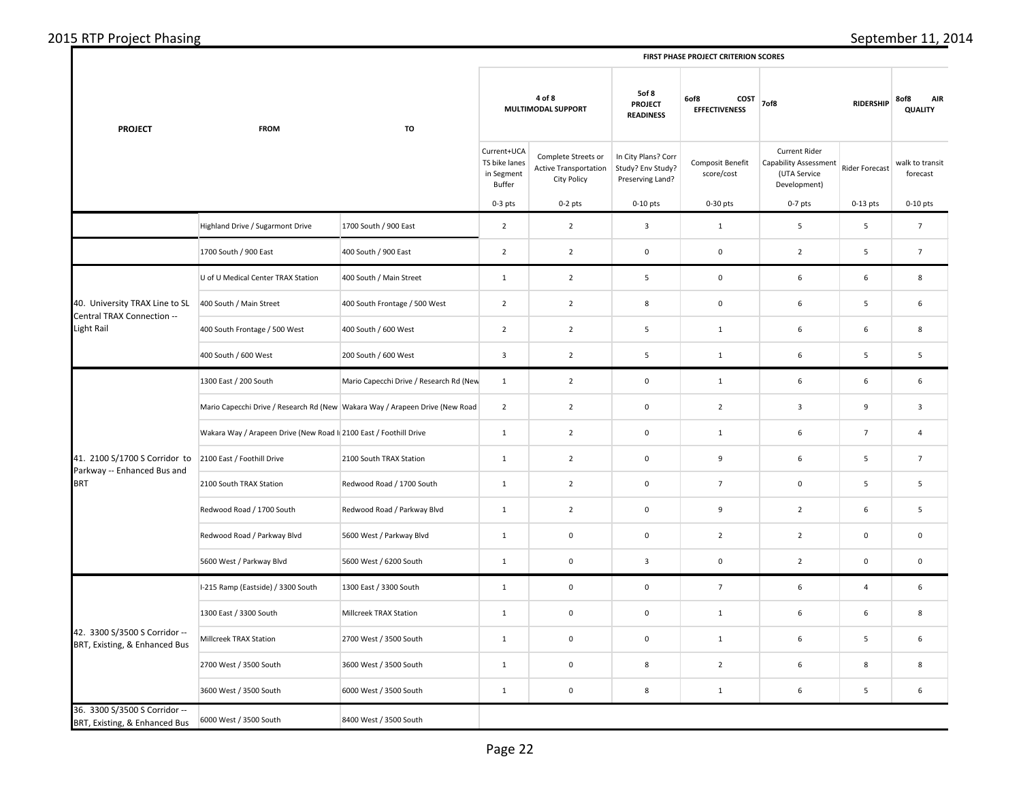| <b>PROJECT</b>                                                 | <b>FROM</b>                                                                  | TO                                      | 4 of 8<br>MULTIMODAL SUPPORT                         |                                                                    | <b>5of 8</b><br><b>PROJECT</b><br><b>READINESS</b>           | 6of8<br>COST<br><b>EFFECTIVENESS</b> | 7of8                                                                                 | <b>RIDERSHIP</b> | 8of8<br><b>AIR</b><br><b>QUALITY</b> |
|----------------------------------------------------------------|------------------------------------------------------------------------------|-----------------------------------------|------------------------------------------------------|--------------------------------------------------------------------|--------------------------------------------------------------|--------------------------------------|--------------------------------------------------------------------------------------|------------------|--------------------------------------|
|                                                                |                                                                              |                                         | Current+UCA<br>TS bike lanes<br>in Segment<br>Buffer | Complete Streets or<br><b>Active Transportation</b><br>City Policy | In City Plans? Corr<br>Study? Env Study?<br>Preserving Land? | Composit Benefit<br>score/cost       | <b>Current Rider</b><br><b>Capability Assessment</b><br>(UTA Service<br>Development) | Rider Forecast   | walk to transit<br>forecast          |
|                                                                |                                                                              |                                         | $0-3$ pts                                            | $0-2$ pts                                                          | $0-10$ pts                                                   | $0-30$ pts                           | $0-7$ pts                                                                            | $0-13$ pts       | $0-10$ pts                           |
|                                                                | Highland Drive / Sugarmont Drive                                             | 1700 South / 900 East                   | $\overline{2}$                                       | $\overline{2}$                                                     | $\mathbf{3}$                                                 | $\mathbf 1$                          | 5                                                                                    | 5                | $\overline{7}$                       |
|                                                                | 1700 South / 900 East                                                        | 400 South / 900 East                    | $\overline{2}$                                       | $\overline{2}$                                                     | $\mathbf 0$                                                  | $\mathbf 0$                          | $\overline{2}$                                                                       | 5                | $\overline{7}$                       |
|                                                                | U of U Medical Center TRAX Station                                           | 400 South / Main Street                 | $\mathbf{1}$                                         | $\overline{2}$                                                     | 5                                                            | $\mathbf 0$                          | 6                                                                                    | 6                | 8                                    |
| 40. University TRAX Line to SL<br>Central TRAX Connection --   | 400 South / Main Street                                                      | 400 South Frontage / 500 West           | $\overline{2}$                                       | $\overline{2}$                                                     | 8                                                            | $\mathsf 0$                          | 6                                                                                    | 5                | 6                                    |
| Light Rail                                                     | 400 South Frontage / 500 West                                                | 400 South / 600 West                    | $\overline{2}$                                       | $\overline{2}$                                                     | $\overline{5}$                                               | $\mathbf 1$                          | 6                                                                                    | 6                | 8                                    |
|                                                                | 400 South / 600 West                                                         | 200 South / 600 West                    | 3                                                    | $\overline{2}$                                                     | 5                                                            | $\mathbf 1$                          | 6                                                                                    | 5                | 5                                    |
|                                                                | 1300 East / 200 South                                                        | Mario Capecchi Drive / Research Rd (New | $\mathbf 1$                                          | $\overline{2}$                                                     | $\mathsf 0$                                                  | $\mathbf{1}$                         | 6                                                                                    | 6                | 6                                    |
|                                                                | Mario Capecchi Drive / Research Rd (New Wakara Way / Arapeen Drive (New Road |                                         | $\overline{2}$                                       | $\overline{2}$                                                     | $\mathsf 0$                                                  | $\overline{2}$                       | 3                                                                                    | 9                | $\overline{3}$                       |
|                                                                | Wakara Way / Arapeen Drive (New Road I 2100 East / Foothill Drive            |                                         | $\mathbf 1$                                          | $\overline{2}$                                                     | $\mathsf 0$                                                  | $\mathbf 1$                          | 6                                                                                    | $\boldsymbol{7}$ | $\overline{4}$                       |
| 41. 2100 S/1700 S Corridor to<br>Parkway -- Enhanced Bus and   | 2100 East / Foothill Drive                                                   | 2100 South TRAX Station                 | $\mathbf{1}$                                         | $\overline{2}$                                                     | $\mathbf 0$                                                  | 9                                    | 6                                                                                    | 5                | $\overline{7}$                       |
| <b>BRT</b>                                                     | 2100 South TRAX Station                                                      | Redwood Road / 1700 South               | $\mathbf{1}$                                         | $\overline{2}$                                                     | $\mathbf 0$                                                  | $\overline{7}$                       | 0                                                                                    | 5                | 5                                    |
|                                                                | Redwood Road / 1700 South                                                    | Redwood Road / Parkway Blvd             | $\mathbf{1}$                                         | $\overline{2}$                                                     | $\mathsf 0$                                                  | 9                                    | $\overline{2}$                                                                       | 6                | 5                                    |
|                                                                | Redwood Road / Parkway Blvd                                                  | 5600 West / Parkway Blvd                | $\mathbf{1}$                                         | $\mathbf 0$                                                        | $\mathsf 0$                                                  | $\overline{2}$                       | $\overline{2}$                                                                       | $\mathbf 0$      | $\mathbf 0$                          |
|                                                                | 5600 West / Parkway Blvd                                                     | 5600 West / 6200 South                  | $\mathbf{1}$                                         | $\mathbf 0$                                                        | $\mathbf{3}$                                                 | $\mathbf 0$                          | $\overline{2}$                                                                       | $\mathsf 0$      | $\mathbf 0$                          |
|                                                                | I-215 Ramp (Eastside) / 3300 South                                           | 1300 East / 3300 South                  | $\mathbf{1}$                                         | $\pmb{0}$                                                          | $\mathsf 0$                                                  | $\overline{7}$                       | 6                                                                                    | $\overline{4}$   | 6                                    |
|                                                                | 1300 East / 3300 South                                                       | Millcreek TRAX Station                  | $\mathbf{1}$                                         | $\mathbf 0$                                                        | $\mathsf 0$                                                  | $\mathbf{1}$                         | 6                                                                                    | 6                | 8                                    |
| 42. 3300 S/3500 S Corridor --<br>BRT, Existing, & Enhanced Bus | Millcreek TRAX Station                                                       | 2700 West / 3500 South                  | $\mathbf{1}$                                         | $\mathbf 0$                                                        | $\mathsf 0$                                                  | $\mathbf 1$                          | 6                                                                                    | 5                | 6                                    |
|                                                                | 2700 West / 3500 South                                                       | 3600 West / 3500 South                  | $\mathbf{1}$                                         | $\mathbf 0$                                                        | $\bf 8$                                                      | $\mathbf 2$                          | 6                                                                                    | 8                | 8                                    |
|                                                                | 3600 West / 3500 South                                                       | 6000 West / 3500 South                  | $\mathbf{1}$                                         | $\pmb{0}$                                                          | 8                                                            | $\mathbf{1}$                         | 6                                                                                    | 5                | 6                                    |
| 36. 3300 S/3500 S Corridor --<br>BRT, Existing, & Enhanced Bus | 6000 West / 3500 South                                                       | 8400 West / 3500 South                  |                                                      |                                                                    |                                                              |                                      |                                                                                      |                  |                                      |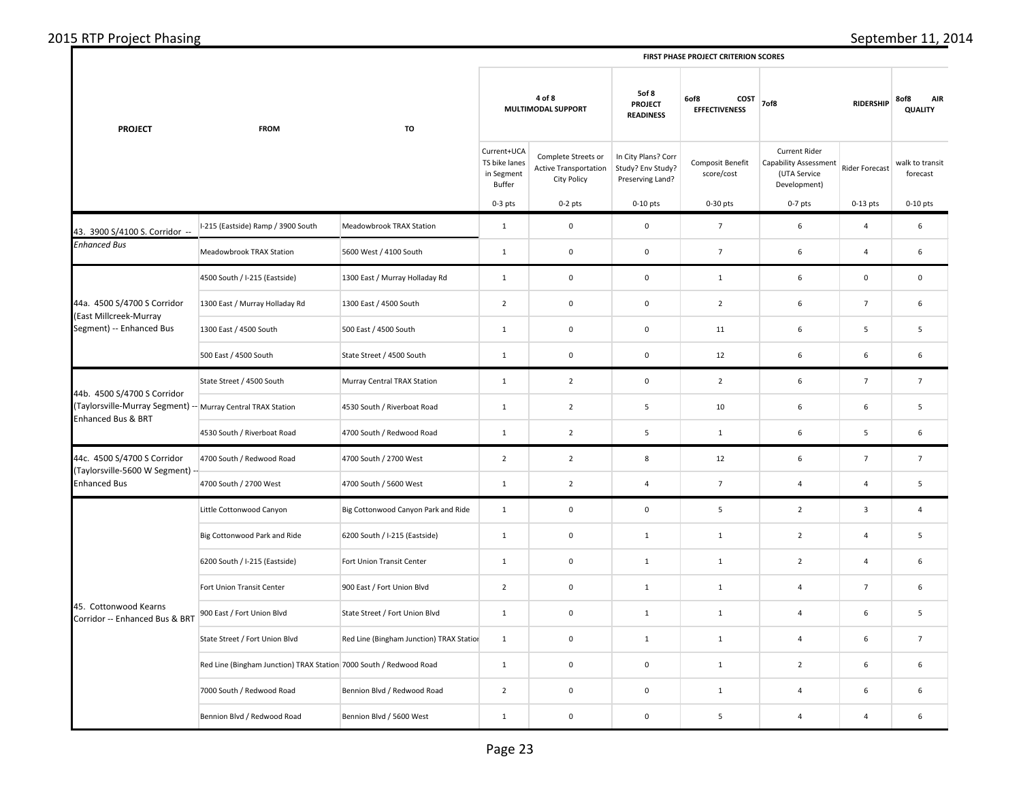| 2015 RTP Project Phasing |  |
|--------------------------|--|
|--------------------------|--|

| 2015 RTP | 201                                              |
|----------|--------------------------------------------------|
| Phasing  | :ember                                           |
| Project  | . ODT.                                           |
|          | T CRITERION SCORES<br><b>FIRST PHASE PROJECT</b> |

| <b>PROJECT</b>                                                                                                                                                                                               | <b>FROM</b>                                                        | TO                                       |                                                      | 4 of 8<br>MULTIMODAL SUPPORT                                       | 5of 8<br><b>PROJECT</b><br><b>READINESS</b>                  | 6of8<br>COST<br><b>EFFECTIVENESS</b> | 7of8                                                                                 | 8of8<br><b>AIR</b><br><b>QUALITY</b> |                             |
|--------------------------------------------------------------------------------------------------------------------------------------------------------------------------------------------------------------|--------------------------------------------------------------------|------------------------------------------|------------------------------------------------------|--------------------------------------------------------------------|--------------------------------------------------------------|--------------------------------------|--------------------------------------------------------------------------------------|--------------------------------------|-----------------------------|
|                                                                                                                                                                                                              |                                                                    |                                          | Current+UCA<br>TS bike lanes<br>in Segment<br>Buffer | Complete Streets or<br>Active Transportation<br><b>City Policy</b> | In City Plans? Corr<br>Study? Env Study?<br>Preserving Land? | Composit Benefit<br>score/cost       | <b>Current Rider</b><br><b>Capability Assessment</b><br>(UTA Service<br>Development) | Rider Forecast                       | walk to transit<br>forecast |
|                                                                                                                                                                                                              |                                                                    |                                          | $0-3$ pts                                            | $0-2$ pts                                                          | $0-10$ pts                                                   | $0-30$ pts                           | $0-7$ pts                                                                            | $0-13$ pts                           | $0-10$ pts                  |
| 43. 3900 S/4100 S. Corridor --                                                                                                                                                                               | I-215 (Eastside) Ramp / 3900 South                                 | Meadowbrook TRAX Station                 | $\mathbf{1}$                                         | $\mathbf 0$                                                        | $\mathsf 0$                                                  | $7\overline{ }$                      | 6                                                                                    | $\sqrt{4}$                           | 6                           |
| <b>Enhanced Bus</b>                                                                                                                                                                                          | Meadowbrook TRAX Station                                           | 5600 West / 4100 South                   | $\mathbf{1}$                                         | $\mathbf 0$                                                        | $\mathbf 0$                                                  | $7\overline{ }$                      | 6                                                                                    | $\sqrt{4}$                           | 6                           |
|                                                                                                                                                                                                              | 4500 South / I-215 (Eastside)                                      | 1300 East / Murray Holladay Rd           | $\mathbf{1}$                                         | $\mathbf 0$                                                        | $\mathbf 0$                                                  | $\mathbf{1}$                         | 6                                                                                    | $\mathbf 0$                          | $\,0\,$                     |
| 44a. 4500 S/4700 S Corridor                                                                                                                                                                                  | 1300 East / Murray Holladay Rd                                     | 1300 East / 4500 South                   | $\overline{2}$                                       | $\mathbf 0$                                                        | $\mathsf 0$                                                  | $\overline{2}$                       | 6                                                                                    | $\overline{7}$                       | 6                           |
|                                                                                                                                                                                                              | 1300 East / 4500 South                                             | 500 East / 4500 South                    | $\mathbf 1$                                          | $\mathbf 0$                                                        | $\mathsf 0$                                                  | 11                                   | 6                                                                                    | $\sf 5$                              | 5                           |
|                                                                                                                                                                                                              | 500 East / 4500 South                                              | State Street / 4500 South                | $\mathbf{1}$                                         | $\mathsf 0$                                                        | $\mathsf 0$                                                  | 12                                   | 6                                                                                    | 6                                    | 6                           |
| 44b. 4500 S/4700 S Corridor<br><b>Enhanced Bus &amp; BRT</b>                                                                                                                                                 | State Street / 4500 South                                          | Murray Central TRAX Station              | $\mathbf{1}$                                         | $\overline{2}$                                                     | $\mathsf 0$                                                  | $\overline{2}$                       | 6                                                                                    | $\overline{7}$                       | $\overline{7}$              |
|                                                                                                                                                                                                              |                                                                    | 4530 South / Riverboat Road              | $\mathbf{1}$                                         | $\overline{2}$                                                     | 5                                                            | 10                                   | 6                                                                                    | 6                                    | 5                           |
|                                                                                                                                                                                                              | 4530 South / Riverboat Road                                        | 4700 South / Redwood Road                | $\mathbf{1}$                                         | $\overline{2}$                                                     | 5                                                            | $1\,$                                | 6                                                                                    | $\sf 5$                              | 6                           |
| 44c. 4500 S/4700 S Corridor                                                                                                                                                                                  | 4700 South / Redwood Road                                          | 4700 South / 2700 West                   | $\overline{2}$                                       | $\overline{2}$                                                     | 8                                                            | 12                                   | 6                                                                                    | $\sqrt{ }$                           | $\overline{7}$              |
| <b>Enhanced Bus</b>                                                                                                                                                                                          | 4700 South / 2700 West                                             | 4700 South / 5600 West                   | $\mathbf{1}$                                         | $\overline{2}$                                                     | $\overline{4}$                                               | $\overline{7}$                       | $\overline{4}$                                                                       | $\overline{4}$                       | $\overline{5}$              |
|                                                                                                                                                                                                              | Little Cottonwood Canyon                                           | Big Cottonwood Canyon Park and Ride      | $\mathbf{1}$                                         | $\mathbf 0$                                                        | $\mathbf 0$                                                  | 5                                    | $\overline{2}$                                                                       | 3                                    | $\overline{4}$              |
|                                                                                                                                                                                                              | Big Cottonwood Park and Ride                                       | 6200 South / I-215 (Eastside)            | $\mathbf{1}$                                         | $\mathbf 0$                                                        | $\mathbf{1}$                                                 | $\mathbf{1}$                         | $\overline{2}$                                                                       | $\overline{4}$                       | 5                           |
|                                                                                                                                                                                                              | 6200 South / I-215 (Eastside)                                      | Fort Union Transit Center                | $\mathbf{1}$                                         | $\mathbf 0$                                                        | $1\,$                                                        | $1\,$                                | $\overline{2}$                                                                       | $\sqrt{4}$                           | $\,$ 6 $\,$                 |
| (East Millcreek-Murray<br>Segment) -- Enhanced Bus<br>Taylorsville-Murray Segment) -- Murray Central TRAX Station<br>Taylorsville-5600 W Segment)<br>45. Cottonwood Kearns<br>Corridor -- Enhanced Bus & BRT | Fort Union Transit Center                                          | 900 East / Fort Union Blvd               | $\overline{2}$                                       | $\mathbf 0$                                                        | $\mathbf 1$                                                  | $1\,$                                | $\overline{4}$                                                                       | $\overline{7}$                       | 6                           |
|                                                                                                                                                                                                              | 900 East / Fort Union Blvd                                         | State Street / Fort Union Blvd           | $\mathbf{1}$                                         | $\mathbf 0$                                                        | $1\,$                                                        | $\mathbf{1}$                         | $\overline{4}$                                                                       | 6                                    | 5                           |
|                                                                                                                                                                                                              | State Street / Fort Union Blvd                                     | Red Line (Bingham Junction) TRAX Station | $\mathbf 1$                                          | $\mathbf 0$                                                        | $\mathbf{1}$                                                 | $\mathbf{1}$                         | $\overline{a}$                                                                       | 6                                    | $\overline{7}$              |
|                                                                                                                                                                                                              | Red Line (Bingham Junction) TRAX Station 7000 South / Redwood Road |                                          | $\mathbf{1}$                                         | $\mathbf 0$                                                        | $\mathbf 0$                                                  | $\mathbf{1}$                         | $\overline{2}$                                                                       | 6                                    | 6                           |
|                                                                                                                                                                                                              | 7000 South / Redwood Road                                          | Bennion Blvd / Redwood Road              | $\overline{2}$                                       | $\mathbf 0$                                                        | $\mathsf 0$                                                  | $\mathbf{1}$                         | $\overline{4}$                                                                       | $\boldsymbol{6}$                     | $\,$ 6 $\,$                 |
|                                                                                                                                                                                                              | Bennion Blvd / Redwood Road                                        | Bennion Blvd / 5600 West                 | $\mathbf 1$                                          | $\mathbf 0$                                                        | $\mathbf 0$                                                  | $\sqrt{5}$                           | 4                                                                                    | $\sqrt{4}$                           | $\boldsymbol{6}$            |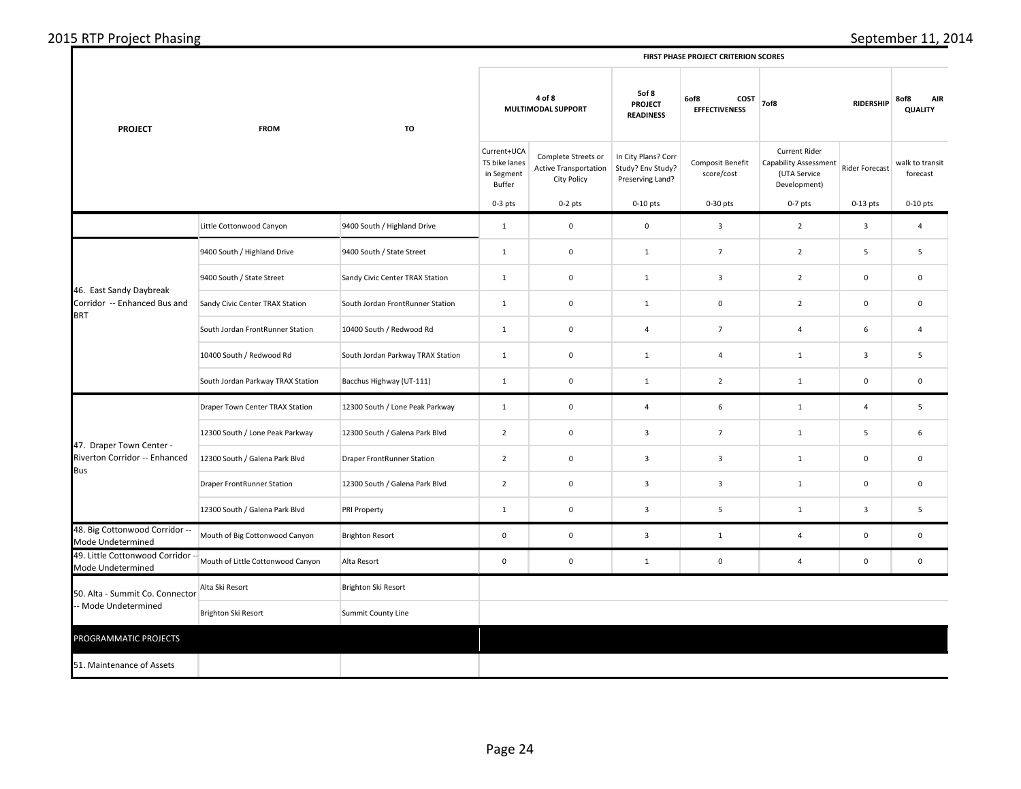| 2015 RTP Project Phasing |
|--------------------------|
|--------------------------|

 $\mathbf{I}$ 

| <b>PROJECT</b>                                                                                                                                                                                                                | <b>FROM</b>                                                                                                                                                                                                                                                                                                                                                                                                                                                                                                           | TO                                |                                                                                                         | 4 of 8                                                             | 5of 8<br>6of8<br>COST<br><b>PROJECT</b><br><b>EFFECTIVENESS</b><br><b>READINESS</b> |                                                                                                                                                                                                                                                                                                                                                                                                                                                                   | 7of8                                                                                 | 8of8<br><b>AIR</b><br><b>QUALITY</b> |                             |
|-------------------------------------------------------------------------------------------------------------------------------------------------------------------------------------------------------------------------------|-----------------------------------------------------------------------------------------------------------------------------------------------------------------------------------------------------------------------------------------------------------------------------------------------------------------------------------------------------------------------------------------------------------------------------------------------------------------------------------------------------------------------|-----------------------------------|---------------------------------------------------------------------------------------------------------|--------------------------------------------------------------------|-------------------------------------------------------------------------------------|-------------------------------------------------------------------------------------------------------------------------------------------------------------------------------------------------------------------------------------------------------------------------------------------------------------------------------------------------------------------------------------------------------------------------------------------------------------------|--------------------------------------------------------------------------------------|--------------------------------------|-----------------------------|
|                                                                                                                                                                                                                               | Little Cottonwood Canyon<br>9400 South / Highland Drive<br>9400 South / State Street<br>Sandy Civic Center TRAX Station<br>South Jordan FrontRunner Station<br>10400 South / Redwood Rd<br>South Jordan Parkway TRAX Station<br>Draper Town Center TRAX Station<br>12300 South / Lone Peak Parkway<br>12300 South / Galena Park Blvd<br>Draper FrontRunner Station<br>12300 South / Galena Park Blvd<br>Mouth of Big Cottonwood Canyon<br>Mouth of Little Cottonwood Canyon<br>Alta Ski Resort<br>Brighton Ski Resort |                                   | Current+UCA<br>TS bike lanes<br>in Segment<br>Buffer                                                    | Complete Streets or<br><b>Active Transportation</b><br>City Policy | In City Plans? Corr<br>Study? Env Study?<br>Preserving Land?                        | Composit Benefit<br>score/cost                                                                                                                                                                                                                                                                                                                                                                                                                                    | <b>Current Rider</b><br><b>Capability Assessment</b><br>(UTA Service<br>Development) | <b>Rider Forecast</b>                | walk to transit<br>forecast |
|                                                                                                                                                                                                                               |                                                                                                                                                                                                                                                                                                                                                                                                                                                                                                                       |                                   | $0-3$ pts                                                                                               | $0-2$ pts                                                          | $0-10$ pts                                                                          | 0-30 pts                                                                                                                                                                                                                                                                                                                                                                                                                                                          | $0-7$ pts                                                                            | $0-13$ pts                           | $0-10$ pts                  |
|                                                                                                                                                                                                                               |                                                                                                                                                                                                                                                                                                                                                                                                                                                                                                                       | 9400 South / Highland Drive       | $\mathbf{1}$                                                                                            | $\mathbf 0$                                                        | $\mathsf 0$                                                                         | 3                                                                                                                                                                                                                                                                                                                                                                                                                                                                 | $\overline{2}$                                                                       | $\overline{\mathbf{3}}$              | $\overline{a}$              |
|                                                                                                                                                                                                                               |                                                                                                                                                                                                                                                                                                                                                                                                                                                                                                                       | 9400 South / State Street         | $\mathbf{1}$                                                                                            | $\mathsf 0$                                                        | $\mathbf{1}$                                                                        | $\overline{7}$                                                                                                                                                                                                                                                                                                                                                                                                                                                    | $\overline{2}$                                                                       | 5                                    | 5                           |
|                                                                                                                                                                                                                               |                                                                                                                                                                                                                                                                                                                                                                                                                                                                                                                       | Sandy Civic Center TRAX Station   | $\mathbf{1}$                                                                                            | $\pmb{0}$                                                          | $\mathbf{1}$                                                                        | $\mathbf{3}$                                                                                                                                                                                                                                                                                                                                                                                                                                                      | $\overline{2}$                                                                       | $\mathsf 0$                          | $\mathbf 0$                 |
| Corridor -- Enhanced Bus and                                                                                                                                                                                                  |                                                                                                                                                                                                                                                                                                                                                                                                                                                                                                                       | South Jordan FrontRunner Station  | $\mathbf{1}$                                                                                            | $\pmb{0}$                                                          | $\mathbf{1}$                                                                        | $\mathbf 0$                                                                                                                                                                                                                                                                                                                                                                                                                                                       | $\overline{2}$                                                                       | $\mathbf 0$                          | $\mathbf 0$                 |
|                                                                                                                                                                                                                               |                                                                                                                                                                                                                                                                                                                                                                                                                                                                                                                       | 10400 South / Redwood Rd          | $\mathbf{1}$                                                                                            | $\mathsf 0$                                                        | 4                                                                                   | $\overline{7}$                                                                                                                                                                                                                                                                                                                                                                                                                                                    | 4                                                                                    | 6                                    | 4                           |
|                                                                                                                                                                                                                               |                                                                                                                                                                                                                                                                                                                                                                                                                                                                                                                       | South Jordan Parkway TRAX Station | $\mathbf{1}$                                                                                            | $\pmb{0}$                                                          | $\mathbf{1}$                                                                        | 4                                                                                                                                                                                                                                                                                                                                                                                                                                                                 | $\mathbf{1}$                                                                         | $\overline{\mathbf{3}}$              | 5                           |
|                                                                                                                                                                                                                               |                                                                                                                                                                                                                                                                                                                                                                                                                                                                                                                       | Bacchus Highway (UT-111)          | $\mathbf 1$                                                                                             | $\mathbf 0$                                                        | $\mathbf{1}$                                                                        | <b>RIDERSHIP</b><br>$\overline{2}$<br>$\mathbf 0$<br>$\mathbf{1}$<br>6<br>4<br>$\mathbf 1$<br>$\overline{4}$<br>$\overline{\mathbf{3}}$<br>$\overline{7}$<br>5<br>$\mathbf{1}$<br>$\mathbf{3}$<br>$\mathbf{3}$<br>$\mathbf{1}$<br>$\mathbf 0$<br>3<br>3<br>$\mathbf 0$<br>$\mathbf{1}$<br>3<br>5<br>$\overline{\mathbf{3}}$<br>$\mathbf{1}$<br>$\overline{3}$<br>$\mathsf 0$<br>$\mathbf{1}$<br>4<br>$\mathbf{1}$<br>$\mathbf 0$<br>$\overline{4}$<br>$\mathbf 0$ | $\mathbf 0$                                                                          |                                      |                             |
|                                                                                                                                                                                                                               |                                                                                                                                                                                                                                                                                                                                                                                                                                                                                                                       | 12300 South / Lone Peak Parkway   | $\mathbf 1$                                                                                             | $\mathbf 0$                                                        |                                                                                     |                                                                                                                                                                                                                                                                                                                                                                                                                                                                   |                                                                                      |                                      | 5                           |
|                                                                                                                                                                                                                               |                                                                                                                                                                                                                                                                                                                                                                                                                                                                                                                       | 12300 South / Galena Park Blvd    | $\overline{2}$                                                                                          | $\pmb{0}$                                                          |                                                                                     |                                                                                                                                                                                                                                                                                                                                                                                                                                                                   |                                                                                      |                                      | 6                           |
| Riverton Corridor -- Enhanced                                                                                                                                                                                                 |                                                                                                                                                                                                                                                                                                                                                                                                                                                                                                                       | <b>Draper FrontRunner Station</b> | $\overline{2}$                                                                                          | $\pmb{0}$                                                          |                                                                                     |                                                                                                                                                                                                                                                                                                                                                                                                                                                                   |                                                                                      |                                      | $\mathbf 0$                 |
|                                                                                                                                                                                                                               | 12300 South / Galena Park Blvd<br>PRI Property<br><b>Brighton Resort</b><br>Alta Resort<br>Brighton Ski Resort<br>Summit County Line                                                                                                                                                                                                                                                                                                                                                                                  | $\overline{2}$                    | $\mathbf 0$                                                                                             |                                                                    |                                                                                     |                                                                                                                                                                                                                                                                                                                                                                                                                                                                   |                                                                                      | $\mathbf 0$                          |                             |
|                                                                                                                                                                                                                               |                                                                                                                                                                                                                                                                                                                                                                                                                                                                                                                       |                                   | MULTIMODAL SUPPORT<br>$\pmb{0}$<br>$\mathbf{1}$<br>$\mathbf 0$<br>$\pmb{0}$<br>$\mathsf 0$<br>$\pmb{0}$ |                                                                    |                                                                                     | 5                                                                                                                                                                                                                                                                                                                                                                                                                                                                 |                                                                                      |                                      |                             |
| 48. Big Cottonwood Corridor --<br>Mode Undetermined                                                                                                                                                                           |                                                                                                                                                                                                                                                                                                                                                                                                                                                                                                                       |                                   |                                                                                                         |                                                                    |                                                                                     |                                                                                                                                                                                                                                                                                                                                                                                                                                                                   |                                                                                      |                                      | $\mathsf 0$                 |
| Mode Undetermined                                                                                                                                                                                                             |                                                                                                                                                                                                                                                                                                                                                                                                                                                                                                                       |                                   |                                                                                                         |                                                                    |                                                                                     |                                                                                                                                                                                                                                                                                                                                                                                                                                                                   |                                                                                      |                                      | $\mathsf 0$                 |
|                                                                                                                                                                                                                               |                                                                                                                                                                                                                                                                                                                                                                                                                                                                                                                       |                                   |                                                                                                         |                                                                    |                                                                                     |                                                                                                                                                                                                                                                                                                                                                                                                                                                                   |                                                                                      |                                      |                             |
| 46. East Sandy Daybreak<br><b>BRT</b><br>47. Draper Town Center -<br>Bus<br>49. Little Cottonwood Corridor --<br>50. Alta - Summit Co. Connector<br>- Mode Undetermined<br>PROGRAMMATIC PROJECTS<br>51. Maintenance of Assets |                                                                                                                                                                                                                                                                                                                                                                                                                                                                                                                       |                                   |                                                                                                         |                                                                    |                                                                                     |                                                                                                                                                                                                                                                                                                                                                                                                                                                                   |                                                                                      |                                      |                             |
|                                                                                                                                                                                                                               |                                                                                                                                                                                                                                                                                                                                                                                                                                                                                                                       |                                   |                                                                                                         |                                                                    |                                                                                     |                                                                                                                                                                                                                                                                                                                                                                                                                                                                   |                                                                                      |                                      |                             |
|                                                                                                                                                                                                                               |                                                                                                                                                                                                                                                                                                                                                                                                                                                                                                                       |                                   |                                                                                                         |                                                                    |                                                                                     |                                                                                                                                                                                                                                                                                                                                                                                                                                                                   |                                                                                      |                                      |                             |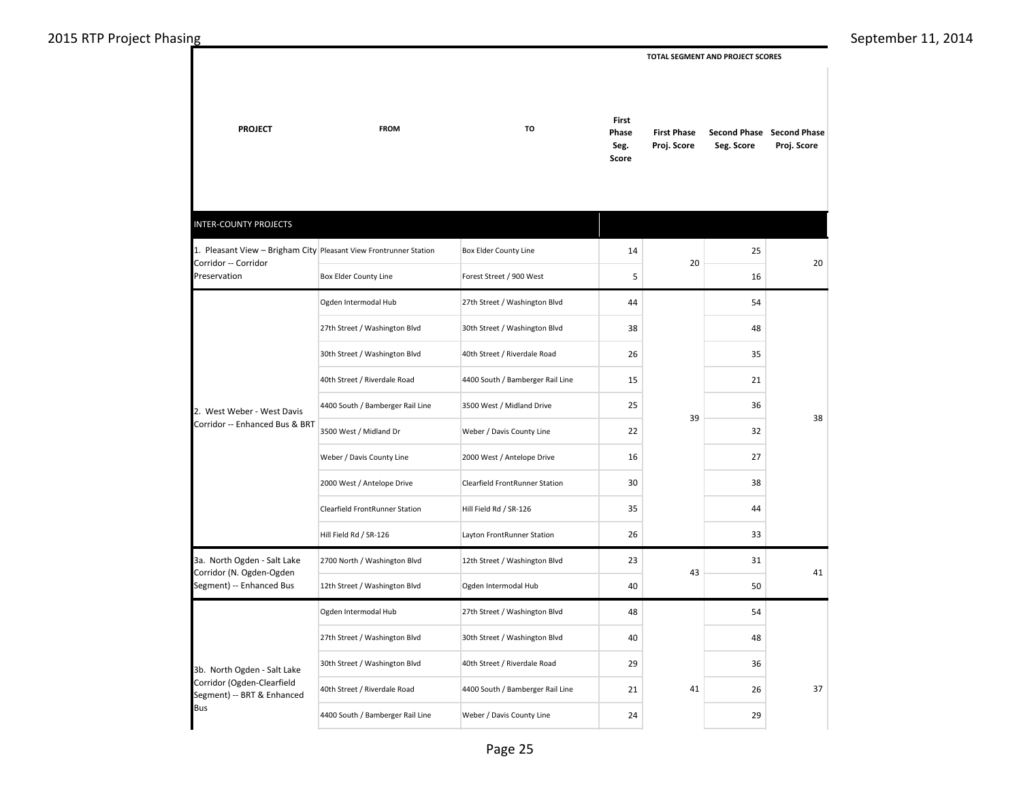**TOTAL SEGMENT AND PROJECT SCORES** 

| <b>PROJECT</b>                                                    | <b>FROM</b>                      |                                       | <b>First</b><br>Phase<br>Seg.<br>Score | <b>First Phase</b><br>Proj. Score | Seg. Score | Second Phase Second Phase<br>Proj. Score |
|-------------------------------------------------------------------|----------------------------------|---------------------------------------|----------------------------------------|-----------------------------------|------------|------------------------------------------|
| <b>INTER-COUNTY PROJECTS</b>                                      |                                  |                                       |                                        |                                   |            |                                          |
| 1. Pleasant View - Brigham City Pleasant View Frontrunner Station |                                  | Box Elder County Line                 | 14                                     |                                   | 25         |                                          |
| Corridor -- Corridor<br>Preservation                              | Box Elder County Line            | Forest Street / 900 West              | 5                                      | 20                                | 16         | 20                                       |
|                                                                   | Ogden Intermodal Hub             | 27th Street / Washington Blvd         | 44                                     |                                   | 54         |                                          |
|                                                                   | 27th Street / Washington Blvd    | 30th Street / Washington Blvd         | 38                                     |                                   | 48         |                                          |
| 2. West Weber - West Davis<br>Corridor -- Enhanced Bus & BRT      | 30th Street / Washington Blvd    | 40th Street / Riverdale Road          | 26                                     |                                   | 35         |                                          |
|                                                                   | 40th Street / Riverdale Road     | 4400 South / Bamberger Rail Line      | 15                                     |                                   | 21         |                                          |
|                                                                   | 4400 South / Bamberger Rail Line | 3500 West / Midland Drive             | 25                                     |                                   | 36         |                                          |
|                                                                   | 3500 West / Midland Dr           | Weber / Davis County Line             | 22                                     | 39                                | 32         | 38                                       |
|                                                                   | Weber / Davis County Line        | 2000 West / Antelope Drive            | 16                                     |                                   | 27         |                                          |
|                                                                   | 2000 West / Antelope Drive       | <b>Clearfield FrontRunner Station</b> | 30                                     |                                   | 38         |                                          |
|                                                                   | Clearfield FrontRunner Station   | Hill Field Rd / SR-126                | 35                                     |                                   | 44         |                                          |
|                                                                   | Hill Field Rd / SR-126           | Layton FrontRunner Station            | 26                                     |                                   | 33         |                                          |
| 3a. North Ogden - Salt Lake                                       | 2700 North / Washington Blvd     | 12th Street / Washington Blvd         | 23                                     |                                   | 31         |                                          |
| Corridor (N. Ogden-Ogden<br>Segment) -- Enhanced Bus              | 12th Street / Washington Blvd    | Ogden Intermodal Hub                  | 40                                     | 43                                | 50         | 41                                       |
|                                                                   | Ogden Intermodal Hub             | 27th Street / Washington Blvd         | 48                                     |                                   | 54         |                                          |
|                                                                   | 27th Street / Washington Blvd    | 30th Street / Washington Blvd         | 40                                     |                                   | 48         |                                          |
| 3b. North Ogden - Salt Lake                                       | 30th Street / Washington Blvd    | 40th Street / Riverdale Road          | 29                                     |                                   | 36         |                                          |
| Corridor (Ogden-Clearfield<br>Segment) -- BRT & Enhanced          | 40th Street / Riverdale Road     | 4400 South / Bamberger Rail Line      | 21                                     | 41                                | 26         | 37                                       |
| <b>Bus</b>                                                        | 4400 South / Bamberger Rail Line | Weber / Davis County Line             | 24                                     |                                   | 29         |                                          |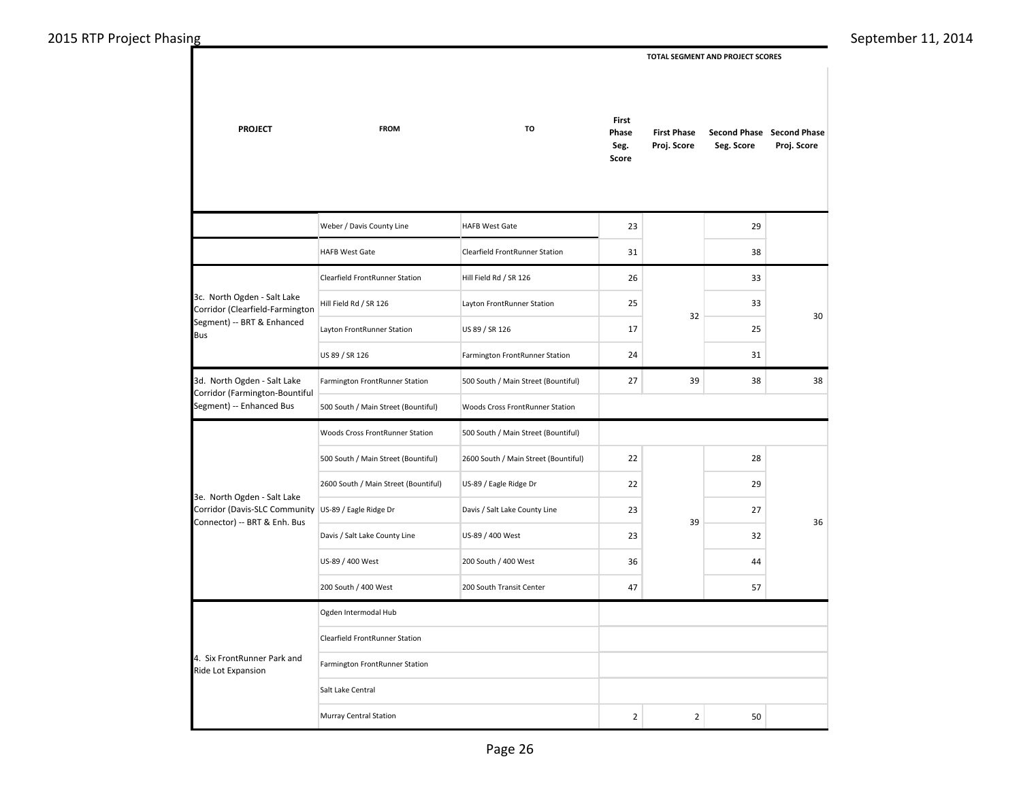**TOTAL SEGMENT AND PROJECT SCORES** 

| <b>PROJECT</b>                                                                       | <b>FROM</b>                           | TO                                   | First<br>Phase<br>Seg.<br>Score | <b>First Phase</b><br>Proj. Score | Seg. Score | Second Phase Second Phase<br>Proj. Score |  |  |
|--------------------------------------------------------------------------------------|---------------------------------------|--------------------------------------|---------------------------------|-----------------------------------|------------|------------------------------------------|--|--|
|                                                                                      | Weber / Davis County Line             | <b>HAFB West Gate</b>                | 23                              |                                   | 29         |                                          |  |  |
|                                                                                      | <b>HAFB West Gate</b>                 | Clearfield FrontRunner Station       | 31                              |                                   | 38         |                                          |  |  |
|                                                                                      | <b>Clearfield FrontRunner Station</b> | Hill Field Rd / SR 126               | 26                              |                                   | 33         |                                          |  |  |
| 3c. North Ogden - Salt Lake<br>Corridor (Clearfield-Farmington                       | Hill Field Rd / SR 126                | Layton FrontRunner Station           | 25                              | 32                                | 33         | 30                                       |  |  |
| Segment) -- BRT & Enhanced<br><b>Bus</b>                                             | Layton FrontRunner Station            | US 89 / SR 126                       | 17                              |                                   | 25         |                                          |  |  |
|                                                                                      | US 89 / SR 126                        | Farmington FrontRunner Station       | 24                              |                                   | 31         |                                          |  |  |
| 3d. North Ogden - Salt Lake<br>Corridor (Farmington-Bountiful                        | Farmington FrontRunner Station        | 500 South / Main Street (Bountiful)  | 27                              | 39                                | 38         | 38                                       |  |  |
| Segment) -- Enhanced Bus                                                             | 500 South / Main Street (Bountiful)   | Woods Cross FrontRunner Station      |                                 |                                   |            |                                          |  |  |
|                                                                                      | Woods Cross FrontRunner Station       | 500 South / Main Street (Bountiful)  |                                 |                                   |            |                                          |  |  |
|                                                                                      | 500 South / Main Street (Bountiful)   | 2600 South / Main Street (Bountiful) | 22                              |                                   | 28         |                                          |  |  |
| 3e. North Ogden - Salt Lake                                                          | 2600 South / Main Street (Bountiful)  | US-89 / Eagle Ridge Dr               | 22                              |                                   | 29         |                                          |  |  |
| Corridor (Davis-SLC Community US-89 / Eagle Ridge Dr<br>Connector) -- BRT & Enh. Bus |                                       | Davis / Salt Lake County Line        | 23                              | 39                                | 27         | 36                                       |  |  |
|                                                                                      | Davis / Salt Lake County Line         | US-89 / 400 West                     | 23                              |                                   | 32         |                                          |  |  |
|                                                                                      | US-89 / 400 West                      | 200 South / 400 West                 | 36                              |                                   | 44         |                                          |  |  |
|                                                                                      | 200 South / 400 West                  | 200 South Transit Center             | 47                              |                                   | 57         |                                          |  |  |
|                                                                                      | Ogden Intermodal Hub                  |                                      |                                 |                                   |            |                                          |  |  |
|                                                                                      | Clearfield FrontRunner Station        |                                      |                                 |                                   |            |                                          |  |  |
| 4. Six FrontRunner Park and<br>Ride Lot Expansion                                    | Farmington FrontRunner Station        |                                      |                                 |                                   |            |                                          |  |  |
|                                                                                      | Salt Lake Central                     |                                      |                                 |                                   |            |                                          |  |  |
|                                                                                      | Murray Central Station                |                                      | $\overline{2}$                  | $\overline{2}$                    | 50         |                                          |  |  |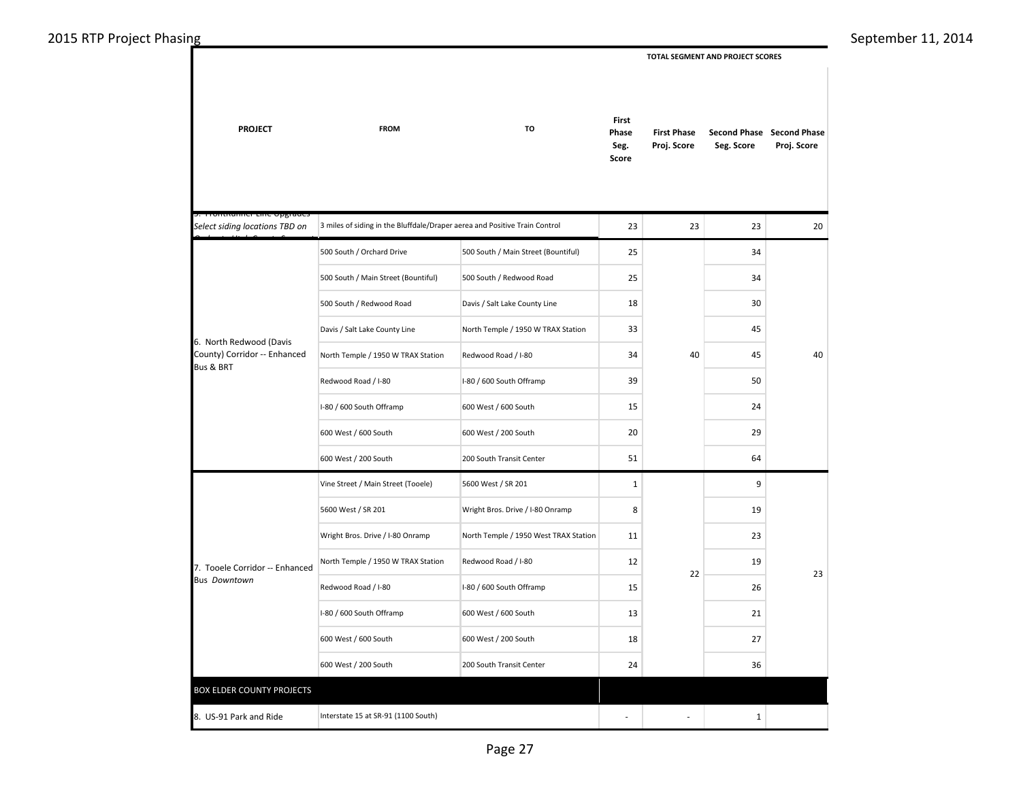| 2015 RTP Project Phasing                        |                                                       |                                                                            |                                       |                                 |                                   | TOTAL SEGMENT AND PROJECT SCORES |                                          | September 11, 2014 |
|-------------------------------------------------|-------------------------------------------------------|----------------------------------------------------------------------------|---------------------------------------|---------------------------------|-----------------------------------|----------------------------------|------------------------------------------|--------------------|
|                                                 | <b>PROJECT</b>                                        | <b>FROM</b>                                                                | TO                                    | First<br>Phase<br>Seg.<br>Score | <b>First Phase</b><br>Proj. Score | Seg. Score                       | Second Phase Second Phase<br>Proj. Score |                    |
|                                                 | tnummer eme opgraae<br>Select siding locations TBD on | 3 miles of siding in the Bluffdale/Draper aerea and Positive Train Control |                                       | 23                              | 23                                | 23                               | 20                                       |                    |
|                                                 |                                                       | 500 South / Orchard Drive                                                  | 500 South / Main Street (Bountiful)   | 25                              |                                   | 34                               |                                          |                    |
|                                                 |                                                       | 500 South / Main Street (Bountiful)                                        | 500 South / Redwood Road              | 25                              |                                   | 34                               |                                          |                    |
|                                                 |                                                       | 500 South / Redwood Road                                                   | Davis / Salt Lake County Line         | 18                              |                                   | 30                               |                                          |                    |
|                                                 |                                                       | Davis / Salt Lake County Line                                              | North Temple / 1950 W TRAX Station    | 33                              |                                   | 45                               |                                          |                    |
| 6. North Redwood (Davis<br><b>Bus &amp; BRT</b> | County) Corridor -- Enhanced                          | North Temple / 1950 W TRAX Station                                         | Redwood Road / I-80                   | 34                              | 40                                | 45                               | 40                                       |                    |
|                                                 |                                                       | Redwood Road / I-80                                                        | I-80 / 600 South Offramp              | 39                              |                                   | 50                               |                                          |                    |
|                                                 |                                                       | I-80 / 600 South Offramp                                                   | 600 West / 600 South                  | 15                              |                                   | 24                               |                                          |                    |
|                                                 |                                                       | 600 West / 600 South                                                       | 600 West / 200 South                  | 20                              |                                   | 29                               |                                          |                    |
|                                                 |                                                       | 600 West / 200 South                                                       | 200 South Transit Center              | 51                              |                                   | 64                               |                                          |                    |
|                                                 |                                                       | Vine Street / Main Street (Tooele)                                         | 5600 West / SR 201                    | $\mathbf{1}$                    |                                   | $\overline{9}$                   |                                          |                    |
|                                                 |                                                       | 5600 West / SR 201                                                         | Wright Bros. Drive / I-80 Onramp      | 8                               |                                   | 19                               |                                          |                    |
|                                                 |                                                       | Wright Bros. Drive / I-80 Onramp                                           | North Temple / 1950 West TRAX Station | 11                              |                                   | 23                               |                                          |                    |
|                                                 | 7. Tooele Corridor -- Enhanced                        | North Temple / 1950 W TRAX Station                                         | Redwood Road / I-80                   | 12                              | 22                                | 19                               | 23                                       |                    |
|                                                 | <b>Bus Downtown</b>                                   | Redwood Road / I-80                                                        | I-80 / 600 South Offramp              | 15                              |                                   | 26                               |                                          |                    |
|                                                 |                                                       | I-80 / 600 South Offramp                                                   | 600 West / 600 South                  | 13                              |                                   | 21                               |                                          |                    |
|                                                 |                                                       | 600 West / 600 South                                                       | 600 West / 200 South                  | 18                              |                                   | 27                               |                                          |                    |
|                                                 |                                                       | 600 West / 200 South                                                       | 200 South Transit Center              | 24                              |                                   | 36                               |                                          |                    |
|                                                 | <b>BOX ELDER COUNTY PROJECTS</b>                      |                                                                            |                                       |                                 |                                   |                                  |                                          |                    |
|                                                 | 8. US-91 Park and Ride                                | Interstate 15 at SR-91 (1100 South)                                        |                                       | $\sim$                          | $\sim$                            | $\mathbf{1}$                     |                                          |                    |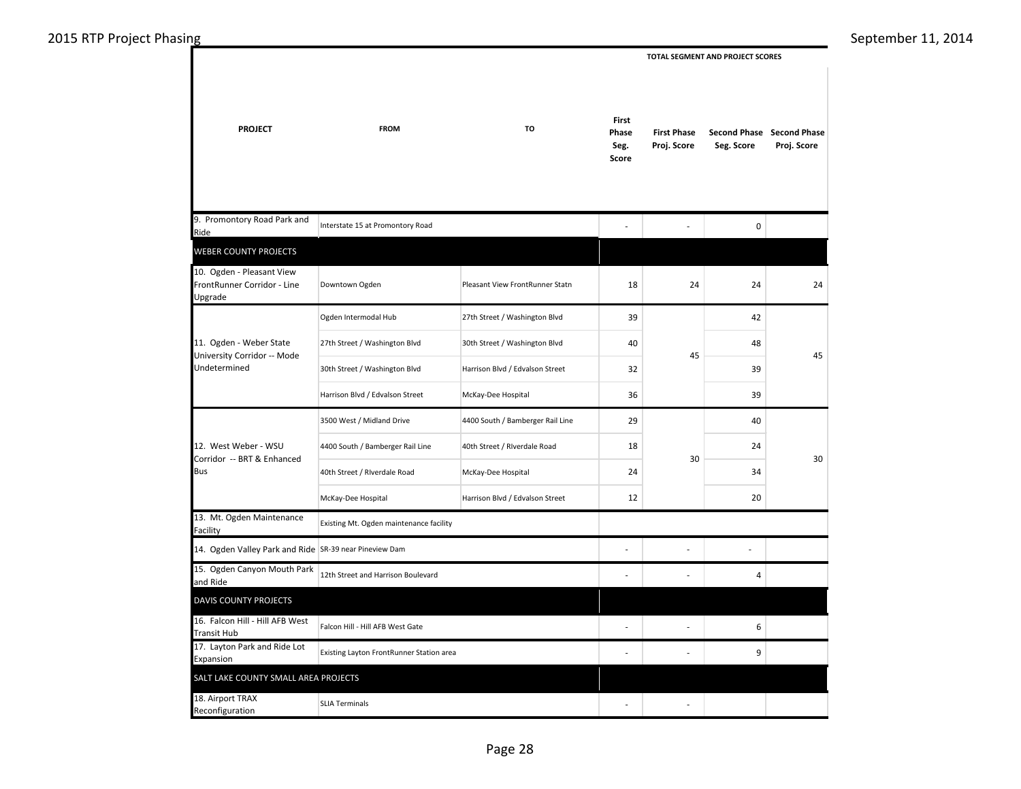| 2015 RTP Project Phasing |                                                                        |                                          |                                  |                                 |                                   |                                  |                                          | September 11, 2014 |
|--------------------------|------------------------------------------------------------------------|------------------------------------------|----------------------------------|---------------------------------|-----------------------------------|----------------------------------|------------------------------------------|--------------------|
|                          |                                                                        |                                          |                                  |                                 |                                   | TOTAL SEGMENT AND PROJECT SCORES |                                          |                    |
|                          | <b>PROJECT</b>                                                         | <b>FROM</b>                              | TO                               | First<br>Phase<br>Seg.<br>Score | <b>First Phase</b><br>Proj. Score | Seg. Score                       | Second Phase Second Phase<br>Proj. Score |                    |
|                          | 9. Promontory Road Park and<br>Ride                                    | Interstate 15 at Promontory Road         |                                  | $\overline{\phantom{a}}$        | $\overline{a}$                    | $\mathbf 0$                      |                                          |                    |
|                          | WEBER COUNTY PROJECTS                                                  |                                          |                                  |                                 |                                   |                                  |                                          |                    |
|                          | 10. Ogden - Pleasant View<br>FrontRunner Corridor - Line<br>Upgrade    | Downtown Ogden                           | Pleasant View FrontRunner Statn  | 18                              | 24                                | 24                               | 24                                       |                    |
|                          |                                                                        | Ogden Intermodal Hub                     | 27th Street / Washington Blvd    | 39                              |                                   | 42                               |                                          |                    |
|                          | 11. Ogden - Weber State<br>University Corridor -- Mode<br>Undetermined | 27th Street / Washington Blvd            | 30th Street / Washington Blvd    | 40                              |                                   | 48                               |                                          |                    |
|                          |                                                                        | 30th Street / Washington Blvd            | Harrison Blvd / Edvalson Street  | 32                              | 45                                | 39                               | 45                                       |                    |
|                          | Harrison Blvd / Edvalson Street                                        | McKay-Dee Hospital                       | 36                               | 39                              |                                   |                                  |                                          |                    |
|                          |                                                                        | 3500 West / Midland Drive                | 4400 South / Bamberger Rail Line | 29                              |                                   | 40                               |                                          |                    |
|                          | 12. West Weber - WSU<br>Corridor -- BRT & Enhanced                     | 4400 South / Bamberger Rail Line         | 40th Street / Riverdale Road     | 18                              | 30                                | 24                               | 30                                       |                    |
|                          | Bus                                                                    | 40th Street / Riverdale Road             | McKay-Dee Hospital               | 24                              |                                   | 34                               |                                          |                    |
|                          |                                                                        | McKay-Dee Hospital                       | Harrison Blvd / Edvalson Street  | 12                              |                                   | 20                               |                                          |                    |
|                          | 13. Mt. Ogden Maintenance<br>Facility                                  | Existing Mt. Ogden maintenance facility  |                                  |                                 |                                   |                                  |                                          |                    |
|                          | 14. Ogden Valley Park and Ride SR-39 near Pineview Dam                 |                                          |                                  |                                 | ÷,                                | $\overline{a}$                   |                                          |                    |
|                          | 15. Ogden Canyon Mouth Park<br>and Ride                                | 12th Street and Harrison Boulevard       |                                  | $\overline{a}$                  | $\overline{\phantom{a}}$          | $\overline{4}$                   |                                          |                    |
|                          | <b>DAVIS COUNTY PROJECTS</b>                                           |                                          |                                  |                                 |                                   |                                  |                                          |                    |
|                          | 16. Falcon Hill - Hill AFB West<br>Transit Hub                         | Falcon Hill - Hill AFB West Gate         |                                  | $\overline{\phantom{a}}$        | $\overline{\phantom{a}}$          | 6                                |                                          |                    |
|                          | 17. Layton Park and Ride Lot<br>Expansion                              | Existing Layton FrontRunner Station area |                                  | $\overline{\phantom{a}}$        | $\overline{\phantom{a}}$          | 9                                |                                          |                    |
|                          | SALT LAKE COUNTY SMALL AREA PROJECTS                                   |                                          |                                  |                                 |                                   |                                  |                                          |                    |
|                          | 18. Airport TRAX<br>Reconfiguration                                    | <b>SLIA Terminals</b>                    |                                  | $\overline{a}$                  | $\overline{a}$                    |                                  |                                          |                    |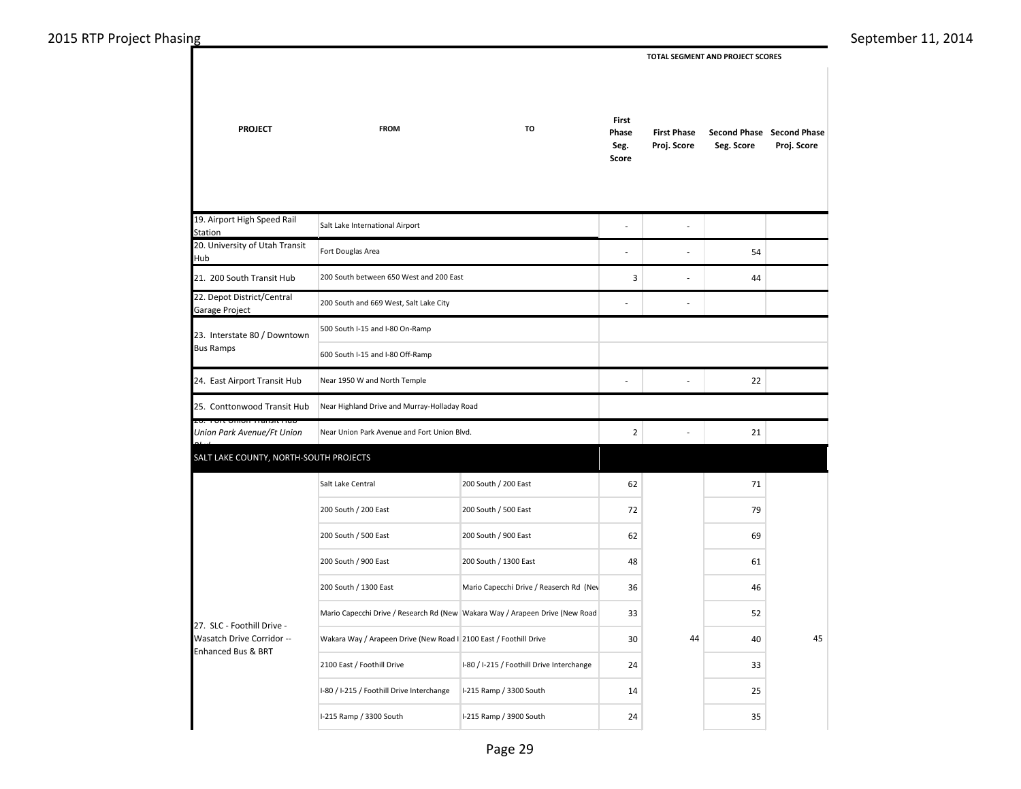2015 RTP Project Phasing September 11, 2014 **PROJECT FROM TO** 19. Airport High Speed Rail 20. University of Utah Transit 21. 200 South Transit Hub 22. Depot District/Central 24. East Airport Transit Hub 25. Conttonwood Transit Hub 26. Fort Union Transit Hub *Union Park Avenue/Ft Union*  Salt Lake Central 200 South / 200 East 200 South / 200 East 200 South / 500 East 200 South / 500 East 200 South / 900 East 200 South / 900 East 200 South / 1300 East 200 South / 1300 East Mario Capecchi Drive / Reaserch Rd (Nev Mario Capecchi Drive / Research Rd (New Wakara Way / Arapeen Drive (New Road 200 South between 650 West and 200 East 200 South and 669 West, Salt Lake City 500 South I-15 and I-80 On-Ramp Near 1950 W and North Temple Near Highland Drive and Murray-Holladay Road Near Union Park Avenue and Fort Union Blvd. 23. Interstate 80 / Downtown Bus Ramps 600 South I-15 and I-80 Off-Ramp Salt Lake International Airport Fort Douglas Area SALT LAKE COUNTY, NORTH-SOUTH PROJECTS  **First Phase Proj. Score Second Phase Second Phase Seg. Score Proj. Score First Phase Seg. Score TOTAL SEGMENT AND PROJECT SCORES**  - - - - 54  $\overline{3}$  - 44 - - - - 22  $2$  - 21 62 71 72 79 62 69 48 61 36 46 33 52

30 40

44 40 45

 24 33 14 25 24 35

27. SLC - Foothill Drive - Wasatch Drive Corridor -- Enhanced Bus & BRT

Station

Garage Project

Hub

*Blvd*

Page 29

Wakara Way / Arapeen Drive (New Road In 2100 East / Foothill Drive

I-80 / I-215 / Foothill Drive Interchange | I-215 Ramp / 3300 South I-215 Ramp / 3300 South I-215 Ramp / 3900 South

2100 East / Foothill Drive Interchange I-80 / I-215 / Foothill Drive Interchange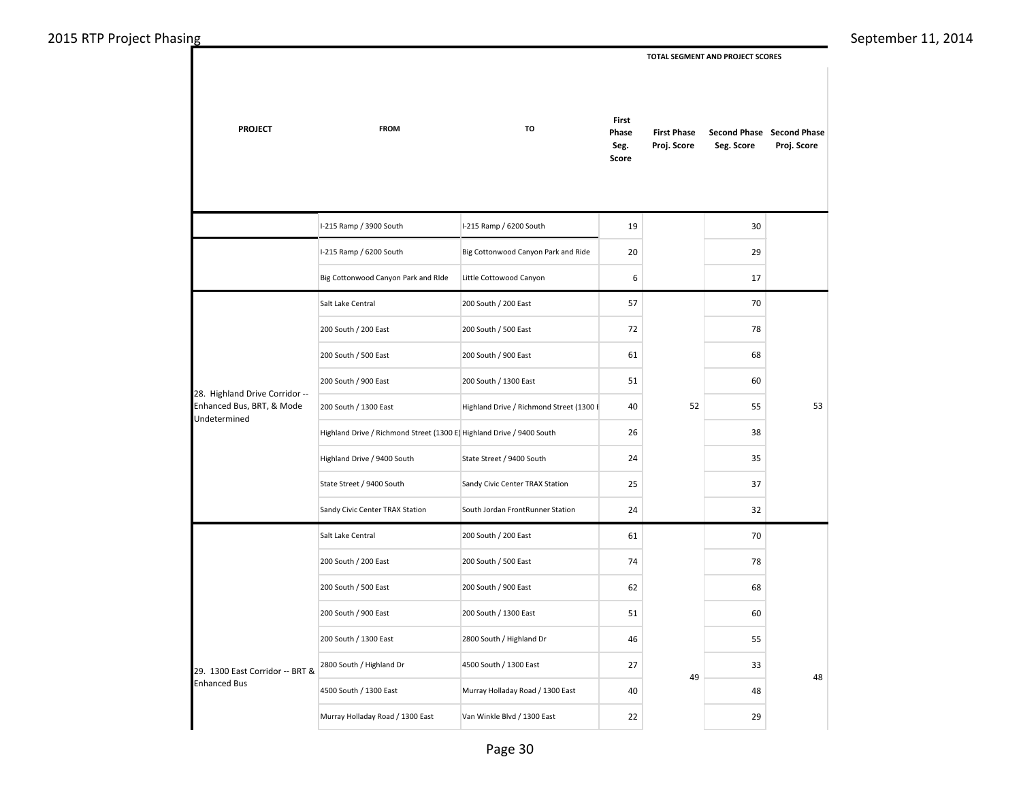**TOTAL SEGMENT AND PROJECT SCORES** 

| <b>PROJECT</b>                                 | <b>FROM</b><br>I-215 Ramp / 3900 South                               |                                          | First<br>Phase<br>Seg.<br>Score | <b>First Phase</b><br>Proj. Score | Seg. Score | Second Phase Second Phase<br>Proj. Score |
|------------------------------------------------|----------------------------------------------------------------------|------------------------------------------|---------------------------------|-----------------------------------|------------|------------------------------------------|
|                                                |                                                                      | I-215 Ramp / 6200 South                  | 19                              |                                   | 30         |                                          |
|                                                | I-215 Ramp / 6200 South                                              | Big Cottonwood Canyon Park and Ride      | 20                              |                                   | 29         |                                          |
|                                                | Big Cottonwood Canyon Park and RIde                                  | Little Cottowood Canyon                  | 6                               |                                   | 17         |                                          |
|                                                | Salt Lake Central                                                    | 200 South / 200 East                     | 57                              |                                   | 70         |                                          |
|                                                | 200 South / 200 East                                                 | 200 South / 500 East                     | 72                              |                                   | 78         |                                          |
|                                                | 200 South / 500 East                                                 | 200 South / 900 East                     | 61                              |                                   | 68         |                                          |
|                                                | 200 South / 900 East                                                 | 200 South / 1300 East                    | 51                              |                                   | 60         |                                          |
| Enhanced Bus, BRT, & Mode                      | 200 South / 1300 East                                                | Highland Drive / Richmond Street (1300 F | 40                              | 52                                | 55         | 53                                       |
|                                                | Highland Drive / Richmond Street (1300 E Highland Drive / 9400 South |                                          | 26                              |                                   | 38         |                                          |
| 28. Highland Drive Corridor --<br>Undetermined | Highland Drive / 9400 South                                          | State Street / 9400 South                | 24                              |                                   | 35         |                                          |
|                                                | State Street / 9400 South                                            | Sandy Civic Center TRAX Station          | 25                              |                                   | 37         |                                          |
|                                                | Sandy Civic Center TRAX Station                                      | South Jordan FrontRunner Station         | 24                              |                                   | 32         |                                          |
|                                                | Salt Lake Central                                                    | 200 South / 200 East                     | 61                              |                                   | 70         |                                          |
|                                                | 200 South / 200 East                                                 | 200 South / 500 East                     | 74                              |                                   | 78         |                                          |
|                                                | 200 South / 500 East                                                 | 200 South / 900 East                     | 62                              |                                   | 68         |                                          |
|                                                | 200 South / 900 East                                                 | 200 South / 1300 East                    | 51                              |                                   | 60         |                                          |
|                                                | 200 South / 1300 East                                                | 2800 South / Highland Dr                 | 46                              |                                   | 55         |                                          |
| 29. 1300 East Corridor -- BRT &                | 2800 South / Highland Dr                                             | 4500 South / 1300 East                   | 27                              | 49                                | 33         | 48                                       |
| <b>Enhanced Bus</b>                            | 4500 South / 1300 East                                               | Murray Holladay Road / 1300 East         | 40                              |                                   | 48         |                                          |
|                                                | Murray Holladay Road / 1300 East                                     | Van Winkle Blvd / 1300 East              | 22                              |                                   | 29         |                                          |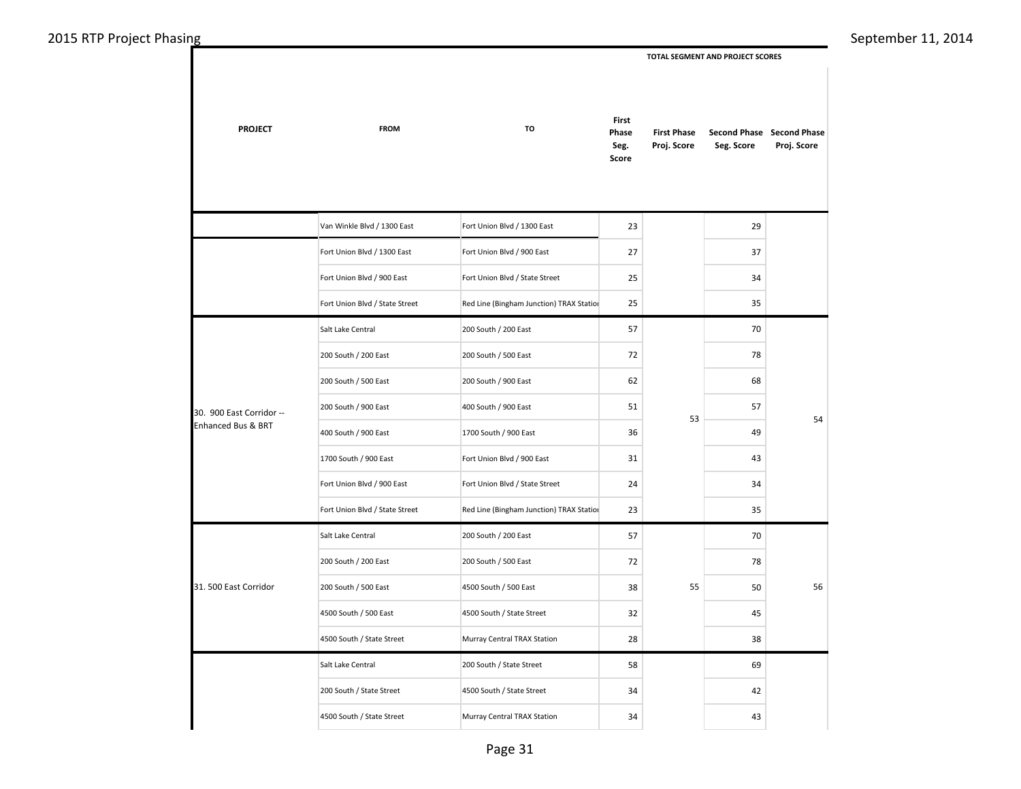**PROJECT FROM TO** Van Winkle Blvd / 1300 East Fort Union Blvd / 1300 East Fort Union Blvd / 1300 East Fort Union Blvd / 900 East Fort Union Blvd / 900 East Fort Union Blvd / State Street Fort Union Blvd / State Street Red Line (Bingham Junction) TRAX Station Salt Lake Central 200 South / 200 East 200 South / 200 East 200 South / 500 East 200 South / 500 East 200 South / 900 East 200 South / 900 East 400 South / 900 East 400 South / 900 East 1700 South / 900 East 1700 South / 900 East Fort Union Blvd / 900 East Fort Union Blvd / 900 East Fort Union Blvd / State Street Fort Union Blvd / State Street Red Line (Bingham Junction) TRAX Station Salt Lake Central 200 South / 200 East 200 South / 200 East 200 South / 500 East 200 South / 500 East 4500 South / 500 East 4500 South / 500 East 4500 South / State Street 4500 South / State Street Murray Central TRAX Station Salt Lake Central 200 South / State Street 200 South / State Street 4500 South / State Street 4500 South / State Street Murray Central TRAX Station 30. 900 East Corridor -- Enhanced Bus & BRT 31. 500 East Corridor  **First Phase Proj. Score Second Phase Second Phase Seg. Score Proj. Score First Phase Seg. Score TOTAL SEGMENT AND PROJECT SCORES**  23 29 27 37 25 34 25 35 57 70 72 78 62 68 51 57 36 49 31 43 24 34 23 35 57 70 72 78 38 50 32 45 28 38 58 69  $34$  42  $34$  43 54 56 53 55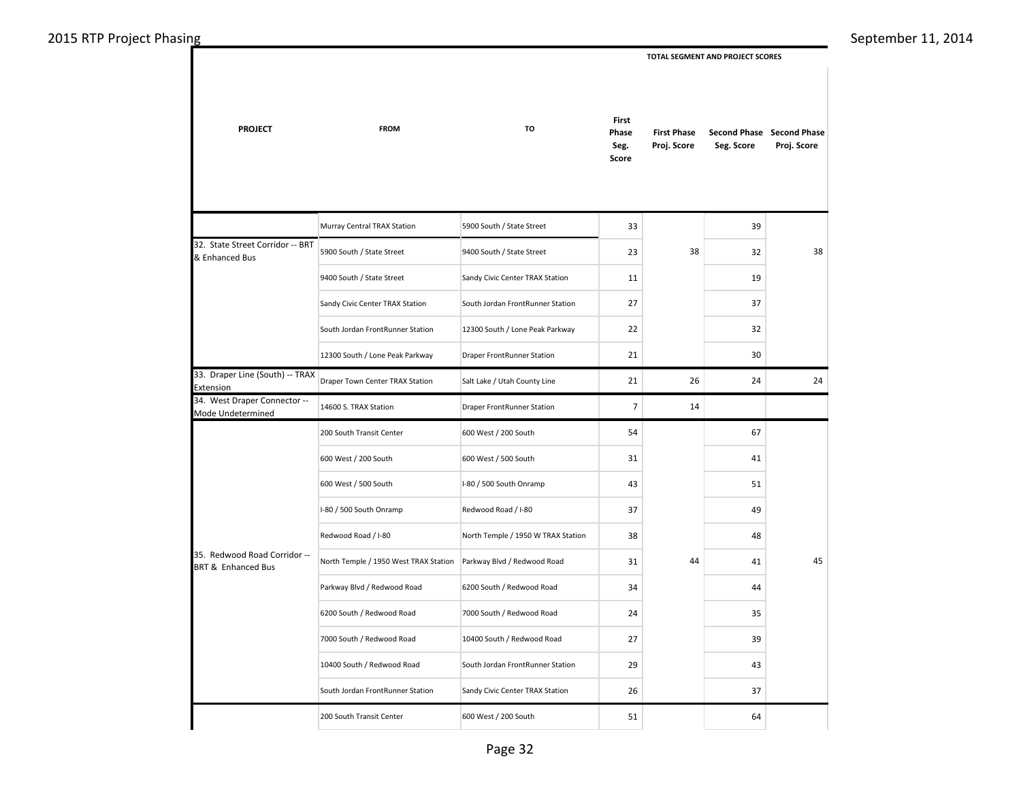**TOTAL SEGMENT AND PROJECT SCORES** 

| <b>PROJECT</b>                                                | <b>FROM</b>                           | TO                                 | <b>First</b><br>Phase<br>Seg.<br>Score | <b>First Phase</b><br>Proj. Score | Seg. Score | Second Phase Second Phase<br>Proj. Score |  |  |
|---------------------------------------------------------------|---------------------------------------|------------------------------------|----------------------------------------|-----------------------------------|------------|------------------------------------------|--|--|
|                                                               | Murray Central TRAX Station           | 5900 South / State Street          | 33                                     |                                   | 39         |                                          |  |  |
| 32. State Street Corridor -- BRT<br>& Enhanced Bus            | 5900 South / State Street             | 9400 South / State Street          | 23                                     | 38                                | 32         | 38                                       |  |  |
|                                                               | 9400 South / State Street             | Sandy Civic Center TRAX Station    | 11                                     |                                   | 19         |                                          |  |  |
|                                                               | Sandy Civic Center TRAX Station       | South Jordan FrontRunner Station   | 27                                     |                                   | 37         |                                          |  |  |
|                                                               | South Jordan FrontRunner Station      | 12300 South / Lone Peak Parkway    | 22                                     |                                   | 32         |                                          |  |  |
|                                                               | 12300 South / Lone Peak Parkway       | <b>Draper FrontRunner Station</b>  | 21                                     |                                   | 30         |                                          |  |  |
| 33. Draper Line (South) -- TRAX<br>Extension                  | Draper Town Center TRAX Station       | Salt Lake / Utah County Line       | 21                                     | 26                                | 24         | 24                                       |  |  |
| 34. West Draper Connector --<br>Mode Undetermined             | 14600 S. TRAX Station                 | Draper FrontRunner Station         | $\overline{7}$                         | 14                                |            |                                          |  |  |
|                                                               | 200 South Transit Center              | 600 West / 200 South               | 54                                     |                                   | 67         |                                          |  |  |
|                                                               | 600 West / 200 South                  | 600 West / 500 South               | 31                                     |                                   | 41         |                                          |  |  |
|                                                               | 600 West / 500 South                  | I-80 / 500 South Onramp            | 43                                     |                                   | 51         |                                          |  |  |
|                                                               | I-80 / 500 South Onramp               | Redwood Road / I-80                | 37                                     |                                   | 49         |                                          |  |  |
|                                                               | Redwood Road / I-80                   | North Temple / 1950 W TRAX Station | 38                                     |                                   | 48         |                                          |  |  |
| 35. Redwood Road Corridor --<br><b>BRT &amp; Enhanced Bus</b> | North Temple / 1950 West TRAX Station | Parkway Blvd / Redwood Road        | 31                                     | 44                                | 41         | 45                                       |  |  |
|                                                               | Parkway Blvd / Redwood Road           | 6200 South / Redwood Road          | 34                                     |                                   | 44         |                                          |  |  |
|                                                               | 6200 South / Redwood Road             | 7000 South / Redwood Road          | 24                                     |                                   | 35         |                                          |  |  |
|                                                               | 7000 South / Redwood Road             | 10400 South / Redwood Road         | 27                                     |                                   | 39         |                                          |  |  |
|                                                               | 10400 South / Redwood Road            | South Jordan FrontRunner Station   | 29                                     |                                   | 43         |                                          |  |  |
|                                                               | South Jordan FrontRunner Station      | Sandy Civic Center TRAX Station    | 26                                     |                                   | 37         |                                          |  |  |
|                                                               | 200 South Transit Center              | 600 West / 200 South               | 51                                     |                                   | 64         |                                          |  |  |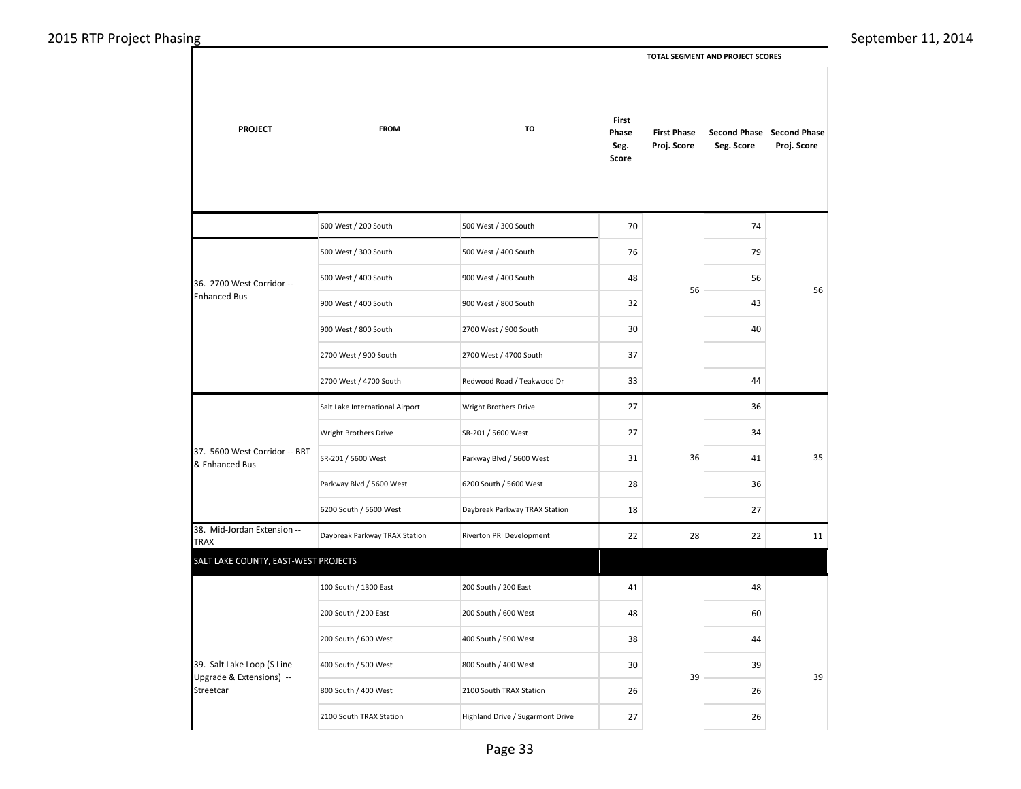**PROJECT FROM TO** 600 West / 200 South 500 West / 300 South 500 West / 300 South 500 West / 400 South 500 West / 400 South 900 West / 400 South 900 West / 400 South 900 West / 800 South 900 West / 800 South 2700 West / 900 South 2700 West / 900 South 2700 West / 4700 South 2700 West / 4700 South Redwood Road / Teakwood Dr Salt Lake International Airport Wright Brothers Drive Wright Brothers Drive SR-201 / 5600 West SR-201 / 5600 West Parkway Blvd / 5600 West Parkway Blvd / 5600 West 6200 South / 5600 West 6200 South / 5600 West Daybreak Parkway TRAX Station 38. Mid-Jordan Extension -- Jos. Who solven Externsion | Daybreak Parkway TRAX Station | Riverton PRI Development 100 South / 1300 East 200 South / 200 East 200 South / 200 East 200 South / 600 West 200 South / 600 West 400 South / 500 West 400 South / 500 West 800 South / 400 West 800 South / 400 West 2100 South TRAX Station 2100 South TRAX Station  $\vert$  Highland Drive / Sugarmont Drive 39. Salt Lake Loop (S Line Upgrade & Extensions) -- Streetcar 36. 2700 West Corridor -- Enhanced Bus 37. 5600 West Corridor -- BRT & Enhanced Bus SALT LAKE COUNTY, EAST-WEST PROJECTS  **First Phase Proj. Score Second Phase Second Phase Seg. Score Proj. Score First Phase Seg. Score TOTAL SEGMENT AND PROJECT SCORES**  70 74 76 79 48 56 32 43 30 40 37 33 44 27 36 27 34 31 36 41 28 36 18 27 22 28 22 11 41 48 48 60 38 44 30 39 26 26 27 26 35 39 56 39 36 56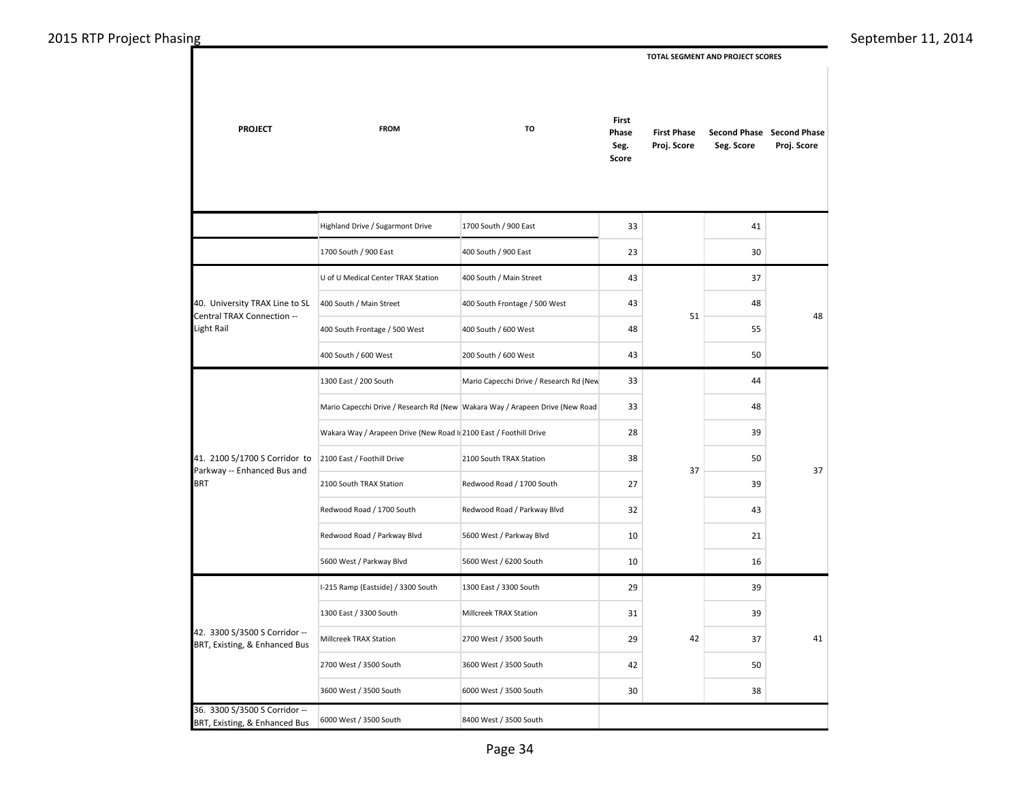$\mathcal{A}$ 

 **TOTAL SEGMENT AND PROJECT SCORES** 

| <b>PROJECT</b>                                                 | <b>FROM</b>                                                       | TO                                                                           | First<br>Phase<br>Seg.<br>Score | <b>First Phase</b><br>Proj. Score | Seg. Score | Second Phase Second Phase<br>Proj. Score |  |
|----------------------------------------------------------------|-------------------------------------------------------------------|------------------------------------------------------------------------------|---------------------------------|-----------------------------------|------------|------------------------------------------|--|
|                                                                | Highland Drive / Sugarmont Drive                                  | 1700 South / 900 East                                                        | 33                              |                                   | 41         |                                          |  |
|                                                                | 1700 South / 900 East                                             | 400 South / 900 East                                                         | 23                              |                                   | 30         |                                          |  |
|                                                                | U of U Medical Center TRAX Station                                | 400 South / Main Street                                                      | 43                              |                                   | 37         |                                          |  |
| 40. University TRAX Line to SL<br>Central TRAX Connection --   | 400 South / Main Street                                           | 400 South Frontage / 500 West                                                | 43                              | 51                                | 48         | 48                                       |  |
| Light Rail                                                     | 400 South Frontage / 500 West                                     | 400 South / 600 West                                                         | 48                              |                                   | 55         |                                          |  |
|                                                                | 400 South / 600 West                                              | 200 South / 600 West                                                         | 43                              |                                   | 50         |                                          |  |
|                                                                | 1300 East / 200 South                                             | Mario Capecchi Drive / Research Rd (New                                      | 33                              |                                   | 44         |                                          |  |
|                                                                |                                                                   | Mario Capecchi Drive / Research Rd (New Wakara Way / Arapeen Drive (New Road | 33                              |                                   | 48         |                                          |  |
|                                                                | Wakara Way / Arapeen Drive (New Road I 2100 East / Foothill Drive |                                                                              | 28                              |                                   | 39         |                                          |  |
| 41. 2100 S/1700 S Corridor to                                  | 2100 East / Foothill Drive                                        | 2100 South TRAX Station                                                      | 38                              |                                   | 50         |                                          |  |
| Parkway -- Enhanced Bus and<br><b>BRT</b>                      | 2100 South TRAX Station                                           | Redwood Road / 1700 South                                                    | 27                              | 37                                | 39         | 37                                       |  |
|                                                                | Redwood Road / 1700 South                                         | Redwood Road / Parkway Blvd                                                  | 32                              |                                   | 43         |                                          |  |
|                                                                | Redwood Road / Parkway Blvd                                       | 5600 West / Parkway Blvd                                                     | 10                              |                                   | 21         |                                          |  |
|                                                                | 5600 West / Parkway Blvd                                          | 5600 West / 6200 South                                                       | 10                              |                                   | 16         |                                          |  |
|                                                                | I-215 Ramp (Eastside) / 3300 South                                | 1300 East / 3300 South                                                       | 29                              |                                   | 39         |                                          |  |
|                                                                | 1300 East / 3300 South                                            | Millcreek TRAX Station                                                       | 31                              |                                   | 39         |                                          |  |
| 42. 3300 S/3500 S Corridor --<br>BRT, Existing, & Enhanced Bus | Millcreek TRAX Station                                            | 2700 West / 3500 South                                                       | 29                              | 42                                | 37         | 41                                       |  |
|                                                                | 2700 West / 3500 South                                            | 3600 West / 3500 South                                                       | 42                              |                                   | 50         |                                          |  |
|                                                                | 3600 West / 3500 South                                            | 6000 West / 3500 South                                                       | 30                              |                                   | 38         |                                          |  |
| 36. 3300 S/3500 S Corridor --<br>BRT, Existing, & Enhanced Bus | 6000 West / 3500 South                                            | 8400 West / 3500 South                                                       |                                 |                                   |            |                                          |  |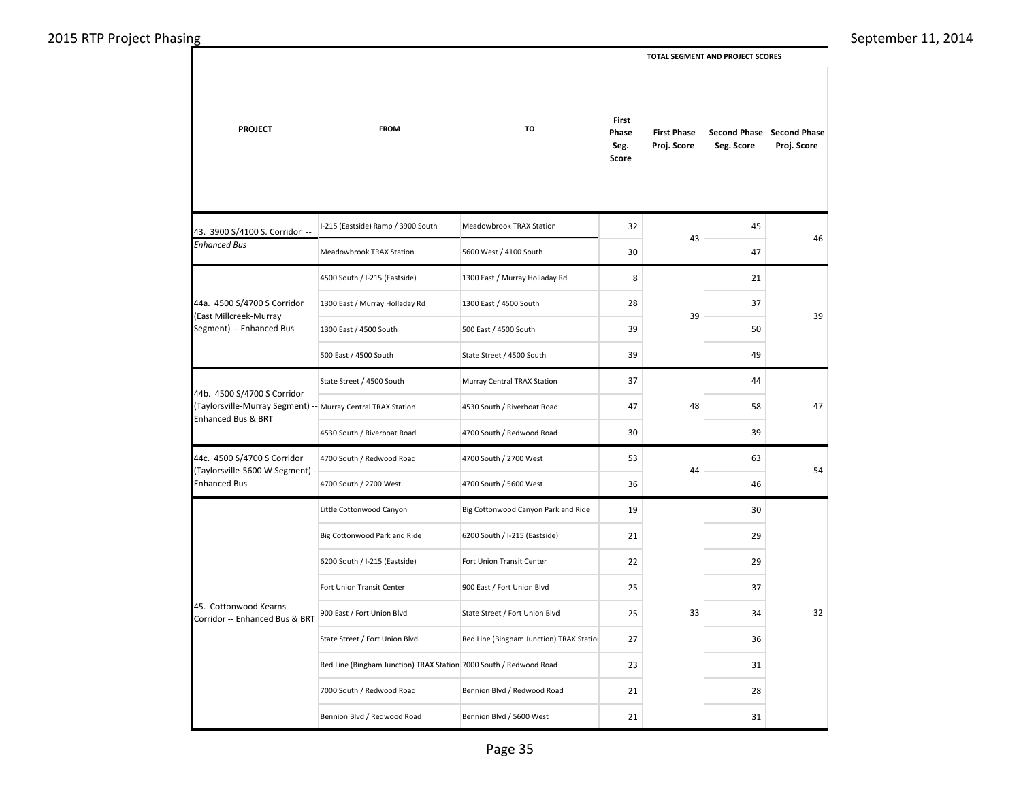**PROJECT FROM TO** I-215 (Eastside) Ramp / 3900 South Meadowbrook TRAX Station Meadowbrook TRAX Station 5600 West / 4100 South 4500 South / I-215 (Eastside) 1300 East / Murray Holladay Rd 1300 East / Murray Holladay Rd 1300 East / 4500 South 1300 East / 4500 South 500 East / 4500 South 500 East / 4500 South State Street / 4500 South State Street / 4500 South Murray Central TRAX Station 4530 South / Riverboat Road 4530 South / Riverboat Road 4700 South / Redwood Road 4700 South / Redwood Road 4700 South / 2700 West 4700 South / 2700 West 4700 South / 5600 West Little Cottonwood Canyon Big Cottonwood Canyon Park and Ride Big Cottonwood Park and Ride 6200 South / I-215 (Eastside) 6200 South / I-215 (Eastside) Fort Union Transit Center Fort Union Transit Center 900 East / Fort Union Blvd 900 East / Fort Union Blvd State Street / Fort Union Blvd State Street / Fort Union Blvd Red Line (Bingham Junction) TRAX Station Red Line (Bingham Junction) TRAX Station 7000 South / Redwood Road 7000 South / Redwood Road Bennion Blvd / Redwood Road Bennion Blvd / Redwood Road Bennion Blvd / 5600 West 44a. 4500 S/4700 S Corridor (East Millcreek-Murray Segment) -- Enhanced Bus 45. Cottonwood Kearns Corridor -- Enhanced Bus & BRT 44b. 4500 S/4700 S Corridor (Taylorsville-Murray Segment) -- Enhanced Bus & BRT 44c. 4500 S/4700 S Corridor (Taylorsville-5600 W Segment) -- Enhanced Bus 43. 3900 S/4100 S. Corridor -- *Enhanced Bus*  **First Phase Proj. Score Second Phase Second Phase Seg. Score Proj. Score First Phase Seg. Score TOTAL SEGMENT AND PROJECT SCORES**  32 45 30 47 8 21 28 37 39 50 39 49 37 44 47 58 30 39 53 63 36 46 19 30 21 29 22 29 25 37 25 34 27 36  $23$  31 21 28 21 31 32 47 54 39  $\overline{43}$  46 39 48 44 33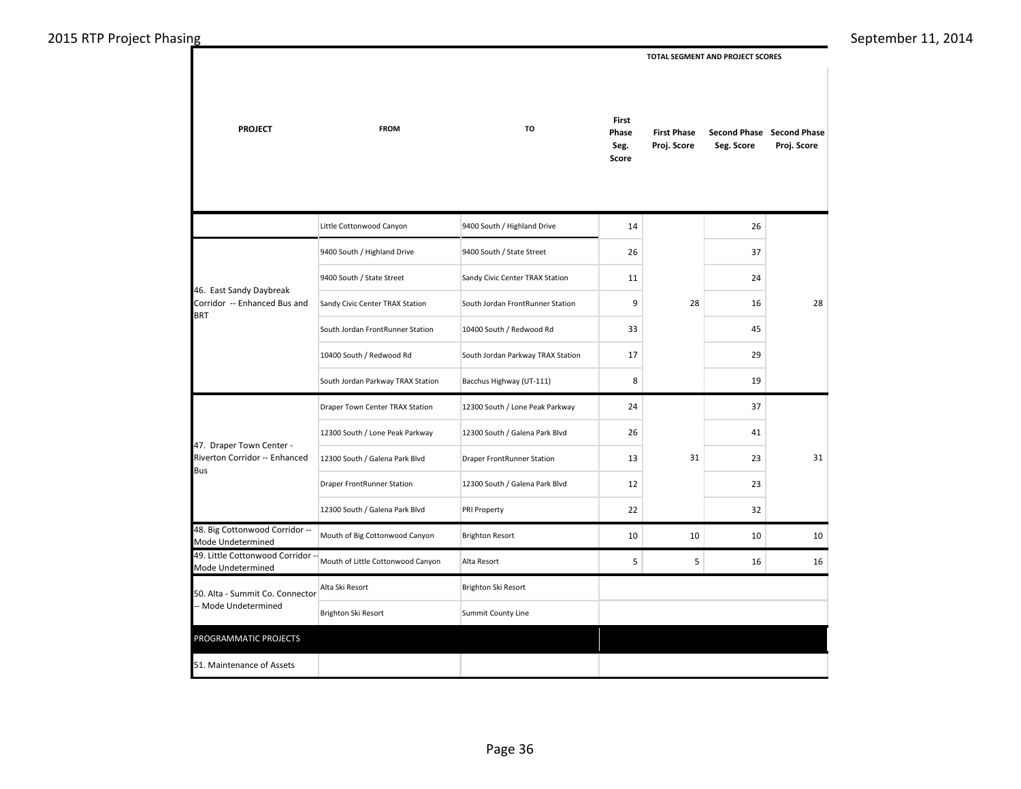**PROJECT FROM TO** Little Cottonwood Canyon 9400 South / Highland Drive 9400 South / Highland Drive 9400 South / State Street 9400 South / State Street Sandy Civic Center TRAX Station Sandy Civic Center TRAX Station South Jordan FrontRunner Station South Jordan FrontRunner Station 10400 South / Redwood Rd 10400 South / Redwood Rd South Jordan Parkway TRAX Station South Jordan Parkway TRAX Station Bacchus Highway (UT-111) Draper Town Center TRAX Station 12300 South / Lone Peak Parkway 12300 South / Lone Peak Parkway 12300 South / Galena Park Blvd 12300 South / Galena Park Blvd Draper FrontRunner Station Draper FrontRunner Station 12300 South / Galena Park Blvd 12300 South / Galena Park Blvd PRI Property 48. Big Cottonwood Corridor --<br>Mode Undetermined Mouth of Big Cottonwood Canyon Brighton Resort 49. Little Cottonwood Corridor 49. Little Cottonwood Corridor<sup>1</sup> Mouth of Little Cottonwood Canyon Alta Resort Alta Ski Resort Brighton Ski Resort Brighton Ski Resort Summit County Line 51. Maintenance of Assets 50. Alta - Summit Co. Connector -- Mode Undetermined 47. Draper Town Center - Riverton Corridor -- Enhanced Bus 46. East Sandy Daybreak Corridor -- Enhanced Bus and BRT PROGRAMMATIC PROJECTS  **First Phase Proj. Score Second Phase Second Phase Seg. Score Proj. Score First Phase Seg. Score TOTAL SEGMENT AND PROJECT SCORES**  14 26 26 37 11 24  $9$  28 16 33 45 17 29 8 19 24 37 26 41 13 31 23 12 23 22 32 10 10 10 10 5 5 16 16 28 31 28 31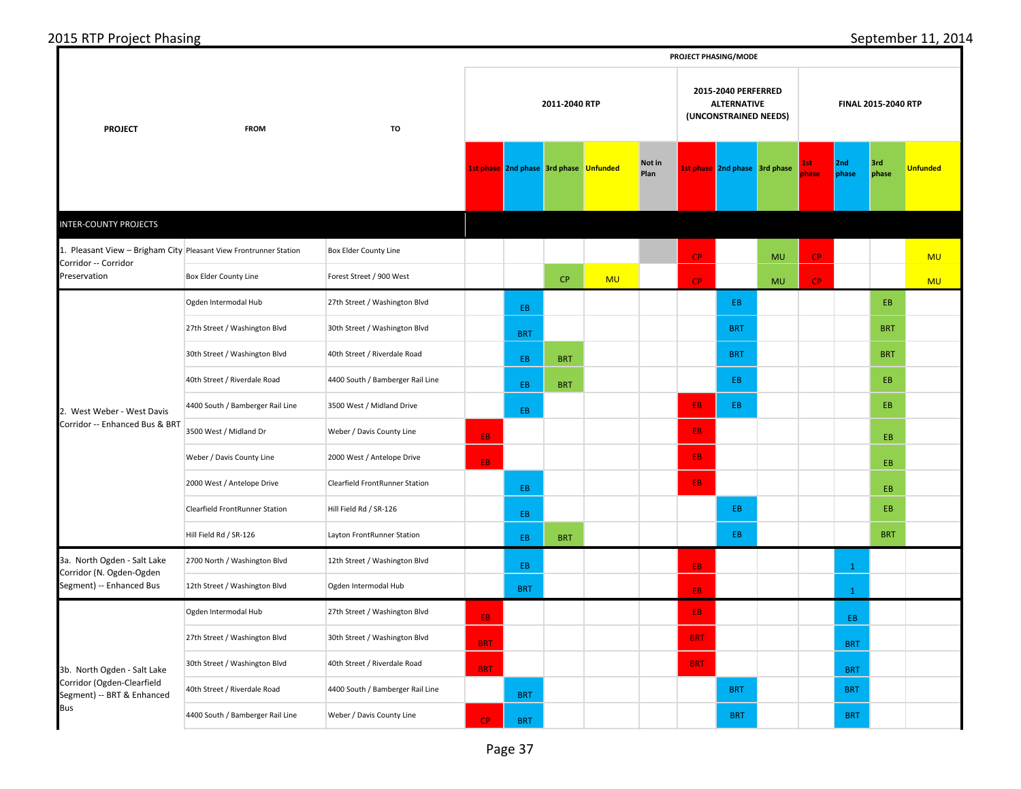<mark>CP BRT BRT BRT BRT BRT BRT</mark>

**PROJECT PHASING/MODE**

## 2015 RTP Project Phasing September 11, 2014

| <b>PROJECT</b>                                                    | <b>FROM</b>                      | TO                               | 2011-2040 RTP |            |                                        |           |                | 2015-2040 PERFERRED<br><b>ALTERNATIVE</b><br>(UNCONSTRAINED NEEDS) |                               |           | FINAL 2015-2040 RTP |              |              |                 |
|-------------------------------------------------------------------|----------------------------------|----------------------------------|---------------|------------|----------------------------------------|-----------|----------------|--------------------------------------------------------------------|-------------------------------|-----------|---------------------|--------------|--------------|-----------------|
|                                                                   |                                  |                                  |               |            | 1st phase 2nd phase 3rd phase Unfunded |           | Not in<br>Plan |                                                                    | 1st phase 2nd phase 3rd phase |           | Lst.<br>phase       | 2nd<br>phase | 3rd<br>phase | <b>Unfunded</b> |
| <b>INTER-COUNTY PROJECTS</b>                                      |                                  |                                  |               |            |                                        |           |                |                                                                    |                               |           |                     |              |              |                 |
| 1. Pleasant View - Brigham City Pleasant View Frontrunner Station |                                  | <b>Box Elder County Line</b>     |               |            |                                        |           |                | CP                                                                 |                               | <b>MU</b> | CP                  |              |              | <b>MU</b>       |
| Corridor -- Corridor<br>Preservation                              | Box Elder County Line            | Forest Street / 900 West         |               |            | <b>CP</b>                              | <b>MU</b> |                | CP                                                                 |                               | <b>MU</b> | <b>CP</b>           |              |              | <b>MU</b>       |
|                                                                   | Ogden Intermodal Hub             | 27th Street / Washington Blvd    |               | EB         |                                        |           |                |                                                                    | EB.                           |           |                     |              | EB           |                 |
|                                                                   | 27th Street / Washington Blvd    | 30th Street / Washington Blvd    |               | <b>BRT</b> |                                        |           |                |                                                                    | <b>BRT</b>                    |           |                     |              | <b>BRT</b>   |                 |
| 2. West Weber - West Davis<br>Corridor -- Enhanced Bus & BRT      | 30th Street / Washington Blvd    | 40th Street / Riverdale Road     |               | EB         | <b>BRT</b>                             |           |                |                                                                    | <b>BRT</b>                    |           |                     |              | <b>BRT</b>   |                 |
|                                                                   | 40th Street / Riverdale Road     | 4400 South / Bamberger Rail Line |               | EB         | <b>BRT</b>                             |           |                |                                                                    | EB.                           |           |                     |              | EB           |                 |
|                                                                   | 4400 South / Bamberger Rail Line | 3500 West / Midland Drive        |               | EB.        |                                        |           |                | EB.                                                                | EB.                           |           |                     |              | EB           |                 |
|                                                                   | 3500 West / Midland Dr           | Weber / Davis County Line        | EB.           |            |                                        |           |                | EB.                                                                |                               |           |                     |              | EB           |                 |
|                                                                   | Weber / Davis County Line        | 2000 West / Antelope Drive       | EB.           |            |                                        |           |                | EB.                                                                |                               |           |                     |              | EB           |                 |
|                                                                   | 2000 West / Antelope Drive       | Clearfield FrontRunner Station   |               | EB         |                                        |           |                | EB.                                                                |                               |           |                     |              | EB           |                 |
|                                                                   | Clearfield FrontRunner Station   | Hill Field Rd / SR-126           |               | EB         |                                        |           |                |                                                                    | EB.                           |           |                     |              | EB           |                 |
|                                                                   | Hill Field Rd / SR-126           | Layton FrontRunner Station       |               | EB         | <b>BRT</b>                             |           |                |                                                                    | EB.                           |           |                     |              | <b>BRT</b>   |                 |
| 3a. North Ogden - Salt Lake<br>Corridor (N. Ogden-Ogden           | 2700 North / Washington Blvd     | 12th Street / Washington Blvd    |               | EB         |                                        |           |                | EB.                                                                |                               |           |                     | $\mathbf{1}$ |              |                 |
| Segment) -- Enhanced Bus                                          | 12th Street / Washington Blvd    | Ogden Intermodal Hub             |               | <b>BRT</b> |                                        |           |                | EB.                                                                |                               |           |                     | $\mathbf{1}$ |              |                 |
|                                                                   | Ogden Intermodal Hub             | 27th Street / Washington Blvd    | EB.           |            |                                        |           |                | EB.                                                                |                               |           |                     | EB.          |              |                 |
|                                                                   | 27th Street / Washington Blvd    | 30th Street / Washington Blvd    | <b>BRT</b>    |            |                                        |           |                | <b>BRT</b>                                                         |                               |           |                     | <b>BRT</b>   |              |                 |
| 3b. North Ogden - Salt Lake                                       | 30th Street / Washington Blvd    | 40th Street / Riverdale Road     | <b>BRT</b>    |            |                                        |           |                | <b>BRT</b>                                                         |                               |           |                     | <b>BRT</b>   |              |                 |
| Corridor (Ogden-Clearfield<br>Segment) -- BRT & Enhanced          | 40th Street / Riverdale Road     | 4400 South / Bamberger Rail Line |               | <b>BRT</b> |                                        |           |                |                                                                    | <b>BRT</b>                    |           |                     | <b>BRT</b>   |              |                 |
| Bus                                                               | 4400 South / Bamberger Rail Line | Weber / Davis County Line        |               |            |                                        |           |                |                                                                    | <b>BRT</b>                    |           |                     | <b>BRT</b>   |              |                 |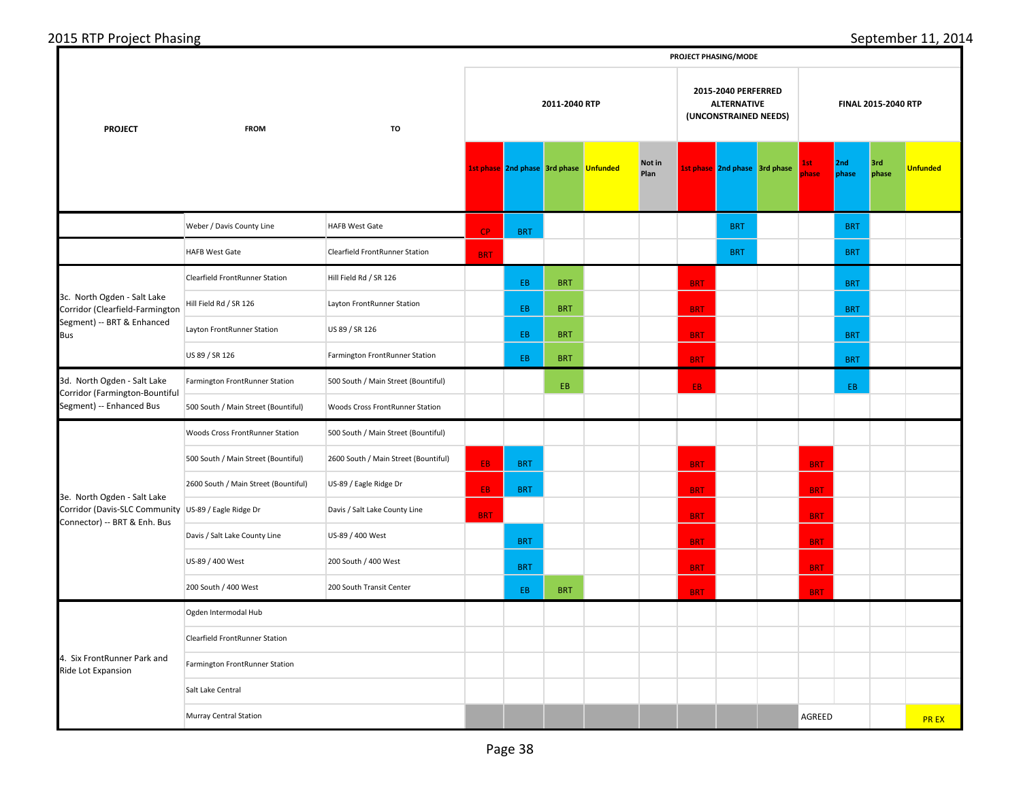|                                                                                           |                                      |                                      |               |                                        |            |  |                |            | PROJECT PHASING/MODE                                               |                     |              |              |                 |
|-------------------------------------------------------------------------------------------|--------------------------------------|--------------------------------------|---------------|----------------------------------------|------------|--|----------------|------------|--------------------------------------------------------------------|---------------------|--------------|--------------|-----------------|
| <b>PROJECT</b>                                                                            | <b>FROM</b>                          | TO                                   | 2011-2040 RTP |                                        |            |  |                |            | 2015-2040 PERFERRED<br><b>ALTERNATIVE</b><br>(UNCONSTRAINED NEEDS) | FINAL 2015-2040 RTP |              |              |                 |
|                                                                                           |                                      |                                      |               | 1st phase 2nd phase 3rd phase Unfunded |            |  | Not in<br>Plan |            | 1st phase 2nd phase 3rd phase                                      | <u>Ist</u><br>phase | 2nd<br>phase | 3rd<br>phase | <b>Unfunded</b> |
|                                                                                           | Weber / Davis County Line            | <b>HAFB West Gate</b>                | <b>CP</b>     | <b>BRT</b>                             |            |  |                |            | <b>BRT</b>                                                         |                     | <b>BRT</b>   |              |                 |
|                                                                                           | <b>HAFB West Gate</b>                | Clearfield FrontRunner Station       | <b>BRT</b>    |                                        |            |  |                |            | <b>BRT</b>                                                         |                     | <b>BRT</b>   |              |                 |
|                                                                                           | Clearfield FrontRunner Station       | Hill Field Rd / SR 126               |               | EB.                                    | <b>BRT</b> |  |                | <b>BRT</b> |                                                                    |                     | <b>BRT</b>   |              |                 |
| 3c. North Ogden - Salt Lake<br>Corridor (Clearfield-Farmington                            | Hill Field Rd / SR 126               | Layton FrontRunner Station           |               | EB.                                    | <b>BRT</b> |  |                | <b>BRT</b> |                                                                    |                     | <b>BRT</b>   |              |                 |
| Segment) -- BRT & Enhanced<br><b>Bus</b>                                                  | Layton FrontRunner Station           | US 89 / SR 126                       |               | EB.                                    | <b>BRT</b> |  |                | <b>BRT</b> |                                                                    |                     | <b>BRT</b>   |              |                 |
|                                                                                           | US 89 / SR 126                       | Farmington FrontRunner Station       |               | EB.                                    | <b>BRT</b> |  |                | <b>BRT</b> |                                                                    |                     | <b>BRT</b>   |              |                 |
| 3d. North Ogden - Salt Lake<br>Corridor (Farmington-Bountiful<br>Segment) -- Enhanced Bus | Farmington FrontRunner Station       | 500 South / Main Street (Bountiful)  |               |                                        | EB.        |  |                | EB.        |                                                                    |                     | EB           |              |                 |
|                                                                                           | 500 South / Main Street (Bountiful)  | Woods Cross FrontRunner Station      |               |                                        |            |  |                |            |                                                                    |                     |              |              |                 |
|                                                                                           | Woods Cross FrontRunner Station      | 500 South / Main Street (Bountiful)  |               |                                        |            |  |                |            |                                                                    |                     |              |              |                 |
|                                                                                           | 500 South / Main Street (Bountiful)  | 2600 South / Main Street (Bountiful) | EB.           | <b>BRT</b>                             |            |  |                | <b>BRT</b> |                                                                    | <b>BRT</b>          |              |              |                 |
| 3e. North Ogden - Salt Lake                                                               | 2600 South / Main Street (Bountiful) | US-89 / Eagle Ridge Dr               | EB.           | <b>BRT</b>                             |            |  |                | <b>BRT</b> |                                                                    | <b>BRT</b>          |              |              |                 |
| Corridor (Davis-SLC Community US-89 / Eagle Ridge Dr<br>Connector) -- BRT & Enh. Bus      |                                      | Davis / Salt Lake County Line        | <b>BRT</b>    |                                        |            |  |                | <b>BRT</b> |                                                                    | <b>BRT</b>          |              |              |                 |
|                                                                                           | Davis / Salt Lake County Line        | US-89 / 400 West                     |               | <b>BRT</b>                             |            |  |                | <b>BRT</b> |                                                                    | <b>BRT</b>          |              |              |                 |
|                                                                                           | US-89 / 400 West                     | 200 South / 400 West                 |               | <b>BRT</b>                             |            |  |                | <b>BRT</b> |                                                                    | <b>BRT</b>          |              |              |                 |
|                                                                                           | 200 South / 400 West                 | 200 South Transit Center             |               | EB.                                    | <b>BRT</b> |  |                | <b>BRT</b> |                                                                    | <b>BRT</b>          |              |              |                 |
|                                                                                           | Ogden Intermodal Hub                 |                                      |               |                                        |            |  |                |            |                                                                    |                     |              |              |                 |
|                                                                                           | Clearfield FrontRunner Station       |                                      |               |                                        |            |  |                |            |                                                                    |                     |              |              |                 |
| 4. Six FrontRunner Park and<br>Ride Lot Expansion                                         | Farmington FrontRunner Station       |                                      |               |                                        |            |  |                |            |                                                                    |                     |              |              |                 |
|                                                                                           | Salt Lake Central                    |                                      |               |                                        |            |  |                |            |                                                                    |                     |              |              |                 |
|                                                                                           | <b>Murray Central Station</b>        |                                      |               |                                        |            |  |                |            |                                                                    | AGREED              |              |              | <b>PREX</b>     |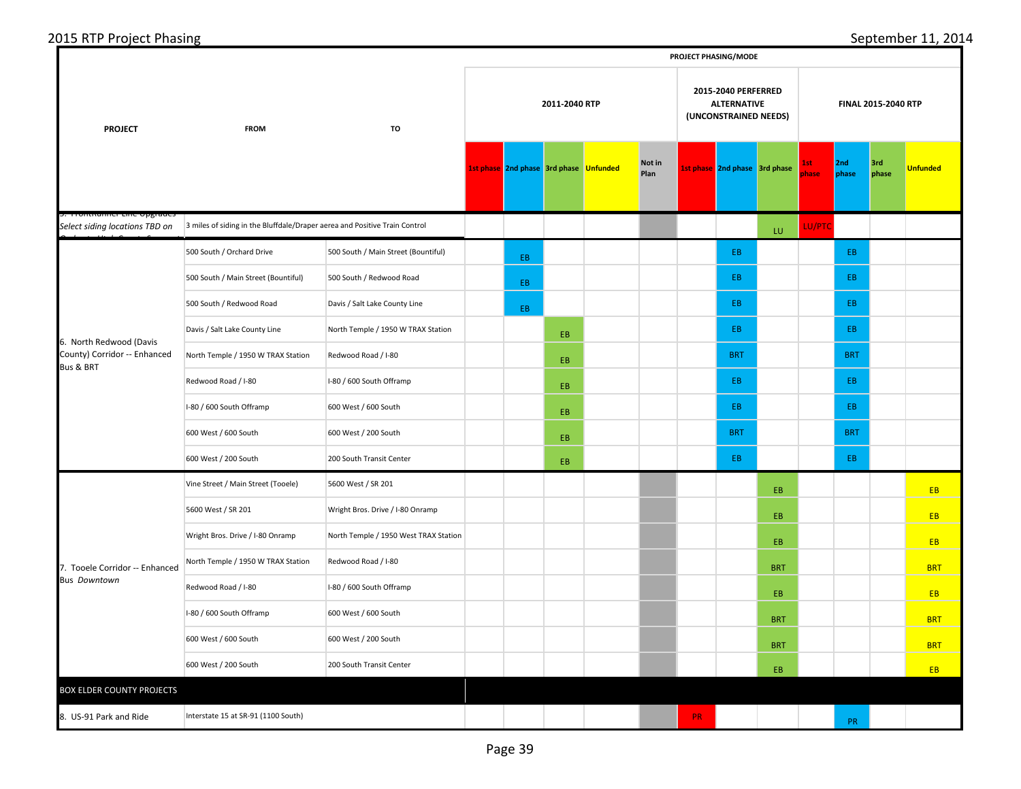| 2015 RTP Project Phasing |  |  |  |
|--------------------------|--|--|--|
|                          |  |  |  |
|                          |  |  |  |

|                                                          | PROJECT PHASING/MODE                                                       |                                       |  |                                        |               |  |                |     |                               |                                                                    |                     |              |              |                 |
|----------------------------------------------------------|----------------------------------------------------------------------------|---------------------------------------|--|----------------------------------------|---------------|--|----------------|-----|-------------------------------|--------------------------------------------------------------------|---------------------|--------------|--------------|-----------------|
| <b>PROJECT</b>                                           | <b>FROM</b>                                                                | TO                                    |  |                                        | 2011-2040 RTP |  |                |     |                               | 2015-2040 PERFERRED<br><b>ALTERNATIVE</b><br>(UNCONSTRAINED NEEDS) | FINAL 2015-2040 RTP |              |              |                 |
|                                                          |                                                                            |                                       |  | 1st phase 2nd phase 3rd phase Unfunded |               |  | Not in<br>Plan |     | 1st phase 2nd phase 3rd phase |                                                                    | 1st<br>phase        | 2nd<br>phase | 3rd<br>phase | <b>Unfunded</b> |
| mommummer cime opgraae<br>Select siding locations TBD on | 3 miles of siding in the Bluffdale/Draper aerea and Positive Train Control |                                       |  |                                        |               |  |                |     |                               | LU.                                                                | LU/PTC              |              |              |                 |
|                                                          | 500 South / Orchard Drive                                                  | 500 South / Main Street (Bountiful)   |  | EB.                                    |               |  |                |     | EB                            |                                                                    |                     | EB           |              |                 |
|                                                          | 500 South / Main Street (Bountiful)                                        | 500 South / Redwood Road              |  | EB.                                    |               |  |                |     | EB                            |                                                                    |                     | EB.          |              |                 |
|                                                          | 500 South / Redwood Road                                                   | Davis / Salt Lake County Line         |  | EB.                                    |               |  |                |     | EB                            |                                                                    |                     | EB           |              |                 |
| 6. North Redwood (Davis                                  | Davis / Salt Lake County Line                                              | North Temple / 1950 W TRAX Station    |  |                                        | EB            |  |                |     | EB                            |                                                                    |                     | EB           |              |                 |
| County) Corridor -- Enhanced<br><b>Bus &amp; BRT</b>     | North Temple / 1950 W TRAX Station                                         | Redwood Road / I-80                   |  |                                        | EB            |  |                |     | <b>BRT</b>                    |                                                                    |                     | <b>BRT</b>   |              |                 |
|                                                          | Redwood Road / I-80                                                        | I-80 / 600 South Offramp              |  |                                        | EB.           |  |                |     | EB.                           |                                                                    |                     | EB.          |              |                 |
|                                                          | I-80 / 600 South Offramp                                                   | 600 West / 600 South                  |  |                                        | EB.           |  |                |     | EB                            |                                                                    |                     | EB           |              |                 |
|                                                          | 600 West / 600 South                                                       | 600 West / 200 South                  |  |                                        | EB.           |  |                |     | <b>BRT</b>                    |                                                                    |                     | <b>BRT</b>   |              |                 |
|                                                          | 600 West / 200 South                                                       | 200 South Transit Center              |  |                                        | EB.           |  |                |     | EB                            |                                                                    |                     | EB.          |              |                 |
|                                                          | Vine Street / Main Street (Tooele)                                         | 5600 West / SR 201                    |  |                                        |               |  |                |     |                               | EB.                                                                |                     |              |              | <b>EB</b>       |
|                                                          | 5600 West / SR 201                                                         | Wright Bros. Drive / I-80 Onramp      |  |                                        |               |  |                |     |                               | EB                                                                 |                     |              |              | EB              |
|                                                          | Wright Bros. Drive / I-80 Onramp                                           | North Temple / 1950 West TRAX Station |  |                                        |               |  |                |     |                               | EB.                                                                |                     |              |              | EB              |
| 7. Tooele Corridor -- Enhanced                           | North Temple / 1950 W TRAX Station                                         | Redwood Road / I-80                   |  |                                        |               |  |                |     |                               | <b>BRT</b>                                                         |                     |              |              | <b>BRT</b>      |
| <b>Bus Downtown</b>                                      | Redwood Road / I-80                                                        | I-80 / 600 South Offramp              |  |                                        |               |  |                |     |                               | EB                                                                 |                     |              |              | EB              |
|                                                          | I-80 / 600 South Offramp                                                   | 600 West / 600 South                  |  |                                        |               |  |                |     |                               | <b>BRT</b>                                                         |                     |              |              | <b>BRT</b>      |
|                                                          | 600 West / 600 South                                                       | 600 West / 200 South                  |  |                                        |               |  |                |     |                               | <b>BRT</b>                                                         |                     |              |              | <b>BRT</b>      |
|                                                          | 600 West / 200 South                                                       | 200 South Transit Center              |  |                                        |               |  |                |     |                               | EB                                                                 |                     |              |              | EB              |
| <b>BOX ELDER COUNTY PROJECTS</b>                         |                                                                            |                                       |  |                                        |               |  |                |     |                               |                                                                    |                     |              |              |                 |
| 8. US-91 Park and Ride                                   | Interstate 15 at SR-91 (1100 South)                                        |                                       |  |                                        |               |  |                | PR. |                               |                                                                    |                     | PR           |              |                 |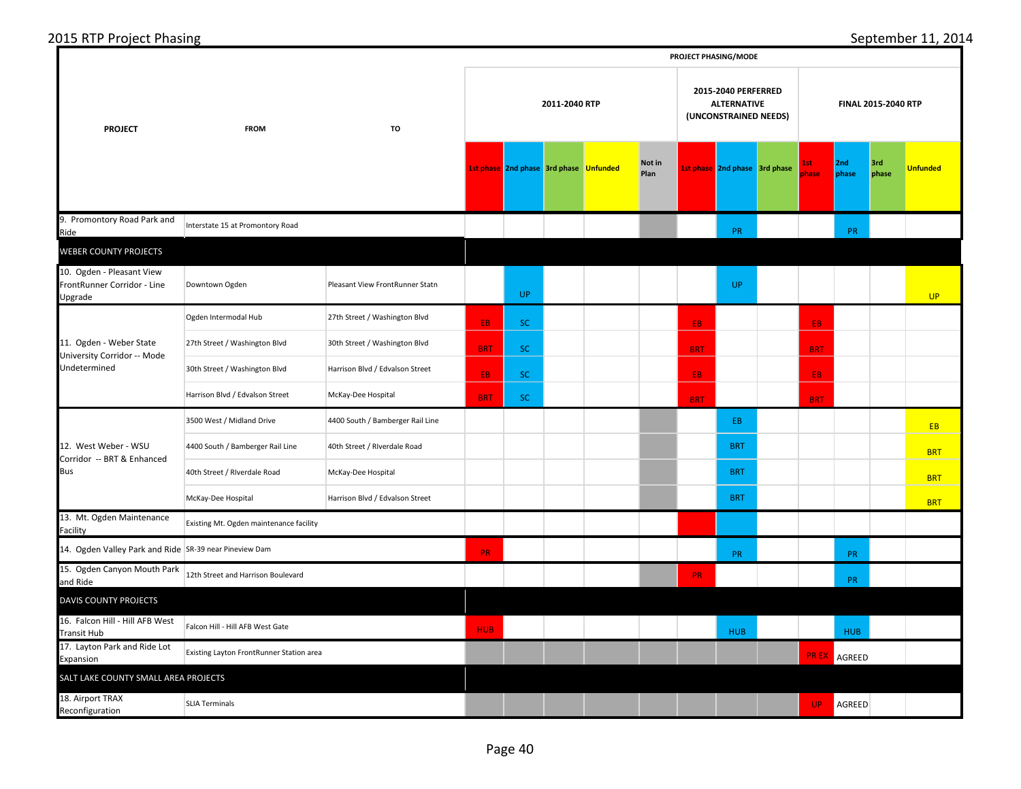|                                                                     |                                          |                                  |            |                                        |               |                |            | PROJECT PHASING/MODE                                               |                      |                    |                     |                 |
|---------------------------------------------------------------------|------------------------------------------|----------------------------------|------------|----------------------------------------|---------------|----------------|------------|--------------------------------------------------------------------|----------------------|--------------------|---------------------|-----------------|
| <b>PROJECT</b>                                                      | <b>FROM</b>                              | TO                               |            |                                        | 2011-2040 RTP |                |            | 2015-2040 PERFERRED<br><b>ALTERNATIVE</b><br>(UNCONSTRAINED NEEDS) |                      |                    | FINAL 2015-2040 RTP |                 |
|                                                                     |                                          |                                  |            | 1st phase 2nd phase 3rd phase Unfunded |               | Not in<br>Plan |            | 1st phase 2nd phase 3rd phase                                      | lst.<br><b>ohase</b> | 2nd<br>phase       | 3rd<br>phase        | <b>Unfunded</b> |
| 9. Promontory Road Park and<br>Ride                                 | Interstate 15 at Promontory Road         |                                  |            |                                        |               |                |            | PR                                                                 |                      | PR                 |                     |                 |
| <b>WEBER COUNTY PROJECTS</b>                                        |                                          |                                  |            |                                        |               |                |            |                                                                    |                      |                    |                     |                 |
| 10. Ogden - Pleasant View<br>FrontRunner Corridor - Line<br>Upgrade | Downtown Ogden                           | Pleasant View FrontRunner Statn  |            | <b>UP</b>                              |               |                |            | UP.                                                                |                      |                    |                     | UP              |
|                                                                     | Ogden Intermodal Hub                     | 27th Street / Washington Blvd    | EB.        | <b>SC</b>                              |               |                | EB.        |                                                                    | EB.                  |                    |                     |                 |
| 11. Ogden - Weber State<br>University Corridor -- Mode              | 27th Street / Washington Blvd            | 30th Street / Washington Blvd    | <b>BRT</b> | <b>SC</b>                              |               |                | <b>BRT</b> |                                                                    | <b>BRT</b>           |                    |                     |                 |
| Undetermined                                                        | 30th Street / Washington Blvd            | Harrison Blvd / Edvalson Street  | EB.        | <b>SC</b>                              |               |                | EB.        |                                                                    | EB.                  |                    |                     |                 |
|                                                                     | Harrison Blvd / Edvalson Street          | McKay-Dee Hospital               | <b>BRT</b> | <b>SC</b>                              |               |                | <b>BRT</b> |                                                                    | <b>BRT</b>           |                    |                     |                 |
|                                                                     | 3500 West / Midland Drive                | 4400 South / Bamberger Rail Line |            |                                        |               |                |            | EB.                                                                |                      |                    |                     | <b>EB</b>       |
| 12. West Weber - WSU<br>Corridor -- BRT & Enhanced                  | 4400 South / Bamberger Rail Line         | 40th Street / Riverdale Road     |            |                                        |               |                |            | <b>BRT</b>                                                         |                      |                    |                     | <b>BRT</b>      |
| <b>Bus</b>                                                          | 40th Street / Riverdale Road             | McKay-Dee Hospital               |            |                                        |               |                |            | <b>BRT</b>                                                         |                      |                    |                     | <b>BRT</b>      |
|                                                                     | McKay-Dee Hospital                       | Harrison Blvd / Edvalson Street  |            |                                        |               |                |            | <b>BRT</b>                                                         |                      |                    |                     | <b>BRT</b>      |
| 13. Mt. Ogden Maintenance<br>Facility                               | Existing Mt. Ogden maintenance facility  |                                  |            |                                        |               |                |            |                                                                    |                      |                    |                     |                 |
| 14. Ogden Valley Park and Ride SR-39 near Pineview Dam              |                                          |                                  | PR.        |                                        |               |                |            | PR                                                                 |                      | PR                 |                     |                 |
| 15. Ogden Canyon Mouth Park<br>and Ride                             | 12th Street and Harrison Boulevard       |                                  |            |                                        |               |                | <b>PR</b>  |                                                                    |                      | PR                 |                     |                 |
| <b>DAVIS COUNTY PROJECTS</b>                                        |                                          |                                  |            |                                        |               |                |            |                                                                    |                      |                    |                     |                 |
| 16. Falcon Hill - Hill AFB West<br><b>Transit Hub</b>               | Falcon Hill - Hill AFB West Gate         |                                  | <b>HUB</b> |                                        |               |                |            | <b>HUB</b>                                                         |                      | <b>HUB</b>         |                     |                 |
| 17. Layton Park and Ride Lot<br>Expansion                           | Existing Layton FrontRunner Station area |                                  |            |                                        |               |                |            |                                                                    |                      | <b>PREX</b> AGREED |                     |                 |
| SALT LAKE COUNTY SMALL AREA PROJECTS                                |                                          |                                  |            |                                        |               |                |            |                                                                    |                      |                    |                     |                 |
| 18. Airport TRAX<br>Reconfiguration                                 | <b>SLIA Terminals</b>                    |                                  |            |                                        |               |                |            |                                                                    | UP.                  | AGREED             |                     |                 |

September 11, 2014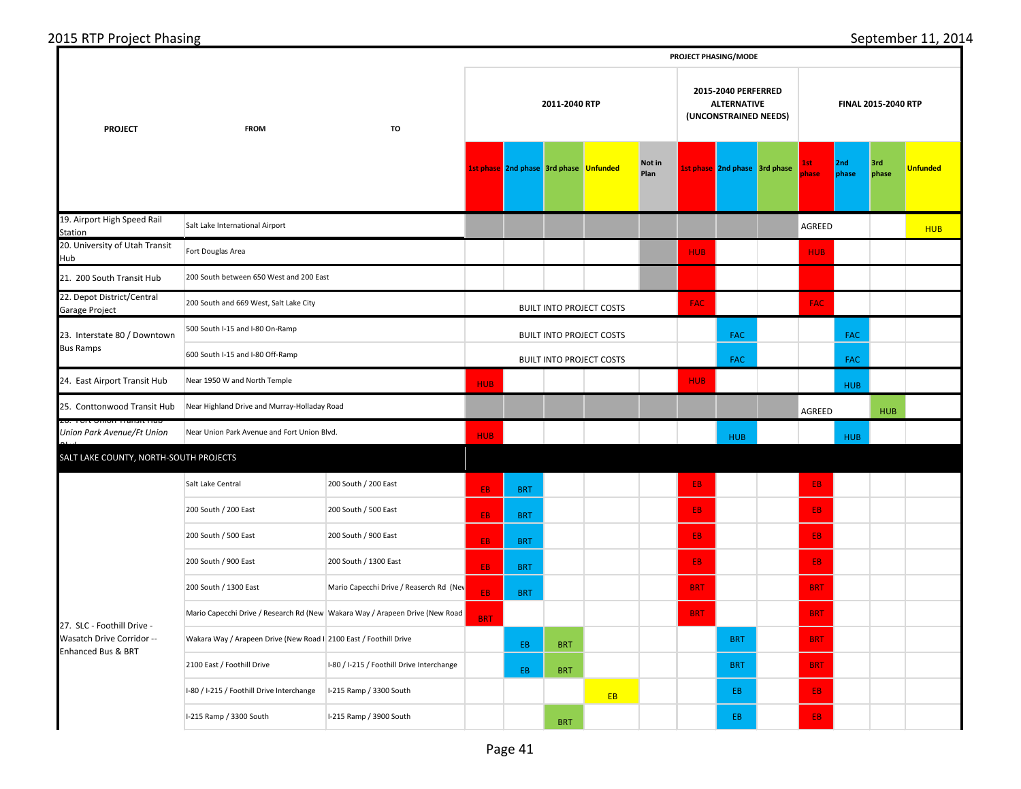| <b>PROJECT</b><br><b>FROM</b><br>TO |  |  |
|-------------------------------------|--|--|
|                                     |  |  |
|                                     |  |  |
|                                     |  |  |

I-80 / I-215 / Foothill Drive Interchange | I-215 Ramp / 3300 South I-215 Ramp / 3300 South I-215 Ramp / 3900 South

Hub

*Blvd*

19. Airport High Speed Rail Station 20. University of Utah Transit 21. 200 South Transit Hub 22. Depot District/Central Garage Project 24. East Airport Transit Hub 25. Conttonwood Transit Hub 26. Fort Union Transit Hub *Union Park Avenue/Ft Union*  Salt Lake Central 200 South / 200 East 200 South / 200 East 200 South / 500 East 200 South / 500 East 200 South / 900 East 200 South / 900 East 200 South / 1300 East 200 South / 1300 East Mario Capecchi Drive / Reaserch Rd (Nev Mario Capecchi Drive / Research Rd (New Wakara Way / Arapeen Drive (New Road Wakara Way / Arapeen Drive (New Road I 2100 East / Foothill Drive 2100 East / Foothill Drive Interchange I-80 / I-215 / Foothill Drive Interchange 200 South between 650 West and 200 East 200 South and 669 West, Salt Lake City 500 South I-15 and I-80 On-Ramp Near 1950 W and North Temple Near Highland Drive and Murray-Holladay Road Near Union Park Avenue and Fort Union Blvd. 23. Interstate 80 / Downtown Bus Ramps 600 South I-15 and I-80 Off-Ramp Salt Lake International Airport Fort Douglas Area 27. SLC - Foothill Drive - Wasatch Drive Corridor -- Enhanced Bus & BRT SALT LAKE COUNTY, NORTH-SOUTH PROJECTS **1st phase** 2nd phase 3rd phase Unfunded Mot in **Plan 1st phase 2nd phase 3rd phase 1st phase 2nd phase 3rd phase Unfunded 2011-2040 RTP 2015-2040 PERFERRED ALTERNATIVE (UNCONSTRAINED NEEDS) FINAL 2015-2040 RTP** AGREED **HUB** HUB HUB FAC FAC FAC FAC **FAC** FAC **FAC**  HUB HUB HUB AGREED HUB HUB HUB HUB <mark>EB BRT EB B</mark> <mark>EB BRT EB B</mark> <mark>EB BRT EB B BB B</mark> <mark>EB BRT EB B BB B</mark> EB BRT BRT BRT BRT BRT BRT EB BRT BRT BRT BRT EB BRT BRT BRT BRT BRT BUILT INTO PROJECT COSTS BUILT INTO PROJECT COSTS BUILT INTO PROJECT COSTS

**PROJECT PHASING/MODE**

EB EB <mark>EB</mark>

BRT BUT BEB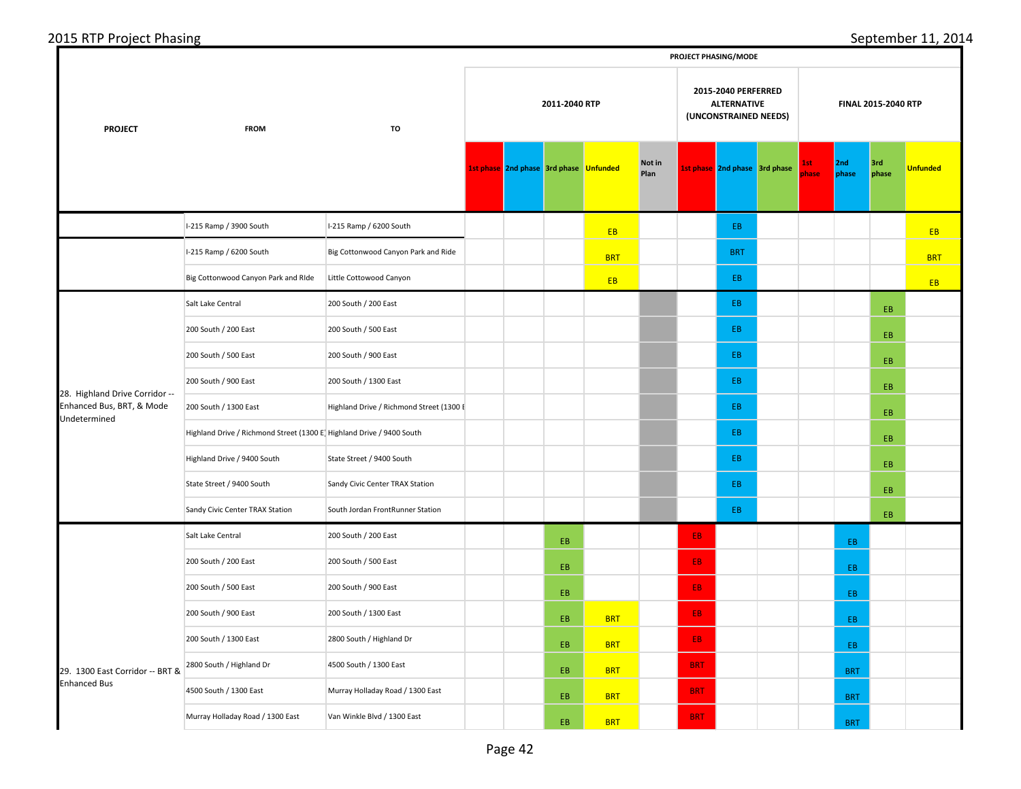|                                                                             | PROJECT PHASING/MODE                                                 |                                          |                                                                                     |                                        |     |            |                |            |                               |               |              |              |                 |
|-----------------------------------------------------------------------------|----------------------------------------------------------------------|------------------------------------------|-------------------------------------------------------------------------------------|----------------------------------------|-----|------------|----------------|------------|-------------------------------|---------------|--------------|--------------|-----------------|
| <b>PROJECT</b>                                                              | <b>FROM</b>                                                          |                                          | 2015-2040 PERFERRED<br>2011-2040 RTP<br><b>ALTERNATIVE</b><br>(UNCONSTRAINED NEEDS) |                                        |     |            |                |            | FINAL 2015-2040 RTP           |               |              |              |                 |
|                                                                             |                                                                      |                                          |                                                                                     | 1st phase 2nd phase 3rd phase Unfunded |     |            | Not in<br>Plan |            | 1st phase 2nd phase 3rd phase | lst.<br>phase | 2nd<br>phase | 3rd<br>phase | <b>Unfunded</b> |
|                                                                             | I-215 Ramp / 3900 South                                              | I-215 Ramp / 6200 South                  |                                                                                     |                                        |     | EB         |                |            | EB.                           |               |              |              | <b>EB</b>       |
|                                                                             | I-215 Ramp / 6200 South                                              | Big Cottonwood Canyon Park and Ride      |                                                                                     |                                        |     | <b>BRT</b> |                |            | <b>BRT</b>                    |               |              |              | <b>BRT</b>      |
|                                                                             | Big Cottonwood Canyon Park and Ride                                  | Little Cottowood Canyon                  |                                                                                     |                                        |     | EB         |                |            | EB                            |               |              |              | EB.             |
|                                                                             | Salt Lake Central                                                    | 200 South / 200 East                     |                                                                                     |                                        |     |            |                |            | EB.                           |               |              | EB.          |                 |
|                                                                             | 200 South / 200 East                                                 | 200 South / 500 East                     |                                                                                     |                                        |     |            |                |            | EB.                           |               |              | EB           |                 |
|                                                                             | 200 South / 500 East                                                 | 200 South / 900 East                     |                                                                                     |                                        |     |            |                |            | EB.                           |               |              | EB.          |                 |
| 28. Highland Drive Corridor --<br>Enhanced Bus, BRT, & Mode<br>Undetermined | 200 South / 900 East                                                 | 200 South / 1300 East                    |                                                                                     |                                        |     |            |                |            | EB.                           |               |              | EB.          |                 |
|                                                                             | 200 South / 1300 East                                                | Highland Drive / Richmond Street (1300 E |                                                                                     |                                        |     |            |                |            | EB.                           |               |              | EB.          |                 |
|                                                                             | Highland Drive / Richmond Street (1300 E Highland Drive / 9400 South |                                          |                                                                                     |                                        |     |            |                |            | EB.                           |               |              | EB.          |                 |
|                                                                             | Highland Drive / 9400 South                                          | State Street / 9400 South                |                                                                                     |                                        |     |            |                |            | EB.                           |               |              | EB.          |                 |
|                                                                             | State Street / 9400 South                                            | Sandy Civic Center TRAX Station          |                                                                                     |                                        |     |            |                |            | EB.                           |               |              | EB.          |                 |
|                                                                             | Sandy Civic Center TRAX Station                                      | South Jordan FrontRunner Station         |                                                                                     |                                        |     |            |                |            | EB.                           |               |              | EB.          |                 |
|                                                                             | Salt Lake Central                                                    | 200 South / 200 East                     |                                                                                     |                                        | EB. |            |                | EB.        |                               |               | EB           |              |                 |
|                                                                             | 200 South / 200 East                                                 | 200 South / 500 East                     |                                                                                     |                                        | EB. |            |                | EB.        |                               |               | EB.          |              |                 |
|                                                                             | 200 South / 500 East                                                 | 200 South / 900 East                     |                                                                                     |                                        | EB. |            |                | EB.        |                               |               | EB.          |              |                 |
|                                                                             | 200 South / 900 East                                                 | 200 South / 1300 East                    |                                                                                     |                                        | EB. | <b>BRT</b> |                | EB.        |                               |               | EB           |              |                 |
|                                                                             | 200 South / 1300 East                                                | 2800 South / Highland Dr                 |                                                                                     |                                        | EB. | <b>BRT</b> |                | EB.        |                               |               | EB           |              |                 |
| 29. 1300 East Corridor -- BRT &                                             | 2800 South / Highland Dr                                             | 4500 South / 1300 East                   |                                                                                     |                                        | EB. | <b>BRT</b> |                | <b>BRT</b> |                               |               | <b>BRT</b>   |              |                 |
| <b>Enhanced Bus</b>                                                         | 4500 South / 1300 East                                               | Murray Holladay Road / 1300 East         |                                                                                     |                                        | EB. | <b>BRT</b> |                | <b>BRT</b> |                               |               | <b>BRT</b>   |              |                 |
|                                                                             | Murray Holladay Road / 1300 East                                     | Van Winkle Blvd / 1300 East              |                                                                                     |                                        | EB. | <b>BRT</b> |                | <b>BRT</b> |                               |               | <b>BRT</b>   |              |                 |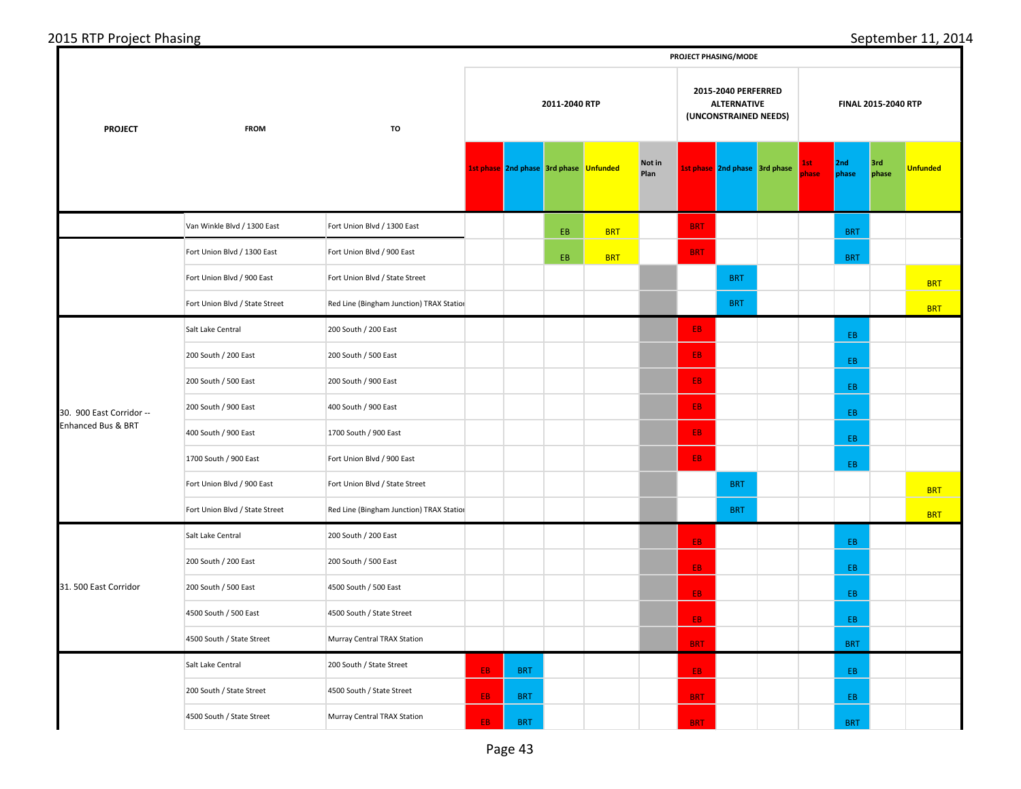|  |  | 2015 RTP Project Phasing |  |
|--|--|--------------------------|--|
|  |  |                          |  |

|                                                | PROJECT PHASING/MODE           |                                          |     |                                        |               |            |                |            |                                                                    |              |              |                     |                 |
|------------------------------------------------|--------------------------------|------------------------------------------|-----|----------------------------------------|---------------|------------|----------------|------------|--------------------------------------------------------------------|--------------|--------------|---------------------|-----------------|
| <b>PROJECT</b>                                 | <b>FROM</b>                    | TO                                       |     |                                        | 2011-2040 RTP |            |                |            | 2015-2040 PERFERRED<br><b>ALTERNATIVE</b><br>(UNCONSTRAINED NEEDS) |              |              | FINAL 2015-2040 RTP |                 |
|                                                |                                |                                          |     | 1st phase 2nd phase 3rd phase Unfunded |               |            | Not in<br>Plan |            | 1st phase 2nd phase 3rd phase                                      | 1st<br>phase | 2nd<br>phase | 3rd<br>phase        | <b>Unfunded</b> |
|                                                | Van Winkle Blvd / 1300 East    | Fort Union Blvd / 1300 East              |     |                                        | EB            | <b>BRT</b> |                | <b>BRT</b> |                                                                    |              | <b>BRT</b>   |                     |                 |
|                                                | Fort Union Blvd / 1300 East    | Fort Union Blvd / 900 East               |     |                                        | EB            | <b>BRT</b> |                | <b>BRT</b> |                                                                    |              | <b>BRT</b>   |                     |                 |
|                                                | Fort Union Blvd / 900 East     | Fort Union Blvd / State Street           |     |                                        |               |            |                |            | <b>BRT</b>                                                         |              |              |                     | <b>BRT</b>      |
|                                                | Fort Union Blvd / State Street | Red Line (Bingham Junction) TRAX Station |     |                                        |               |            |                |            | <b>BRT</b>                                                         |              |              |                     | <b>BRT</b>      |
|                                                | Salt Lake Central              | 200 South / 200 East                     |     |                                        |               |            |                | EB.        |                                                                    |              | EB.          |                     |                 |
|                                                | 200 South / 200 East           | 200 South / 500 East                     |     |                                        |               |            |                | EB.        |                                                                    |              | EB           |                     |                 |
| 30. 900 East Corridor --<br>Enhanced Bus & BRT | 200 South / 500 East           | 200 South / 900 East                     |     |                                        |               |            |                | EB.        |                                                                    |              | EB.          |                     |                 |
|                                                | 200 South / 900 East           | 400 South / 900 East                     |     |                                        |               |            |                | EB.        |                                                                    |              | EB.          |                     |                 |
|                                                | 400 South / 900 East           | 1700 South / 900 East                    |     |                                        |               |            |                | EB.        |                                                                    |              | EB.          |                     |                 |
|                                                | 1700 South / 900 East          | Fort Union Blvd / 900 East               |     |                                        |               |            |                | EB.        |                                                                    |              | EB.          |                     |                 |
|                                                | Fort Union Blvd / 900 East     | Fort Union Blvd / State Street           |     |                                        |               |            |                |            | <b>BRT</b>                                                         |              |              |                     | <b>BRT</b>      |
|                                                | Fort Union Blvd / State Street | Red Line (Bingham Junction) TRAX Station |     |                                        |               |            |                |            | <b>BRT</b>                                                         |              |              |                     | <b>BRT</b>      |
|                                                | Salt Lake Central              | 200 South / 200 East                     |     |                                        |               |            |                | EB         |                                                                    |              | EB           |                     |                 |
|                                                | 200 South / 200 East           | 200 South / 500 East                     |     |                                        |               |            |                | EB.        |                                                                    |              | EB           |                     |                 |
| 31. 500 East Corridor                          | 200 South / 500 East           | 4500 South / 500 East                    |     |                                        |               |            |                | EB.        |                                                                    |              | EB.          |                     |                 |
|                                                | 4500 South / 500 East          | 4500 South / State Street                |     |                                        |               |            |                | EB.        |                                                                    |              | EB.          |                     |                 |
|                                                | 4500 South / State Street      | Murray Central TRAX Station              |     |                                        |               |            |                | <b>BRT</b> |                                                                    |              | <b>BRT</b>   |                     |                 |
|                                                | Salt Lake Central              | 200 South / State Street                 | EB. | <b>BRT</b>                             |               |            |                | EB.        |                                                                    |              | EB.          |                     |                 |
|                                                | 200 South / State Street       | 4500 South / State Street                | EB. | <b>BRT</b>                             |               |            |                | <b>BRT</b> |                                                                    |              | EB           |                     |                 |
|                                                | 4500 South / State Street      | Murray Central TRAX Station              | EB. | <b>BRT</b>                             |               |            |                | <b>BRT</b> |                                                                    |              | <b>BRT</b>   |                     |                 |

September 11, 2014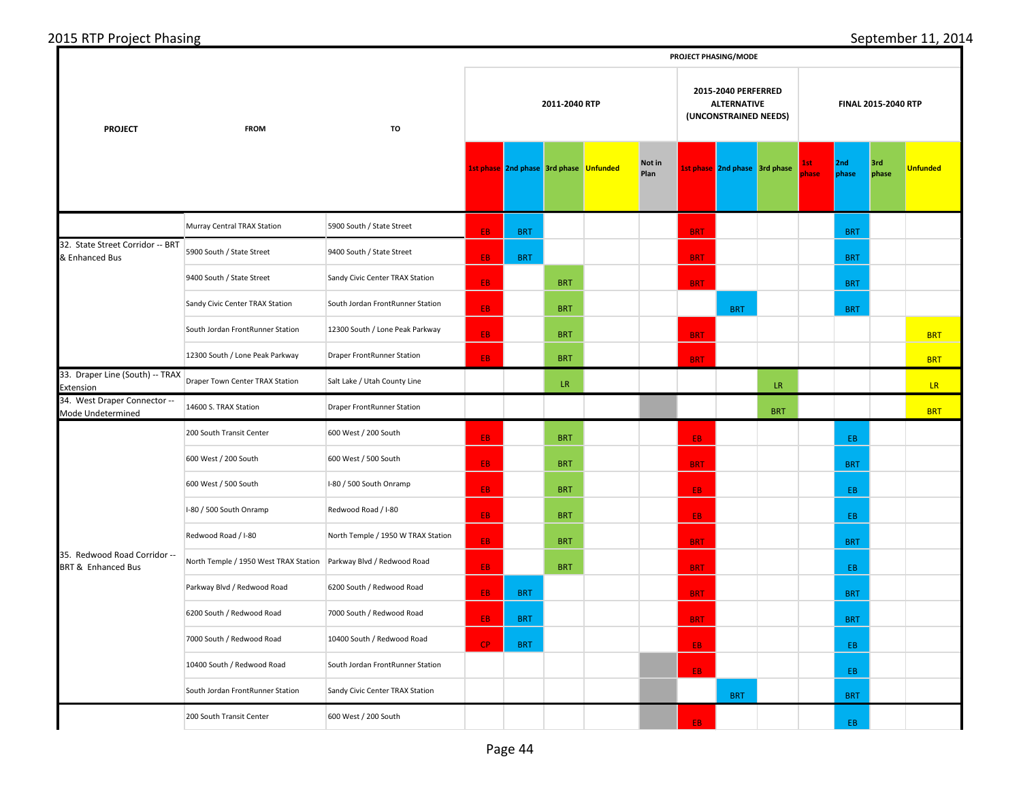| 2015 RTP Project Phasing |
|--------------------------|
|--------------------------|

|                                                               | PROJECT PHASING/MODE                  |                                    |     |                                               |            |                                                                    |                |            |                               |            |               |              |              |                 |
|---------------------------------------------------------------|---------------------------------------|------------------------------------|-----|-----------------------------------------------|------------|--------------------------------------------------------------------|----------------|------------|-------------------------------|------------|---------------|--------------|--------------|-----------------|
| <b>PROJECT</b>                                                | <b>FROM</b>                           |                                    |     | 2011-2040 RTP                                 |            | 2015-2040 PERFERRED<br><b>ALTERNATIVE</b><br>(UNCONSTRAINED NEEDS) |                |            | FINAL 2015-2040 RTP           |            |               |              |              |                 |
|                                                               |                                       |                                    |     | <b>1st phase</b> 2nd phase 3rd phase Unfunded |            |                                                                    | Not in<br>Plan |            | 1st phase 2nd phase 3rd phase |            | 1st.<br>phase | 2nd<br>phase | 3rd<br>phase | <b>Unfunded</b> |
|                                                               | Murray Central TRAX Station           | 5900 South / State Street          | EB. | <b>BRT</b>                                    |            |                                                                    |                | <b>BRT</b> |                               |            |               | <b>BRT</b>   |              |                 |
| 32. State Street Corridor -- BRT<br>& Enhanced Bus            | 5900 South / State Street             | 9400 South / State Street          | EB. | <b>BRT</b>                                    |            |                                                                    |                | <b>BRT</b> |                               |            |               | <b>BRT</b>   |              |                 |
|                                                               | 9400 South / State Street             | Sandy Civic Center TRAX Station    | EB. |                                               | <b>BRT</b> |                                                                    |                | <b>BRT</b> |                               |            |               | <b>BRT</b>   |              |                 |
|                                                               | Sandy Civic Center TRAX Station       | South Jordan FrontRunner Station   | EB. |                                               | <b>BRT</b> |                                                                    |                |            | <b>BRT</b>                    |            |               | <b>BRT</b>   |              |                 |
|                                                               | South Jordan FrontRunner Station      | 12300 South / Lone Peak Parkway    | EB. |                                               | <b>BRT</b> |                                                                    |                | <b>BRT</b> |                               |            |               |              |              | <b>BRT</b>      |
|                                                               | 12300 South / Lone Peak Parkway       | <b>Draper FrontRunner Station</b>  | EB. |                                               | <b>BRT</b> |                                                                    |                | <b>BRT</b> |                               |            |               |              |              | <b>BRT</b>      |
| 33. Draper Line (South) -- TRAX<br>Extension                  | Draper Town Center TRAX Station       | Salt Lake / Utah County Line       |     |                                               | LR.        |                                                                    |                |            |                               | LR.        |               |              |              | LR.             |
| 34. West Draper Connector --<br>Mode Undetermined             | 14600 S. TRAX Station                 | Draper FrontRunner Station         |     |                                               |            |                                                                    |                |            |                               | <b>BRT</b> |               |              |              | <b>BRT</b>      |
|                                                               | 200 South Transit Center              | 600 West / 200 South               | EB. |                                               | <b>BRT</b> |                                                                    |                | EB.        |                               |            |               | EB.          |              |                 |
|                                                               | 600 West / 200 South                  | 600 West / 500 South               | EB. |                                               | <b>BRT</b> |                                                                    |                | <b>BRT</b> |                               |            |               | <b>BRT</b>   |              |                 |
|                                                               | 600 West / 500 South                  | I-80 / 500 South Onramp            | EB. |                                               | <b>BRT</b> |                                                                    |                | EB.        |                               |            |               | EB.          |              |                 |
|                                                               | I-80 / 500 South Onramp               | Redwood Road / I-80                | EB. |                                               | <b>BRT</b> |                                                                    |                | EB.        |                               |            |               | EB.          |              |                 |
|                                                               | Redwood Road / I-80                   | North Temple / 1950 W TRAX Station | EB. |                                               | <b>BRT</b> |                                                                    |                | <b>BRT</b> |                               |            |               | <b>BRT</b>   |              |                 |
| 35. Redwood Road Corridor --<br><b>BRT &amp; Enhanced Bus</b> | North Temple / 1950 West TRAX Station | Parkway Blvd / Redwood Road        | EB. |                                               | <b>BRT</b> |                                                                    |                | <b>BRT</b> |                               |            |               | EB.          |              |                 |
|                                                               | Parkway Blvd / Redwood Road           | 6200 South / Redwood Road          | EB. | <b>BRT</b>                                    |            |                                                                    |                | <b>BRT</b> |                               |            |               | <b>BRT</b>   |              |                 |
|                                                               | 6200 South / Redwood Road             | 7000 South / Redwood Road          | EB. | <b>BRT</b>                                    |            |                                                                    |                | <b>BRT</b> |                               |            |               | <b>BRT</b>   |              |                 |
|                                                               | 7000 South / Redwood Road             | 10400 South / Redwood Road         | CP. | <b>BRT</b>                                    |            |                                                                    |                | EB.        |                               |            |               | EB.          |              |                 |
|                                                               | 10400 South / Redwood Road            | South Jordan FrontRunner Station   |     |                                               |            |                                                                    |                | EB.        |                               |            |               | EB.          |              |                 |
|                                                               | South Jordan FrontRunner Station      | Sandy Civic Center TRAX Station    |     |                                               |            |                                                                    |                |            | <b>BRT</b>                    |            |               | <b>BRT</b>   |              |                 |
|                                                               | 200 South Transit Center              | 600 West / 200 South               |     |                                               |            |                                                                    |                | FR.        |                               |            |               | EB.          |              |                 |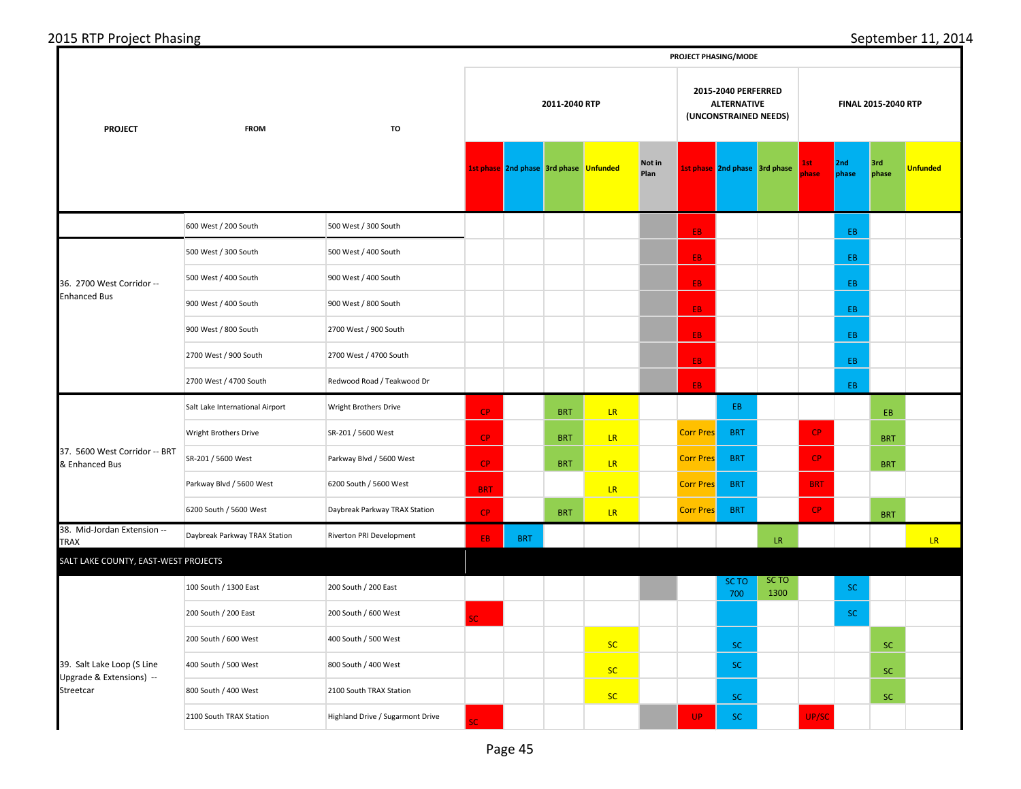|                | __          |    |
|----------------|-------------|----|
| <b>PROJECT</b> | <b>FROM</b> | TO |
|                |             |    |

2015 RTP Project Phasing September 11, 2014

**PROJECT PHASING/MODE**

|                                                                                                                                                                                                                              |                                 |                                                                                                                                                                                                                                                                                                         |               |            |            |           |                |     |                    |               |                     |              | 3rd<br><b>Unfunded</b><br>phase<br>EB.<br><b>BRT</b><br><b>BRT</b><br><b>BRT</b> |    |  |
|------------------------------------------------------------------------------------------------------------------------------------------------------------------------------------------------------------------------------|---------------------------------|---------------------------------------------------------------------------------------------------------------------------------------------------------------------------------------------------------------------------------------------------------------------------------------------------------|---------------|------------|------------|-----------|----------------|-----|--------------------|---------------|---------------------|--------------|----------------------------------------------------------------------------------|----|--|
| <b>PROJECT</b>                                                                                                                                                                                                               | <b>FROM</b>                     | TO                                                                                                                                                                                                                                                                                                      | 2011-2040 RTP |            |            |           |                |     | <b>ALTERNATIVE</b> |               | FINAL 2015-2040 RTP |              |                                                                                  |    |  |
|                                                                                                                                                                                                                              |                                 |                                                                                                                                                                                                                                                                                                         |               |            |            |           | Not in<br>Plan |     |                    |               | 1st<br>phase        | 2nd<br>phase |                                                                                  |    |  |
|                                                                                                                                                                                                                              | 600 West / 200 South            | 500 West / 300 South                                                                                                                                                                                                                                                                                    |               |            |            |           |                | EB. |                    |               |                     | EB.          |                                                                                  |    |  |
|                                                                                                                                                                                                                              | 500 West / 300 South            | 500 West / 400 South                                                                                                                                                                                                                                                                                    |               |            |            |           |                | EB. |                    |               |                     | EB.          |                                                                                  |    |  |
| 36. 2700 West Corridor --                                                                                                                                                                                                    | 500 West / 400 South            | 900 West / 400 South                                                                                                                                                                                                                                                                                    |               |            |            |           |                | EB. |                    |               |                     | EB.          |                                                                                  |    |  |
| <b>Enhanced Bus</b><br>37. 5600 West Corridor -- BRT<br>& Enhanced Bus<br>38. Mid-Jordan Extension --<br>TRAX<br>SALT LAKE COUNTY, EAST-WEST PROJECTS<br>39. Salt Lake Loop (S Line<br>Upgrade & Extensions) --<br>Streetcar | 900 West / 400 South            | 900 West / 800 South                                                                                                                                                                                                                                                                                    |               |            |            |           |                | EB. |                    |               |                     | EB.          |                                                                                  |    |  |
|                                                                                                                                                                                                                              | 900 West / 800 South            | 2700 West / 900 South                                                                                                                                                                                                                                                                                   |               |            |            |           |                | EB. |                    |               |                     | EB.          |                                                                                  |    |  |
|                                                                                                                                                                                                                              | 2700 West / 900 South           | 2700 West / 4700 South                                                                                                                                                                                                                                                                                  |               |            |            |           |                | EB. |                    |               |                     | EB.          | EB<br><b>SC</b><br><b>SC</b><br><b>SC</b><br><b>SC</b><br>SC.                    |    |  |
|                                                                                                                                                                                                                              | 2700 West / 4700 South          | Redwood Road / Teakwood Dr                                                                                                                                                                                                                                                                              |               |            |            |           |                | EB. |                    |               |                     |              |                                                                                  |    |  |
|                                                                                                                                                                                                                              | Salt Lake International Airport | Wright Brothers Drive                                                                                                                                                                                                                                                                                   | CP            |            | <b>BRT</b> | LR.       |                |     | EB                 |               |                     |              |                                                                                  |    |  |
|                                                                                                                                                                                                                              | Wright Brothers Drive           | SR-201 / 5600 West                                                                                                                                                                                                                                                                                      | CP            |            | <b>BRT</b> | LR        |                |     | <b>BRT</b>         |               | CP                  |              |                                                                                  |    |  |
|                                                                                                                                                                                                                              | SR-201 / 5600 West              | Parkway Blvd / 5600 West                                                                                                                                                                                                                                                                                | CP            |            | <b>BRT</b> | LR.       |                |     | <b>BRT</b>         |               | CP                  |              |                                                                                  |    |  |
|                                                                                                                                                                                                                              | Parkway Blvd / 5600 West        | 6200 South / 5600 West                                                                                                                                                                                                                                                                                  | <b>BRT</b>    |            |            | LR.       |                |     | <b>BRT</b>         |               | <b>BRT</b>          |              |                                                                                  |    |  |
|                                                                                                                                                                                                                              | 6200 South / 5600 West          | Daybreak Parkway TRAX Station                                                                                                                                                                                                                                                                           | <b>CP</b>     |            | <b>BRT</b> | LR        |                |     | <b>BRT</b>         |               | CP                  |              |                                                                                  |    |  |
|                                                                                                                                                                                                                              | Daybreak Parkway TRAX Station   | Riverton PRI Development                                                                                                                                                                                                                                                                                | EB.           | <b>BRT</b> |            |           |                |     |                    | ${\sf LR}$    |                     |              |                                                                                  | LR |  |
|                                                                                                                                                                                                                              |                                 |                                                                                                                                                                                                                                                                                                         |               |            |            |           |                |     |                    |               |                     |              |                                                                                  |    |  |
|                                                                                                                                                                                                                              | 100 South / 1300 East           | 200 South / 200 East                                                                                                                                                                                                                                                                                    |               |            |            |           |                |     | SC TO<br>700       | SC TO<br>1300 |                     |              |                                                                                  |    |  |
|                                                                                                                                                                                                                              | 200 South / 200 East            | 200 South / 600 West                                                                                                                                                                                                                                                                                    | Ċ.            |            |            |           |                |     |                    |               |                     |              |                                                                                  |    |  |
|                                                                                                                                                                                                                              | 200 South / 600 West            | 400 South / 500 West                                                                                                                                                                                                                                                                                    |               |            |            | <b>SC</b> |                |     | <b>SC</b>          |               |                     |              |                                                                                  |    |  |
|                                                                                                                                                                                                                              | 400 South / 500 West            | 2015-2040 PERFERRED<br>(UNCONSTRAINED NEEDS)<br>1st phase 2nd phase 3rd phase Unfunded<br>1st phase 2nd phase 3rd phase<br><b>Corr Pres</b><br><b>Corr Pres</b><br><b>Corr Pres</b><br><b>Corr Pres</b><br><b>SC</b><br>800 South / 400 West<br><b>SC</b><br><b>SC</b><br><b>UP</b><br><b>SC</b><br>SC. |               |            |            |           |                |     |                    |               |                     |              |                                                                                  |    |  |
|                                                                                                                                                                                                                              | 800 South / 400 West            | 2100 South TRAX Station                                                                                                                                                                                                                                                                                 |               |            |            |           |                |     | SC.                |               |                     |              |                                                                                  |    |  |
|                                                                                                                                                                                                                              | 2100 South TRAX Station         | Highland Drive / Sugarmont Drive                                                                                                                                                                                                                                                                        |               |            |            |           |                |     |                    |               | UP/SC               |              |                                                                                  |    |  |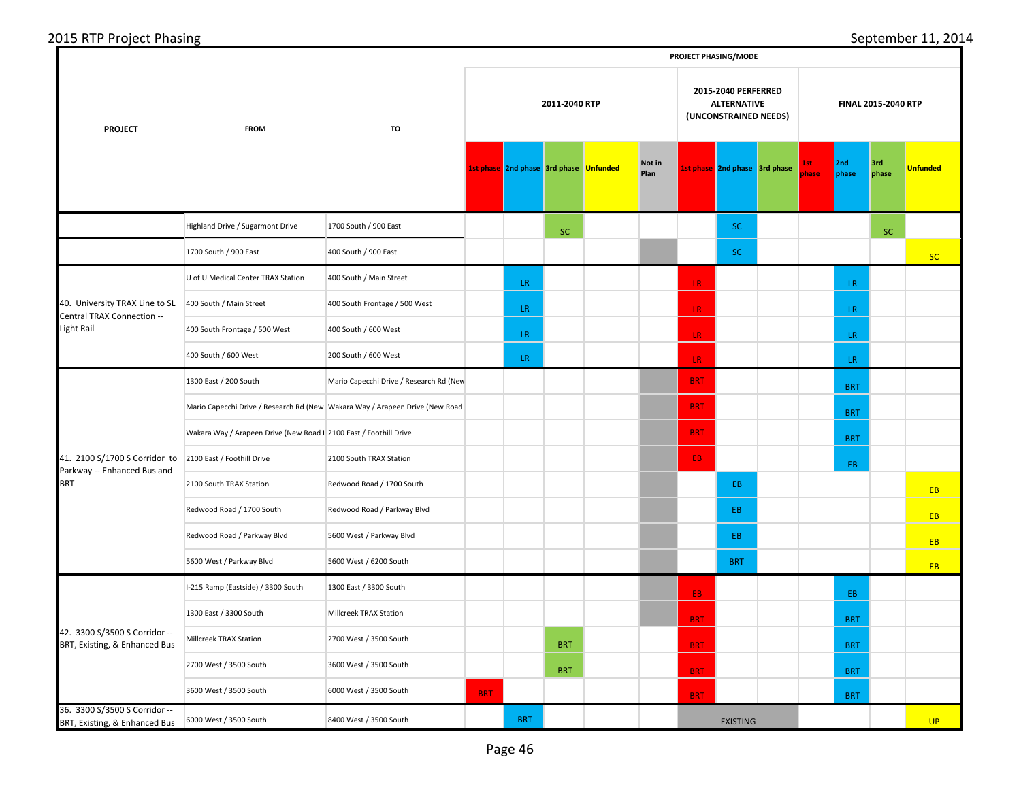|                                                                |                                                                              |                                         | PROJECT PHASING/MODE |            |                                        |  |                |                                                                    |                               |                            |              |              |              |                 |  |  |
|----------------------------------------------------------------|------------------------------------------------------------------------------|-----------------------------------------|----------------------|------------|----------------------------------------|--|----------------|--------------------------------------------------------------------|-------------------------------|----------------------------|--------------|--------------|--------------|-----------------|--|--|
| <b>PROJECT</b>                                                 | <b>FROM</b>                                                                  | 2011-2040 RTP<br>TO                     |                      |            |                                        |  |                | 2015-2040 PERFERRED<br><b>ALTERNATIVE</b><br>(UNCONSTRAINED NEEDS) |                               | <b>FINAL 2015-2040 RTP</b> |              |              |              |                 |  |  |
|                                                                |                                                                              |                                         |                      |            | 1st phase 2nd phase 3rd phase Unfunded |  | Not in<br>Plan |                                                                    | 1st phase 2nd phase 3rd phase |                            | lst.<br>hase | 2nd<br>phase | 3rd<br>phase | <b>Unfunded</b> |  |  |
|                                                                | Highland Drive / Sugarmont Drive                                             | 1700 South / 900 East                   |                      |            | <b>SC</b>                              |  |                |                                                                    | SC.                           |                            |              |              |              |                 |  |  |
|                                                                | 1700 South / 900 East                                                        | 400 South / 900 East                    |                      |            |                                        |  |                |                                                                    | SC.                           |                            |              |              |              | <b>SC</b>       |  |  |
|                                                                | U of U Medical Center TRAX Station                                           | 400 South / Main Street                 |                      | LR.        |                                        |  |                | LR                                                                 |                               |                            |              | LR.          |              |                 |  |  |
| 40. University TRAX Line to SL<br>Central TRAX Connection --   | 400 South / Main Street                                                      | 400 South Frontage / 500 West           |                      | LR.        |                                        |  |                | LR.                                                                |                               |                            |              | LR           |              |                 |  |  |
| <b>Light Rail</b>                                              | 400 South Frontage / 500 West                                                | 400 South / 600 West                    |                      | LR         |                                        |  |                | LR.                                                                |                               |                            |              | LR           | <b>SC</b>    |                 |  |  |
|                                                                | 400 South / 600 West                                                         | 200 South / 600 West                    |                      | LR.        |                                        |  |                | LR                                                                 |                               |                            |              | LR.          |              |                 |  |  |
|                                                                | 1300 East / 200 South                                                        | Mario Capecchi Drive / Research Rd (New |                      |            |                                        |  |                | <b>BRT</b>                                                         |                               |                            |              | <b>BRT</b>   |              |                 |  |  |
|                                                                | Mario Capecchi Drive / Research Rd (New Wakara Way / Arapeen Drive (New Road |                                         |                      |            |                                        |  |                | <b>BRT</b>                                                         |                               |                            |              | <b>BRT</b>   |              |                 |  |  |
|                                                                | Wakara Way / Arapeen Drive (New Road I 2100 East / Foothill Drive            |                                         |                      |            |                                        |  |                | <b>BRT</b>                                                         |                               |                            |              | <b>BRT</b>   |              |                 |  |  |
| 41. 2100 S/1700 S Corridor to<br>Parkway -- Enhanced Bus and   | 2100 East / Foothill Drive                                                   | 2100 South TRAX Station                 |                      |            |                                        |  |                | EB.                                                                |                               |                            |              | EB.          |              |                 |  |  |
| <b>BRT</b>                                                     | 2100 South TRAX Station                                                      | Redwood Road / 1700 South               |                      |            |                                        |  |                |                                                                    | EB                            |                            |              |              |              | <b>EB</b>       |  |  |
|                                                                | Redwood Road / 1700 South                                                    | Redwood Road / Parkway Blvd             |                      |            |                                        |  |                |                                                                    | EB                            |                            |              |              |              | EB              |  |  |
|                                                                | Redwood Road / Parkway Blvd                                                  | 5600 West / Parkway Blvd                |                      |            |                                        |  |                |                                                                    | EB.                           |                            |              |              |              | EB              |  |  |
|                                                                | 5600 West / Parkway Blvd                                                     | 5600 West / 6200 South                  |                      |            |                                        |  |                |                                                                    | <b>BRT</b>                    |                            |              |              |              | <b>EB</b>       |  |  |
|                                                                | I-215 Ramp (Eastside) / 3300 South                                           | 1300 East / 3300 South                  |                      |            |                                        |  |                | EB.                                                                |                               |                            |              | EB           |              |                 |  |  |
|                                                                | 1300 East / 3300 South                                                       | Millcreek TRAX Station                  |                      |            |                                        |  |                | <b>BRT</b>                                                         |                               |                            |              | <b>BRT</b>   |              |                 |  |  |
| 42. 3300 S/3500 S Corridor --<br>BRT, Existing, & Enhanced Bus | Millcreek TRAX Station                                                       | 2700 West / 3500 South                  |                      |            | <b>BRT</b>                             |  |                | <b>BRT</b>                                                         |                               |                            |              | <b>BRT</b>   |              |                 |  |  |
|                                                                | 2700 West / 3500 South                                                       | 3600 West / 3500 South                  |                      |            | <b>BRT</b>                             |  |                | <b>BRT</b>                                                         |                               |                            |              | <b>BRT</b>   |              |                 |  |  |
|                                                                | 3600 West / 3500 South                                                       | 6000 West / 3500 South                  | <b>BRT</b>           |            |                                        |  |                | <b>BRT</b>                                                         |                               |                            |              | <b>BRT</b>   |              |                 |  |  |
| 36. 3300 S/3500 S Corridor --<br>BRT, Existing, & Enhanced Bus | 6000 West / 3500 South                                                       | 8400 West / 3500 South                  |                      | <b>BRT</b> |                                        |  |                |                                                                    | <b>EXISTING</b>               |                            |              |              |              | <b>UP</b>       |  |  |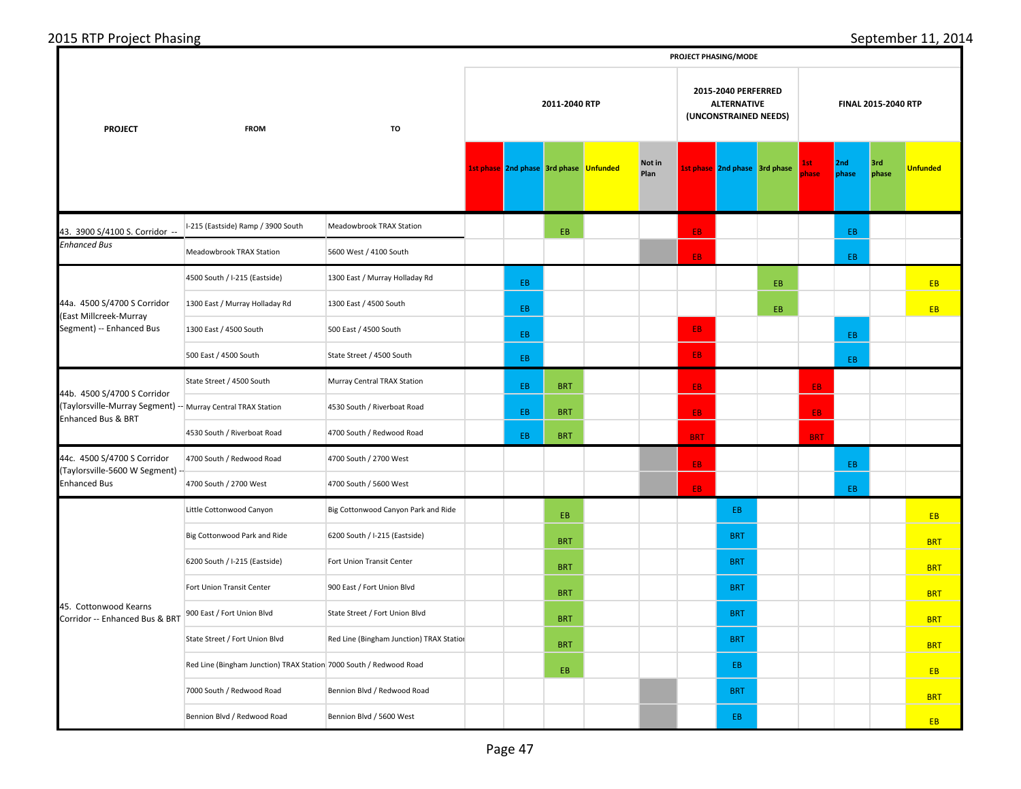| 2015<br>--<br>Phasing<br>- 1.) pr<br>$\sim$<br>⊐ا ∪. | $\sim$ $\sim$<br>ວtember<br>∫≏r<br>- U - F |
|------------------------------------------------------|--------------------------------------------|
|                                                      | <b>DROIECT DUASING/MODE</b>                |

|                                                                                                                   |                                                                    |                                          |                                                                                     |                                        |            |  |                |            | PROJECT PHASING/MODE          | FINAL 2015-2040 RTP<br>3rd<br>2nd<br>lst.<br><b>Unfunded</b><br>phase<br>phase<br>hase<br>EB<br>EB<br>EB.<br><b>EB</b><br><b>EB</b><br>EB.<br>EB.<br>EB |            |     |  |            |
|-------------------------------------------------------------------------------------------------------------------|--------------------------------------------------------------------|------------------------------------------|-------------------------------------------------------------------------------------|----------------------------------------|------------|--|----------------|------------|-------------------------------|---------------------------------------------------------------------------------------------------------------------------------------------------------|------------|-----|--|------------|
| <b>PROJECT</b>                                                                                                    | <b>FROM</b>                                                        | TO                                       | 2015-2040 PERFERRED<br>2011-2040 RTP<br><b>ALTERNATIVE</b><br>(UNCONSTRAINED NEEDS) |                                        |            |  |                |            |                               |                                                                                                                                                         |            |     |  |            |
|                                                                                                                   |                                                                    |                                          |                                                                                     | 1st phase 2nd phase 3rd phase Unfunded |            |  | Not in<br>Plan |            | 1st phase 2nd phase 3rd phase |                                                                                                                                                         |            |     |  |            |
| 43. 3900 S/4100 S. Corridor --                                                                                    | I-215 (Eastside) Ramp / 3900 South                                 | Meadowbrook TRAX Station                 |                                                                                     |                                        | EB.        |  |                | EB.        |                               |                                                                                                                                                         |            |     |  |            |
| <b>Enhanced Bus</b>                                                                                               | Meadowbrook TRAX Station                                           | 5600 West / 4100 South                   |                                                                                     |                                        |            |  |                | EB.        |                               |                                                                                                                                                         |            |     |  |            |
|                                                                                                                   | 4500 South / I-215 (Eastside)                                      | 1300 East / Murray Holladay Rd           |                                                                                     | EB.                                    |            |  |                |            |                               |                                                                                                                                                         |            |     |  |            |
| 44a. 4500 S/4700 S Corridor<br><b>East Millcreek-Murray</b>                                                       | 1300 East / Murray Holladay Rd                                     | 1300 East / 4500 South                   |                                                                                     | EB.                                    |            |  |                |            |                               |                                                                                                                                                         |            |     |  |            |
| Segment) -- Enhanced Bus                                                                                          | 1300 East / 4500 South                                             | 500 East / 4500 South                    |                                                                                     | EB.                                    |            |  |                | EB.        |                               |                                                                                                                                                         |            |     |  |            |
|                                                                                                                   | 500 East / 4500 South                                              | State Street / 4500 South                |                                                                                     | EB.                                    |            |  |                | EB.        |                               |                                                                                                                                                         |            |     |  |            |
|                                                                                                                   | State Street / 4500 South                                          | Murray Central TRAX Station              |                                                                                     | EB.                                    | <b>BRT</b> |  |                | EB.        |                               |                                                                                                                                                         | EB.        |     |  |            |
| 44b. 4500 S/4700 S Corridor<br>(Taylorsville-Murray Segment) -- Murray Central TRAX Station<br>Enhanced Bus & BRT |                                                                    | 4530 South / Riverboat Road              |                                                                                     | EB.                                    | <b>BRT</b> |  |                | EB.        |                               |                                                                                                                                                         | EB.        |     |  |            |
|                                                                                                                   | 4530 South / Riverboat Road                                        | 4700 South / Redwood Road                |                                                                                     | EB.                                    | <b>BRT</b> |  |                | <b>BRT</b> |                               |                                                                                                                                                         | <b>BRT</b> |     |  |            |
| 44c. 4500 S/4700 S Corridor<br>(Taylorsville-5600 W Segment)                                                      | 4700 South / Redwood Road                                          | 4700 South / 2700 West                   |                                                                                     |                                        |            |  |                | EB.        |                               |                                                                                                                                                         |            | EB. |  |            |
| Enhanced Bus                                                                                                      | 4700 South / 2700 West                                             | 4700 South / 5600 West                   |                                                                                     |                                        |            |  |                | EB.        |                               |                                                                                                                                                         |            | EB  |  |            |
|                                                                                                                   | Little Cottonwood Canyon                                           | Big Cottonwood Canyon Park and Ride      |                                                                                     |                                        | EB.        |  |                |            | EB                            |                                                                                                                                                         |            |     |  | <b>EB</b>  |
|                                                                                                                   | Big Cottonwood Park and Ride                                       | 6200 South / I-215 (Eastside)            |                                                                                     |                                        | <b>BRT</b> |  |                |            | <b>BRT</b>                    |                                                                                                                                                         |            |     |  | <b>BRT</b> |
|                                                                                                                   | 6200 South / I-215 (Eastside)                                      | Fort Union Transit Center                |                                                                                     |                                        | <b>BRT</b> |  |                |            | <b>BRT</b>                    |                                                                                                                                                         |            |     |  | <b>BRT</b> |
|                                                                                                                   | Fort Union Transit Center                                          | 900 East / Fort Union Blvd               |                                                                                     |                                        | <b>BRT</b> |  |                |            | <b>BRT</b>                    |                                                                                                                                                         |            |     |  | <b>BRT</b> |
| 45. Cottonwood Kearns<br>Corridor -- Enhanced Bus & BRT                                                           | 900 East / Fort Union Blvd                                         | State Street / Fort Union Blvd           |                                                                                     |                                        | <b>BRT</b> |  |                |            | <b>BRT</b>                    |                                                                                                                                                         |            |     |  | <b>BRT</b> |
|                                                                                                                   | State Street / Fort Union Blvd                                     | Red Line (Bingham Junction) TRAX Station |                                                                                     |                                        | <b>BRT</b> |  |                |            | <b>BRT</b>                    |                                                                                                                                                         |            |     |  | <b>BRT</b> |
|                                                                                                                   | Red Line (Bingham Junction) TRAX Station 7000 South / Redwood Road |                                          |                                                                                     |                                        | EB.        |  |                |            | EB.                           |                                                                                                                                                         |            |     |  | EB         |
|                                                                                                                   | 7000 South / Redwood Road                                          | Bennion Blvd / Redwood Road              |                                                                                     |                                        |            |  |                |            | <b>BRT</b>                    |                                                                                                                                                         |            |     |  | <b>BRT</b> |
|                                                                                                                   | Bennion Blvd / Redwood Road                                        | Bennion Blvd / 5600 West                 |                                                                                     |                                        |            |  |                |            | EB.                           |                                                                                                                                                         |            |     |  | <b>EB</b>  |